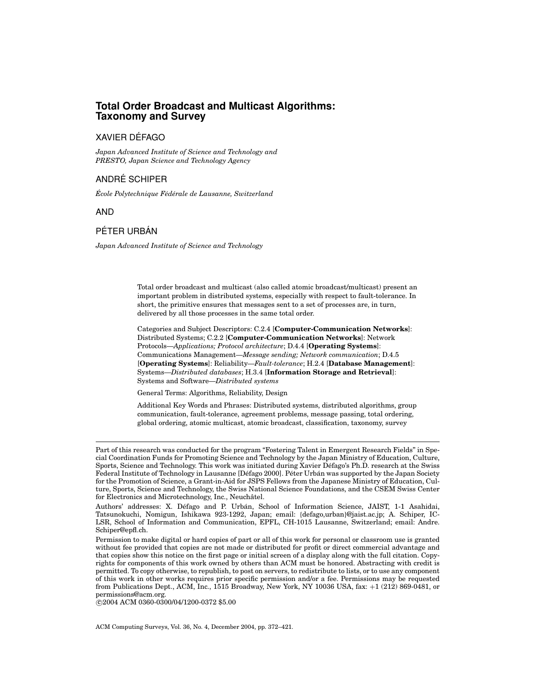# **Total Order Broadcast and Multicast Algorithms: Taxonomy and Survey**

# XAVIER DEFAGO ´

*Japan Advanced Institute of Science and Technology and PRESTO, Japan Science and Technology Agency*

# ANDRE´ SCHIPER

*Ecole Polytechnique F´ ´ ed´erale de Lausanne, Switzerland*

# AND

# PÉTER URBÁN

*Japan Advanced Institute of Science and Technology*

Total order broadcast and multicast (also called atomic broadcast/multicast) present an important problem in distributed systems, especially with respect to fault-tolerance. In short, the primitive ensures that messages sent to a set of processes are, in turn, delivered by all those processes in the same total order.

Categories and Subject Descriptors: C.2.4 [**Computer-Communication Networks**]: Distributed Systems; C.2.2 [**Computer-Communication Networks**]: Network Protocols—*Applications; Protocol architecture*; D.4.4 [**Operating Systems**]: Communications Management—*Message sending; Network communication*; D.4.5 [**Operating Systems**]: Reliability—*Fault-tolerance*; H.2.4 [**Database Management**]: Systems—*Distributed databases*; H.3.4 [**Information Storage and Retrieval**]: Systems and Software—*Distributed systems*

General Terms: Algorithms, Reliability, Design

Additional Key Words and Phrases: Distributed systems, distributed algorithms, group communication, fault-tolerance, agreement problems, message passing, total ordering, global ordering, atomic multicast, atomic broadcast, classification, taxonomy, survey

c 2004 ACM 0360-0300/04/1200-0372 \$5.00

ACM Computing Surveys, Vol. 36, No. 4, December 2004, pp. 372–421.

Part of this research was conducted for the program "Fostering Talent in Emergent Research Fields" in Special Coordination Funds for Promoting Science and Technology by the Japan Ministry of Education, Culture, Sports, Science and Technology. This work was initiated during Xavier Defago's Ph.D. research at the Swiss ´ Federal Institute of Technology in Lausanne [Défago 2000]. Péter Urbán was supported by the Japan Society for the Promotion of Science, a Grant-in-Aid for JSPS Fellows from the Japanese Ministry of Education, Culture, Sports, Science and Technology, the Swiss National Science Foundations, and the CSEM Swiss Center for Electronics and Microtechnology, Inc., Neuchâtel.

Authors' addresses: X. Défago and P. Urbán, School of Information Science, JAIST, 1-1 Asahidai, Tatsunokuchi, Nomigun, Ishikawa 923-1292, Japan; email: {defago,urban}@jaist.ac.jp; A. Schiper, IC-LSR, School of Information and Communication, EPFL, CH-1015 Lausanne, Switzerland; email: Andre. Schiper@epfl.ch.

Permission to make digital or hard copies of part or all of this work for personal or classroom use is granted without fee provided that copies are not made or distributed for profit or direct commercial advantage and that copies show this notice on the first page or initial screen of a display along with the full citation. Copyrights for components of this work owned by others than ACM must be honored. Abstracting with credit is permitted. To copy otherwise, to republish, to post on servers, to redistribute to lists, or to use any component of this work in other works requires prior specific permission and/or a fee. Permissions may be requested from Publications Dept., ACM, Inc., 1515 Broadway, New York, NY 10036 USA, fax: +1 (212) 869-0481, or permissions@acm.org.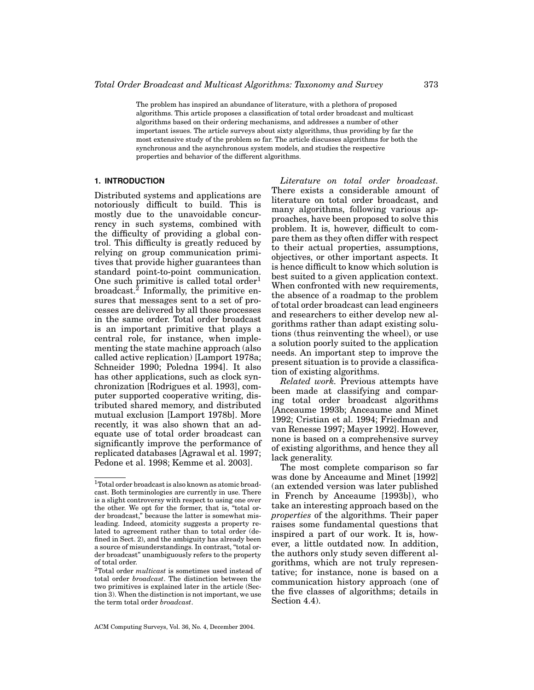The problem has inspired an abundance of literature, with a plethora of proposed algorithms. This article proposes a classification of total order broadcast and multicast algorithms based on their ordering mechanisms, and addresses a number of other important issues. The article surveys about sixty algorithms, thus providing by far the most extensive study of the problem so far. The article discusses algorithms for both the synchronous and the asynchronous system models, and studies the respective properties and behavior of the different algorithms.

# **1. INTRODUCTION**

Distributed systems and applications are notoriously difficult to build. This is mostly due to the unavoidable concurrency in such systems, combined with the difficulty of providing a global control. This difficulty is greatly reduced by relying on group communication primitives that provide higher guarantees than standard point-to-point communication. One such primitive is called total order<sup>1</sup> broadcast.<sup>2</sup> Informally, the primitive ensures that messages sent to a set of processes are delivered by all those processes in the same order. Total order broadcast is an important primitive that plays a central role, for instance, when implementing the state machine approach (also called active replication) [Lamport 1978a; Schneider 1990; Poledna 1994]. It also has other applications, such as clock synchronization [Rodrigues et al. 1993], computer supported cooperative writing, distributed shared memory, and distributed mutual exclusion [Lamport 1978b]. More recently, it was also shown that an adequate use of total order broadcast can significantly improve the performance of replicated databases [Agrawal et al. 1997; Pedone et al. 1998; Kemme et al. 2003].

*Literature on total order broadcast.* There exists a considerable amount of literature on total order broadcast, and many algorithms, following various approaches, have been proposed to solve this problem. It is, however, difficult to compare them as they often differ with respect to their actual properties, assumptions, objectives, or other important aspects. It is hence difficult to know which solution is best suited to a given application context. When confronted with new requirements, the absence of a roadmap to the problem of total order broadcast can lead engineers and researchers to either develop new algorithms rather than adapt existing solutions (thus reinventing the wheel), or use a solution poorly suited to the application needs. An important step to improve the present situation is to provide a classification of existing algorithms.

*Related work.* Previous attempts have been made at classifying and comparing total order broadcast algorithms [Anceaume 1993b; Anceaume and Minet 1992; Cristian et al. 1994; Friedman and van Renesse 1997; Mayer 1992]. However, none is based on a comprehensive survey of existing algorithms, and hence they all lack generality.

The most complete comparison so far was done by Anceaume and Minet [1992] (an extended version was later published in French by Anceaume [1993b]), who take an interesting approach based on the *properties* of the algorithms. Their paper raises some fundamental questions that inspired a part of our work. It is, however, a little outdated now. In addition, the authors only study seven different algorithms, which are not truly representative; for instance, none is based on a communication history approach (one of the five classes of algorithms; details in Section 4.4).

<sup>1</sup>Total order broadcast is also known as atomic broadcast. Both terminologies are currently in use. There is a slight controversy with respect to using one over the other. We opt for the former, that is, "total order broadcast," because the latter is somewhat misleading. Indeed, atomicity suggests a property related to agreement rather than to total order (defined in Sect. 2), and the ambiguity has already been a source of misunderstandings. In contrast, "total order broadcast" unambiguously refers to the property of total order.

<sup>2</sup>Total order *multicast* is sometimes used instead of total order *broadcast*. The distinction between the two primitives is explained later in the article (Section 3). When the distinction is not important, we use the term total order *broadcast*.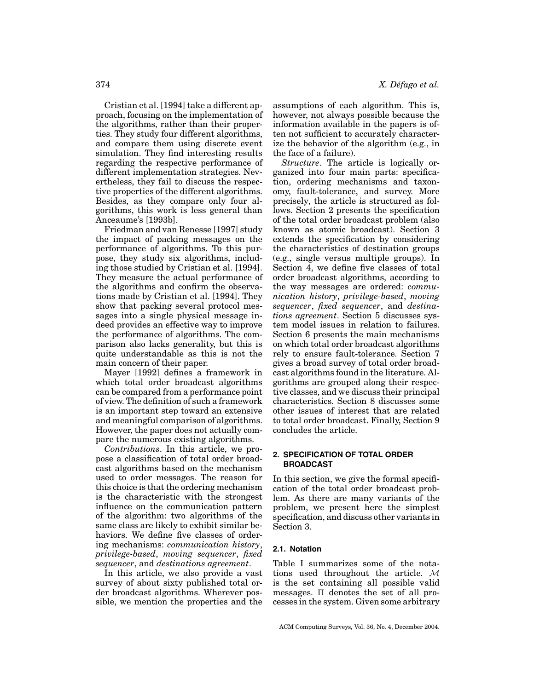Cristian et al. [1994] take a different approach, focusing on the implementation of the algorithms, rather than their properties. They study four different algorithms, and compare them using discrete event simulation. They find interesting results regarding the respective performance of different implementation strategies. Nevertheless, they fail to discuss the respective properties of the different algorithms. Besides, as they compare only four algorithms, this work is less general than Anceaume's [1993b].

Friedman and van Renesse [1997] study the impact of packing messages on the performance of algorithms. To this purpose, they study six algorithms, including those studied by Cristian et al. [1994]. They measure the actual performance of the algorithms and confirm the observations made by Cristian et al. [1994]. They show that packing several protocol messages into a single physical message indeed provides an effective way to improve the performance of algorithms. The comparison also lacks generality, but this is quite understandable as this is not the main concern of their paper.

Mayer [1992] defines a framework in which total order broadcast algorithms can be compared from a performance point of view. The definition of such a framework is an important step toward an extensive and meaningful comparison of algorithms. However, the paper does not actually compare the numerous existing algorithms.

*Contributions*. In this article, we propose a classification of total order broadcast algorithms based on the mechanism used to order messages. The reason for this choice is that the ordering mechanism is the characteristic with the strongest influence on the communication pattern of the algorithm: two algorithms of the same class are likely to exhibit similar behaviors. We define five classes of ordering mechanisms: *communication history*, *privilege-based*, *moving sequencer*, *fixed sequencer*, and *destinations agreement*.

In this article, we also provide a vast survey of about sixty published total order broadcast algorithms. Wherever possible, we mention the properties and the assumptions of each algorithm. This is, however, not always possible because the information available in the papers is often not sufficient to accurately characterize the behavior of the algorithm (e.g., in the face of a failure).

*Structure*. The article is logically organized into four main parts: specification, ordering mechanisms and taxonomy, fault-tolerance, and survey. More precisely, the article is structured as follows. Section 2 presents the specification of the total order broadcast problem (also known as atomic broadcast). Section 3 extends the specification by considering the characteristics of destination groups (e.g., single versus multiple groups). In Section 4, we define five classes of total order broadcast algorithms, according to the way messages are ordered: *communication history*, *privilege-based*, *moving sequencer*, *fixed sequencer*, and *destinations agreement*. Section 5 discusses system model issues in relation to failures. Section 6 presents the main mechanisms on which total order broadcast algorithms rely to ensure fault-tolerance. Section 7 gives a broad survey of total order broadcast algorithms found in the literature. Algorithms are grouped along their respective classes, and we discuss their principal characteristics. Section 8 discusses some other issues of interest that are related to total order broadcast. Finally, Section 9 concludes the article.

# **2. SPECIFICATION OF TOTAL ORDER BROADCAST**

In this section, we give the formal specification of the total order broadcast problem. As there are many variants of the problem, we present here the simplest specification, and discuss other variants in Section 3.

# **2.1. Notation**

Table I summarizes some of the notations used throughout the article. M is the set containing all possible valid messages.  $\Pi$  denotes the set of all processes in the system. Given some arbitrary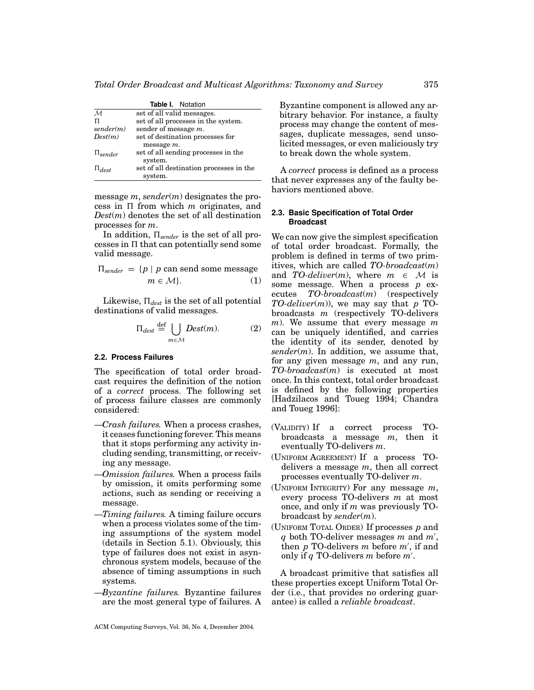|                | <b>Table I.</b> Notation                           |
|----------------|----------------------------------------------------|
| $\mathcal M$   | set of all valid messages.                         |
| п              | set of all processes in the system.                |
| sender(m)      | sender of message $m$ .                            |
| Dest(m)        | set of destination processes for                   |
|                | message m.                                         |
| $\Pi_{sender}$ | set of all sending processes in the<br>system.     |
| $\Pi_{dost}$   | set of all destination processes in the<br>system. |

message *m*, *sender*(*m*) designates the process in  $\Pi$  from which *m* originates, and *Dest*(*m*) denotes the set of all destination processes for *m*.

In addition,  $\Pi_{sender}$  is the set of all processes in  $\Pi$  that can potentially send some valid message.

$$
\Pi_{sender} = \{ p \mid p \text{ can send some message} \newline m \in \mathcal{M} \}. \tag{1}
$$

Likewise,  $\Pi_{dest}$  is the set of all potential destinations of valid messages.

$$
\Pi_{dest} \stackrel{\text{def}}{=} \bigcup_{m \in \mathcal{M}} Dest(m). \tag{2}
$$

# **2.2. Process Failures**

The specification of total order broadcast requires the definition of the notion of a *correct* process. The following set of process failure classes are commonly considered:

- —*Crash failures.* When a process crashes, it ceases functioning forever. This means that it stops performing any activity including sending, transmitting, or receiving any message.
- —*Omission failures.* When a process fails by omission, it omits performing some actions, such as sending or receiving a message.
- —*Timing failures.* A timing failure occurs when a process violates some of the timing assumptions of the system model (details in Section 5.1). Obviously, this type of failures does not exist in asynchronous system models, because of the absence of timing assumptions in such systems.
- —*Byzantine failures.* Byzantine failures are the most general type of failures. A

ACM Computing Surveys, Vol. 36, No. 4, December 2004.

Byzantine component is allowed any arbitrary behavior. For instance, a faulty process may change the content of messages, duplicate messages, send unsolicited messages, or even maliciously try to break down the whole system.

A *correct* process is defined as a process that never expresses any of the faulty behaviors mentioned above.

# **2.3. Basic Specification of Total Order Broadcast**

We can now give the simplest specification of total order broadcast. Formally, the problem is defined in terms of two primitives, which are called *TO-broadcast*(*m*) and *TO-deliver*(*m*), where  $m \in \mathcal{M}$  is some message. When a process *p* executes *TO-broadcast*(*m*) (respectively *TO-deliver*(*m*)), we may say that *p* TObroadcasts *m* (respectively TO-delivers *m*). We assume that every message *m* can be uniquely identified, and carries the identity of its sender, denoted by *sender*(*m*). In addition, we assume that, for any given message *m*, and any run, *TO-broadcast*(*m*) is executed at most once. In this context, total order broadcast is defined by the following properties [Hadzilacos and Toueg 1994; Chandra and Toueg 1996]:

- (VALIDITY) If a correct process TObroadcasts a message *m*, then it eventually TO-delivers *m*.
- (UNIFORM AGREEMENT) If a process TOdelivers a message *m*, then all correct processes eventually TO-deliver *m*.
- (UNIFORM INTEGRITY) For any message *m*, every process TO-delivers *m* at most once, and only if *m* was previously TObroadcast by *sender*(*m*).
- (UNIFORM TOTAL ORDER) If processes *p* and *q* both TO-deliver messages *m* and *m* , then *p* TO-delivers *m* before *m* , if and only if *q* TO-delivers *m* before *m* .

A broadcast primitive that satisfies all these properties except Uniform Total Order (i.e., that provides no ordering guarantee) is called a *reliable broadcast*.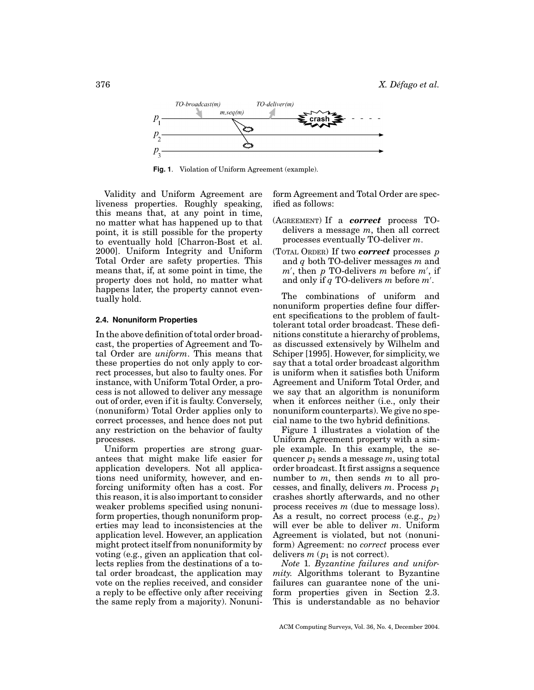

**Fig. 1**. Violation of Uniform Agreement (example).

Validity and Uniform Agreement are liveness properties. Roughly speaking, this means that, at any point in time, no matter what has happened up to that point, it is still possible for the property to eventually hold [Charron-Bost et al. 2000]. Uniform Integrity and Uniform Total Order are safety properties. This means that, if, at some point in time, the property does not hold, no matter what happens later, the property cannot eventually hold.

### **2.4. Nonuniform Properties**

In the above definition of total order broadcast, the properties of Agreement and Total Order are *uniform*. This means that these properties do not only apply to correct processes, but also to faulty ones. For instance, with Uniform Total Order, a process is not allowed to deliver any message out of order, even if it is faulty. Conversely, (nonuniform) Total Order applies only to correct processes, and hence does not put any restriction on the behavior of faulty processes.

Uniform properties are strong guarantees that might make life easier for application developers. Not all applications need uniformity, however, and enforcing uniformity often has a cost. For this reason, it is also important to consider weaker problems specified using nonuniform properties, though nonuniform properties may lead to inconsistencies at the application level. However, an application might protect itself from nonuniformity by voting (e.g., given an application that collects replies from the destinations of a total order broadcast, the application may vote on the replies received, and consider a reply to be effective only after receiving the same reply from a majority). Nonuniform Agreement and Total Order are specified as follows:

- (AGREEMENT) If a *correct* process TOdelivers a message *m*, then all correct processes eventually TO-deliver *m*.
- (TOTAL ORDER) If two *correct* processes *p* and *q* both TO-deliver messages *m* and *m* , then *p* TO-delivers *m* before *m* , if and only if *q* TO-delivers *m* before *m* .

The combinations of uniform and nonuniform properties define four different specifications to the problem of faulttolerant total order broadcast. These definitions constitute a hierarchy of problems, as discussed extensively by Wilhelm and Schiper [1995]. However, for simplicity, we say that a total order broadcast algorithm is uniform when it satisfies both Uniform Agreement and Uniform Total Order, and we say that an algorithm is nonuniform when it enforces neither (i.e., only their nonuniform counterparts). We give no special name to the two hybrid definitions.

Figure 1 illustrates a violation of the Uniform Agreement property with a simple example. In this example, the sequencer *p*<sup>1</sup> sends a message *m*, using total order broadcast. It first assigns a sequence number to *m*, then sends *m* to all processes, and finally, delivers *m*. Process *p*<sup>1</sup> crashes shortly afterwards, and no other process receives *m* (due to message loss). As a result, no correct process  $(e.g., p_2)$ will ever be able to deliver *m*. Uniform Agreement is violated, but not (nonuniform) Agreement: no *correct* process ever delivers  $m$  ( $p_1$  is not correct).

*Note* 1*. Byzantine failures and uniformity.* Algorithms tolerant to Byzantine failures can guarantee none of the uniform properties given in Section 2.3. This is understandable as no behavior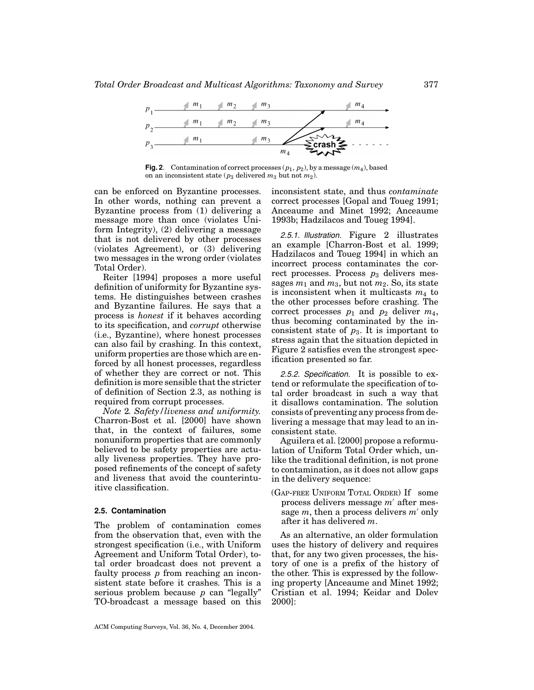

**Fig. 2**. Contamination of correct processes  $(p_1, p_2)$ , by a message  $(m_4)$ , based on an inconsistent state ( $p_3$  delivered  $m_3$  but not  $m_2$ ).

can be enforced on Byzantine processes. In other words, nothing can prevent a Byzantine process from (1) delivering a message more than once (violates Uniform Integrity), (2) delivering a message that is not delivered by other processes (violates Agreement), or (3) delivering two messages in the wrong order (violates Total Order).

Reiter [1994] proposes a more useful definition of uniformity for Byzantine systems. He distinguishes between crashes and Byzantine failures. He says that a process is *honest* if it behaves according to its specification, and *corrupt* otherwise (i.e., Byzantine), where honest processes can also fail by crashing. In this context, uniform properties are those which are enforced by all honest processes, regardless of whether they are correct or not. This definition is more sensible that the stricter of definition of Section 2.3, as nothing is required from corrupt processes.

*Note* 2*. Safety/liveness and uniformity.* Charron-Bost et al. [2000] have shown that, in the context of failures, some nonuniform properties that are commonly believed to be safety properties are actually liveness properties. They have proposed refinements of the concept of safety and liveness that avoid the counterintuitive classification.

# **2.5. Contamination**

The problem of contamination comes from the observation that, even with the strongest specification (i.e., with Uniform Agreement and Uniform Total Order), total order broadcast does not prevent a faulty process *p* from reaching an inconsistent state before it crashes. This is a serious problem because *p* can "legally" TO-broadcast a message based on this inconsistent state, and thus *contaminate* correct processes [Gopal and Toueg 1991; Anceaume and Minet 1992; Anceaume 1993b; Hadzilacos and Toueg 1994].

*2.5.1. Illustration.* Figure 2 illustrates an example [Charron-Bost et al. 1999; Hadzilacos and Toueg 1994] in which an incorrect process contaminates the correct processes. Process *p*<sup>3</sup> delivers messages  $m_1$  and  $m_3$ , but not  $m_2$ . So, its state is inconsistent when it multicasts  $m_4$  to the other processes before crashing. The correct processes  $p_1$  and  $p_2$  deliver  $m_4$ , thus becoming contaminated by the inconsistent state of  $p_3$ . It is important to stress again that the situation depicted in Figure 2 satisfies even the strongest specification presented so far.

*2.5.2. Specification.* It is possible to extend or reformulate the specification of total order broadcast in such a way that it disallows contamination. The solution consists of preventing any process from delivering a message that may lead to an inconsistent state.

Aguilera et al. [2000] propose a reformulation of Uniform Total Order which, unlike the traditional definition, is not prone to contamination, as it does not allow gaps in the delivery sequence:

(GAP-FREE UNIFORM TOTAL ORDER) If some process delivers message *m'* after message *m*, then a process delivers *m'* only after it has delivered *m*.

As an alternative, an older formulation uses the history of delivery and requires that, for any two given processes, the history of one is a prefix of the history of the other. This is expressed by the following property [Anceaume and Minet 1992; Cristian et al. 1994; Keidar and Dolev 2000]: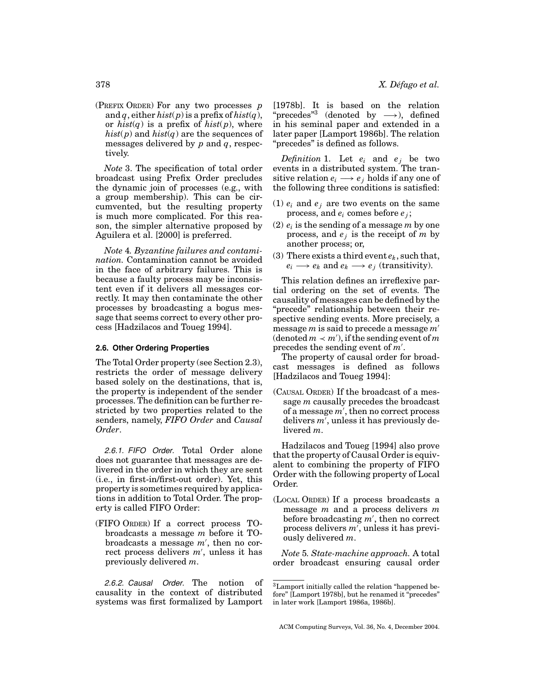(PREFIX ORDER) For any two processes *p* and *q*, either *hist*(*p*) is a prefix of *hist*(*q*), or  $hist(q)$  is a prefix of  $hist(p)$ , where *hist*(*p*) and *hist*(*q*) are the sequences of messages delivered by *p* and *q*, respectively.

*Note* 3. The specification of total order broadcast using Prefix Order precludes the dynamic join of processes (e.g., with a group membership). This can be circumvented, but the resulting property is much more complicated. For this reason, the simpler alternative proposed by Aguilera et al. [2000] is preferred.

*Note* 4*. Byzantine failures and contamination.* Contamination cannot be avoided in the face of arbitrary failures. This is because a faulty process may be inconsistent even if it delivers all messages correctly. It may then contaminate the other processes by broadcasting a bogus message that seems correct to every other process [Hadzilacos and Toueg 1994].

# **2.6. Other Ordering Properties**

The Total Order property (see Section 2.3), restricts the order of message delivery based solely on the destinations, that is, the property is independent of the sender processes. The definition can be further restricted by two properties related to the senders, namely, *FIFO Order* and *Causal Order*.

*2.6.1. FIFO Order.* Total Order alone does not guarantee that messages are delivered in the order in which they are sent (i.e., in first-in/first-out order). Yet, this property is sometimes required by applications in addition to Total Order. The property is called FIFO Order:

(FIFO ORDER) If a correct process TObroadcasts a message *m* before it TObroadcasts a message *m* , then no correct process delivers *m* , unless it has previously delivered *m*.

*2.6.2. Causal Order.* The notion of causality in the context of distributed systems was first formalized by Lamport [1978b]. It is based on the relation "precedes"<sup>3</sup> (denoted by  $\longrightarrow$ ), defined in his seminal paper and extended in a later paper [Lamport 1986b]. The relation "precedes" is defined as follows.

*Definition* 1. Let  $e_i$  and  $e_j$  be two events in a distributed system. The transitive relation  $e_i \rightarrow e_j$  holds if any one of the following three conditions is satisfied:

- (1)  $e_i$  and  $e_j$  are two events on the same process, and *ei* comes before *e <sup>j</sup>* ;
- $(2)$   $e_i$  is the sending of a message *m* by one process, and  $e_j$  is the receipt of *m* by another process; or,
- (3) There exists a third event  $e_k$ , such that,  $e_i \longrightarrow e_k$  and  $e_k \longrightarrow e_j$  (transitivity).

This relation defines an irreflexive partial ordering on the set of events. The causality of messages can be defined by the "precede" relationship between their respective sending events. More precisely, a message *m* is said to precede a message *m*  $(denoted m \prec m'),$  if the sending event of  $m$ precedes the sending event of *m* .

The property of causal order for broadcast messages is defined as follows [Hadzilacos and Toueg 1994]:

(CAUSAL ORDER) If the broadcast of a message *m* causally precedes the broadcast of a message *m* , then no correct process delivers *m* , unless it has previously delivered *m*.

Hadzilacos and Toueg [1994] also prove that the property of Causal Order is equivalent to combining the property of FIFO Order with the following property of Local Order.

(LOCAL ORDER) If a process broadcasts a message *m* and a process delivers *m* before broadcasting *m* , then no correct process delivers *m* , unless it has previously delivered *m*.

*Note* 5*. State-machine approach.* A total order broadcast ensuring causal order

<sup>3</sup>Lamport initially called the relation "happened before" [Lamport 1978b], but he renamed it "precedes" in later work [Lamport 1986a, 1986b].

ACM Computing Surveys, Vol. 36, No. 4, December 2004.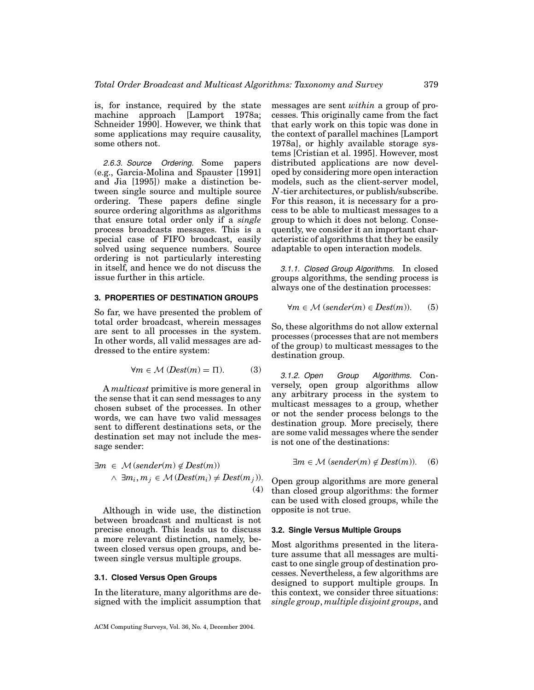is, for instance, required by the state machine approach [Lamport 1978a; Schneider 1990]. However, we think that some applications may require causality, some others not.

*2.6.3. Source Ordering.* Some papers (e.g., Garcia-Molina and Spauster [1991] and Jia [1995]) make a distinction between single source and multiple source ordering. These papers define single source ordering algorithms as algorithms that ensure total order only if a *single* process broadcasts messages. This is a special case of FIFO broadcast, easily solved using sequence numbers. Source ordering is not particularly interesting in itself, and hence we do not discuss the issue further in this article.

# **3. PROPERTIES OF DESTINATION GROUPS**

So far, we have presented the problem of total order broadcast, wherein messages are sent to all processes in the system. In other words, all valid messages are addressed to the entire system:

$$
\forall m \in \mathcal{M} \ (Dest(m) = \Pi). \tag{3}
$$

A *multicast* primitive is more general in the sense that it can send messages to any chosen subset of the processes. In other words, we can have two valid messages sent to different destinations sets, or the destination set may not include the message sender:

$$
\exists m \in \mathcal{M}(\text{sender}(m) \notin \text{Dest}(m)) \\
\land \exists m_i, m_j \in \mathcal{M}(\text{Dest}(m_i) \neq \text{Dest}(m_j)).\n\tag{4}
$$

Although in wide use, the distinction between broadcast and multicast is not precise enough. This leads us to discuss a more relevant distinction, namely, between closed versus open groups, and between single versus multiple groups.

# **3.1. Closed Versus Open Groups**

In the literature, many algorithms are designed with the implicit assumption that messages are sent *within* a group of processes. This originally came from the fact that early work on this topic was done in the context of parallel machines [Lamport 1978a], or highly available storage systems [Cristian et al. 1995]. However, most distributed applications are now developed by considering more open interaction models, such as the client-server model, *N*-tier architectures, or publish/subscribe. For this reason, it is necessary for a process to be able to multicast messages to a group to which it does not belong. Consequently, we consider it an important characteristic of algorithms that they be easily adaptable to open interaction models.

*3.1.1. Closed Group Algorithms.* In closed groups algorithms, the sending process is always one of the destination processes:

$$
\forall m \in \mathcal{M} \ (sender(m) \in Dest(m)). \qquad (5)
$$

So, these algorithms do not allow external processes (processes that are not members of the group) to multicast messages to the destination group.

*3.1.2. Open Group Algorithms.* Conversely, open group algorithms allow any arbitrary process in the system to multicast messages to a group, whether or not the sender process belongs to the destination group. More precisely, there are some valid messages where the sender is not one of the destinations:

$$
\exists m \in \mathcal{M} \ (sender(m) \notin Dest(m)). \quad (6)
$$

Open group algorithms are more general than closed group algorithms: the former can be used with closed groups, while the opposite is not true.

### **3.2. Single Versus Multiple Groups**

Most algorithms presented in the literature assume that all messages are multicast to one single group of destination processes. Nevertheless, a few algorithms are designed to support multiple groups. In this context, we consider three situations: *single group*, *multiple disjoint groups*, and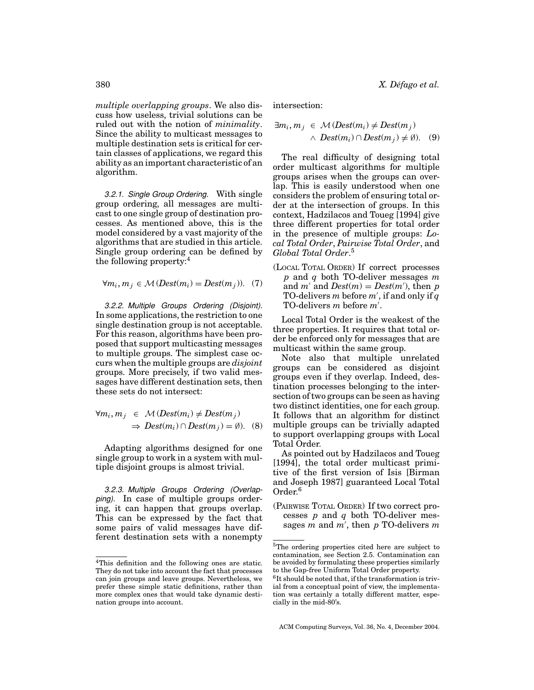*multiple overlapping groups*. We also discuss how useless, trivial solutions can be ruled out with the notion of *minimality*. Since the ability to multicast messages to multiple destination sets is critical for certain classes of applications, we regard this ability as an important characteristic of an algorithm.

*3.2.1. Single Group Ordering.* With single group ordering, all messages are multicast to one single group of destination processes. As mentioned above, this is the model considered by a vast majority of the algorithms that are studied in this article. Single group ordering can be defined by the following property:4

$$
\forall m_i, m_j \in \mathcal{M}(Dest(m_i) = Dest(m_j)). \quad (7)
$$

*3.2.2. Multiple Groups Ordering (Disjoint).* In some applications, the restriction to one single destination group is not acceptable. For this reason, algorithms have been proposed that support multicasting messages to multiple groups. The simplest case occurs when the multiple groups are *disjoint* groups. More precisely, if two valid messages have different destination sets, then these sets do not intersect:

$$
\forall m_i, m_j \in \mathcal{M}(Dest(m_i) \neq Dest(m_j) \n\Rightarrow Dest(m_i) \cap Dest(m_j) = \emptyset).
$$
 (8)

Adapting algorithms designed for one single group to work in a system with multiple disjoint groups is almost trivial.

*3.2.3. Multiple Groups Ordering (Overlapping).* In case of multiple groups ordering, it can happen that groups overlap. This can be expressed by the fact that some pairs of valid messages have different destination sets with a nonempty

intersection:

$$
\exists m_i, m_j \in \mathcal{M}(Dest(m_i) \neq Dest(m_j) \land Dest(m_i) \cap Dest(m_j) \neq \emptyset).
$$
 (9)

The real difficulty of designing total order multicast algorithms for multiple groups arises when the groups can overlap. This is easily understood when one considers the problem of ensuring total order at the intersection of groups. In this context, Hadzilacos and Toueg [1994] give three different properties for total order in the presence of multiple groups: *Local Total Order*, *Pairwise Total Order*, and *Global Total Order*. 5

(LOCAL TOTAL ORDER) If correct processes *p* and *q* both TO-deliver messages *m* and  $m'$  and  $Dest(m) = Dest(m')$ , then  $p$ TO-delivers *m* before *m* , if and only if *q* TO-delivers *m* before *m* .

Local Total Order is the weakest of the three properties. It requires that total order be enforced only for messages that are multicast within the same group.

Note also that multiple unrelated groups can be considered as disjoint groups even if they overlap. Indeed, destination processes belonging to the intersection of two groups can be seen as having two distinct identities, one for each group. It follows that an algorithm for distinct multiple groups can be trivially adapted to support overlapping groups with Local Total Order.

As pointed out by Hadzilacos and Toueg [1994], the total order multicast primitive of the first version of Isis [Birman and Joseph 1987] guaranteed Local Total Order.6

(PAIRWISE TOTAL ORDER) If two correct processes *p* and *q* both TO-deliver messages *m* and *m* , then *p* TO-delivers *m*

<sup>4</sup>This definition and the following ones are static. They do not take into account the fact that processes can join groups and leave groups. Nevertheless, we prefer these simple static definitions, rather than more complex ones that would take dynamic destination groups into account.

<sup>5</sup>The ordering properties cited here are subject to contamination, see Section 2.5. Contamination can be avoided by formulating these properties similarly to the Gap-free Uniform Total Order property.

 ${}^{6}$ It should be noted that, if the transformation is trivial from a conceptual point of view, the implementation was certainly a totally different matter, especially in the mid-80's.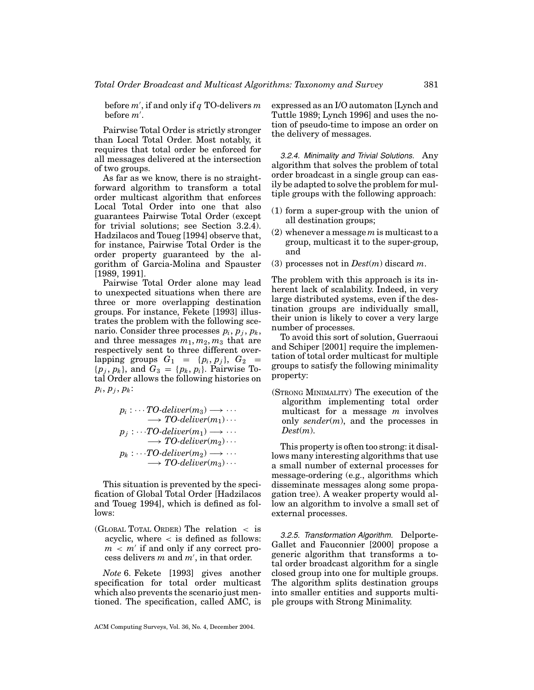before *m* , if and only if *q* TO-delivers *m* before *m* .

Pairwise Total Order is strictly stronger than Local Total Order. Most notably, it requires that total order be enforced for all messages delivered at the intersection of two groups.

As far as we know, there is no straightforward algorithm to transform a total order multicast algorithm that enforces Local Total Order into one that also guarantees Pairwise Total Order (except for trivial solutions; see Section 3.2.4). Hadzilacos and Toueg [1994] observe that, for instance, Pairwise Total Order is the order property guaranteed by the algorithm of Garcia-Molina and Spauster [1989, 1991].

Pairwise Total Order alone may lead to unexpected situations when there are three or more overlapping destination groups. For instance, Fekete [1993] illustrates the problem with the following scenario. Consider three processes  $p_i$ ,  $p_j$ ,  $p_k$ , and three messages  $m_1, m_2, m_3$  that are respectively sent to three different overlapping groups  $G_1 = \{p_i, p_j\}$ ,  $G_2 =$  $\{p_i, p_k\}$ , and  $G_3 = \{p_k, p_i\}$ . Pairwise Total Order allows the following histories on  $p_i, p_j, p_k$ :

$$
p_i : \cdots TO\text{-}deliver(m_3) \longrightarrow \cdots
$$
  
\n
$$
p_j : \cdots TO\text{-}deliver(m_1) \cdots
$$
  
\n
$$
p_j : \cdots TO\text{-}deliver(m_1) \longrightarrow \cdots
$$
  
\n
$$
\longrightarrow TO\text{-}deliver(m_2) \cdots
$$
  
\n
$$
p_k : \cdots TO\text{-}deliver(m_2) \longrightarrow \cdots
$$
  
\n
$$
\longrightarrow TO\text{-}deliver(m_3) \cdots
$$

This situation is prevented by the specification of Global Total Order [Hadzilacos and Toueg 1994], which is defined as follows:

(GLOBAL TOTAL ORDER) The relation < is acyclic, where  $\langle$  is defined as follows:  $m < m'$  if and only if any correct process delivers *m* and *m* , in that order.

*Note* 6. Fekete [1993] gives another specification for total order multicast which also prevents the scenario just mentioned. The specification, called AMC, is expressed as an I/O automaton [Lynch and Tuttle 1989; Lynch 1996] and uses the notion of pseudo-time to impose an order on the delivery of messages.

*3.2.4. Minimality and Trivial Solutions.* Any algorithm that solves the problem of total order broadcast in a single group can easily be adapted to solve the problem for multiple groups with the following approach:

- (1) form a super-group with the union of all destination groups;
- (2) whenever a message *m* is multicast to a group, multicast it to the super-group, and
- (3) processes not in *Dest*(*m*) discard *m*.

The problem with this approach is its inherent lack of scalability. Indeed, in very large distributed systems, even if the destination groups are individually small, their union is likely to cover a very large number of processes.

To avoid this sort of solution, Guerraoui and Schiper [2001] require the implementation of total order multicast for multiple groups to satisfy the following minimality property:

(STRONG MINIMALITY) The execution of the algorithm implementing total order multicast for a message *m* involves only *sender*(*m*), and the processes in *Dest*(*m*).

This property is often too strong: it disallows many interesting algorithms that use a small number of external processes for message-ordering (e.g., algorithms which disseminate messages along some propagation tree). A weaker property would allow an algorithm to involve a small set of external processes.

*3.2.5. Transformation Algorithm.* Delporte-Gallet and Fauconnier [2000] propose a generic algorithm that transforms a total order broadcast algorithm for a single closed group into one for multiple groups. The algorithm splits destination groups into smaller entities and supports multiple groups with Strong Minimality.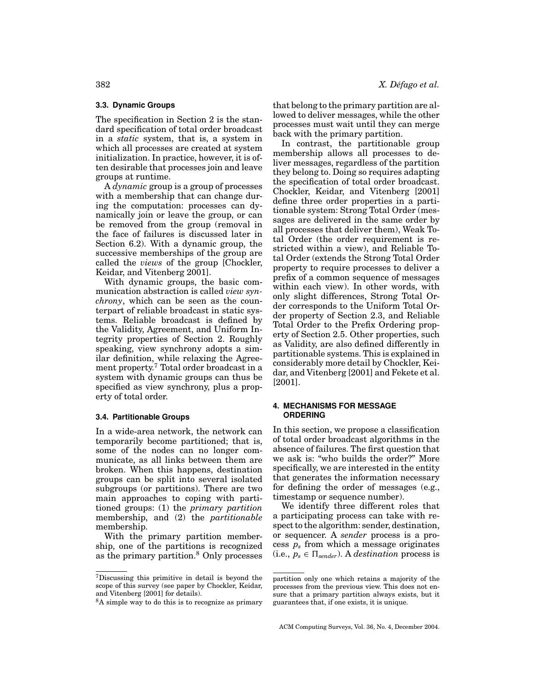# **3.3. Dynamic Groups**

The specification in Section 2 is the standard specification of total order broadcast in a *static* system, that is, a system in which all processes are created at system initialization. In practice, however, it is often desirable that processes join and leave groups at runtime.

A *dynamic* group is a group of processes with a membership that can change during the computation: processes can dynamically join or leave the group, or can be removed from the group (removal in the face of failures is discussed later in Section 6.2). With a dynamic group, the successive memberships of the group are called the *views* of the group [Chockler, Keidar, and Vitenberg 2001].

With dynamic groups, the basic communication abstraction is called *view synchrony*, which can be seen as the counterpart of reliable broadcast in static systems. Reliable broadcast is defined by the Validity, Agreement, and Uniform Integrity properties of Section 2. Roughly speaking, view synchrony adopts a similar definition, while relaxing the Agreement property.<sup>7</sup> Total order broadcast in a system with dynamic groups can thus be specified as view synchrony, plus a property of total order.

### **3.4. Partitionable Groups**

In a wide-area network, the network can temporarily become partitioned; that is, some of the nodes can no longer communicate, as all links between them are broken. When this happens, destination groups can be split into several isolated subgroups (or partitions). There are two main approaches to coping with partitioned groups: (1) the *primary partition* membership, and (2) the *partitionable* membership.

With the primary partition membership, one of the partitions is recognized as the primary partition.<sup>8</sup> Only processes that belong to the primary partition are allowed to deliver messages, while the other processes must wait until they can merge back with the primary partition.

In contrast, the partitionable group membership allows all processes to deliver messages, regardless of the partition they belong to. Doing so requires adapting the specification of total order broadcast. Chockler, Keidar, and Vitenberg [2001] define three order properties in a partitionable system: Strong Total Order (messages are delivered in the same order by all processes that deliver them), Weak Total Order (the order requirement is restricted within a view), and Reliable Total Order (extends the Strong Total Order property to require processes to deliver a prefix of a common sequence of messages within each view). In other words, with only slight differences, Strong Total Order corresponds to the Uniform Total Order property of Section 2.3, and Reliable Total Order to the Prefix Ordering property of Section 2.5. Other properties, such as Validity, are also defined differently in partitionable systems. This is explained in considerably more detail by Chockler, Keidar, and Vitenberg [2001] and Fekete et al. [2001].

# **4. MECHANISMS FOR MESSAGE ORDERING**

In this section, we propose a classification of total order broadcast algorithms in the absence of failures. The first question that we ask is: "who builds the order?" More specifically, we are interested in the entity that generates the information necessary for defining the order of messages (e.g., timestamp or sequence number).

We identify three different roles that a participating process can take with respect to the algorithm: sender, destination, or sequencer. A *sender* process is a process *ps* from which a message originates  $(i.e., p_s \in \Pi_{sender})$ . A *destination* process is

<sup>7</sup>Discussing this primitive in detail is beyond the scope of this survey (see paper by Chockler, Keidar, and Vitenberg [2001] for details).

<sup>&</sup>lt;sup>8</sup>A simple way to do this is to recognize as primary

partition only one which retains a majority of the processes from the previous view. This does not ensure that a primary partition always exists, but it guarantees that, if one exists, it is unique.

ACM Computing Surveys, Vol. 36, No. 4, December 2004.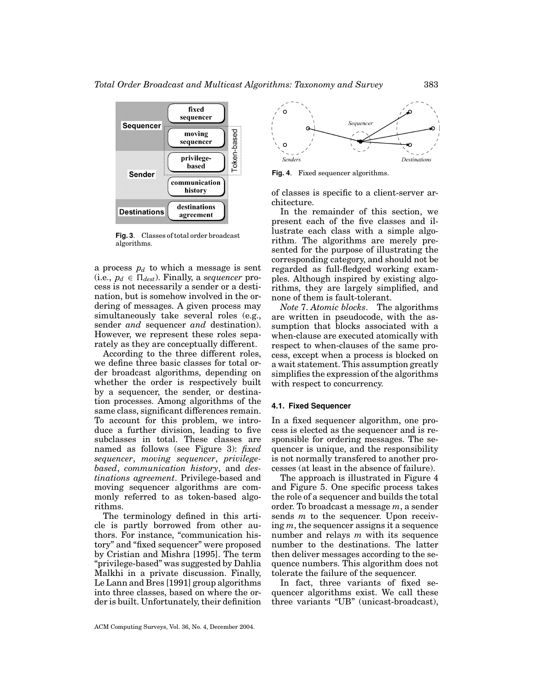

**Fig. 3**. Classes of total order broadcast algorithms.

a process *pd* to which a message is sent  $(i.e., p_d \in \Pi_{dest}$ ). Finally, a *sequencer* process is not necessarily a sender or a destination, but is somehow involved in the ordering of messages. A given process may simultaneously take several roles (e.g., sender *and* sequencer *and* destination). However, we represent these roles separately as they are conceptually different.

According to the three different roles, we define three basic classes for total order broadcast algorithms, depending on whether the order is respectively built by a sequencer, the sender, or destination processes. Among algorithms of the same class, significant differences remain. To account for this problem, we introduce a further division, leading to five subclasses in total. These classes are named as follows (see Figure 3): *fixed sequencer*, *moving sequencer*, *privilegebased*, *communication history*, and *destinations agreement*. Privilege-based and moving sequencer algorithms are commonly referred to as token-based algorithms.

The terminology defined in this article is partly borrowed from other authors. For instance, "communication history" and "fixed sequencer" were proposed by Cristian and Mishra [1995]. The term "privilege-based" was suggested by Dahlia Malkhi in a private discussion. Finally, Le Lann and Bres [1991] group algorithms into three classes, based on where the order is built. Unfortunately, their definition



**Fig. 4**. Fixed sequencer algorithms.

of classes is specific to a client-server architecture.

In the remainder of this section, we present each of the five classes and illustrate each class with a simple algorithm. The algorithms are merely presented for the purpose of illustrating the corresponding category, and should not be regarded as full-fledged working examples. Although inspired by existing algorithms, they are largely simplified, and none of them is fault-tolerant.

*Note* 7. *Atomic blocks*. The algorithms are written in pseudocode, with the assumption that blocks associated with a when-clause are executed atomically with respect to when-clauses of the same process, except when a process is blocked on a wait statement. This assumption greatly simplifies the expression of the algorithms with respect to concurrency.

### **4.1. Fixed Sequencer**

In a fixed sequencer algorithm, one process is elected as the sequencer and is responsible for ordering messages. The sequencer is unique, and the responsibility is not normally transfered to another processes (at least in the absence of failure).

The approach is illustrated in Figure 4 and Figure 5. One specific process takes the role of a sequencer and builds the total order. To broadcast a message *m*, a sender sends *m* to the sequencer. Upon receiving *m*, the sequencer assigns it a sequence number and relays *m* with its sequence number to the destinations. The latter then deliver messages according to the sequence numbers. This algorithm does not tolerate the failure of the sequencer.

In fact, three variants of fixed sequencer algorithms exist. We call these three variants "UB" (unicast-broadcast),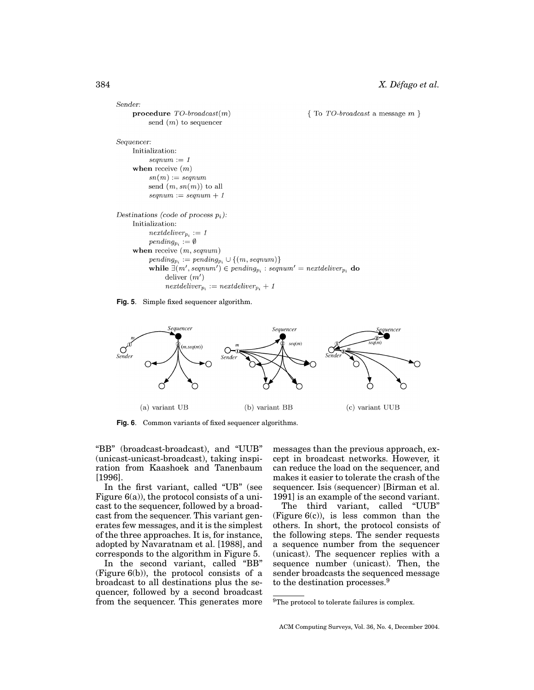```
Sender:
     procedure TO-broadcast(m){ To TO-broadcast a message m }
           send (m) to sequencer
Sequencer:
     Initialization:
            seanum := 1when receive (m)sn(m) := \text{seqnum}send (m, sn(m)) to all
           \textit{seqnum} := \textit{seqnum} + 1Destinations (code of process p_i):
     Initialization:
           \mathit{nextdeliver}_{p_i} := 1pending_{p_i} := \emptysetwhen receive (m, \text{segment})pending_{p_i} := pending_{p_i} \cup \{(m, seqnum)\}\while \exists (m', \text{seqnum}') \in \text{pending}_{p_i} : \text{seqnum}' = \text{nextdeliver}_{p_i} do
                 deliver (m')nextdeliver_{p_i} := nextdeliver_{p_i} + 1
```
**Fig. 5**. Simple fixed sequencer algorithm.



**Fig. 6**. Common variants of fixed sequencer algorithms.

"BB" (broadcast-broadcast), and "UUB" (unicast-unicast-broadcast), taking inspiration from Kaashoek and Tanenbaum [1996].

In the first variant, called "UB" (see Figure  $6(a)$ , the protocol consists of a unicast to the sequencer, followed by a broadcast from the sequencer. This variant generates few messages, and it is the simplest of the three approaches. It is, for instance, adopted by Navaratnam et al. [1988], and corresponds to the algorithm in Figure 5.

In the second variant, called "BB" (Figure 6(b)), the protocol consists of a broadcast to all destinations plus the sequencer, followed by a second broadcast from the sequencer. This generates more messages than the previous approach, except in broadcast networks. However, it can reduce the load on the sequencer, and makes it easier to tolerate the crash of the sequencer. Isis (sequencer) [Birman et al. 1991] is an example of the second variant.

The third variant, called "UUB" (Figure  $6(c)$ ), is less common than the others. In short, the protocol consists of the following steps. The sender requests a sequence number from the sequencer (unicast). The sequencer replies with a sequence number (unicast). Then, the sender broadcasts the sequenced message to the destination processes.<sup>9</sup>

<sup>9</sup>The protocol to tolerate failures is complex.

ACM Computing Surveys, Vol. 36, No. 4, December 2004.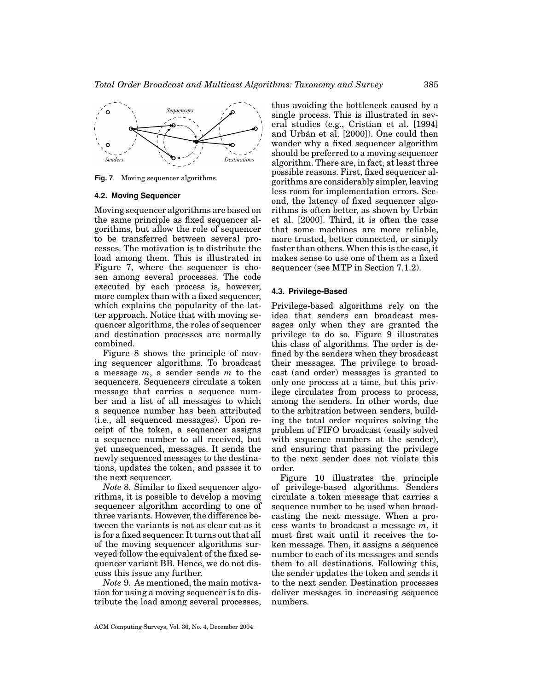

**Fig. 7**. Moving sequencer algorithms.

### **4.2. Moving Sequencer**

Moving sequencer algorithms are based on the same principle as fixed sequencer algorithms, but allow the role of sequencer to be transferred between several processes. The motivation is to distribute the load among them. This is illustrated in Figure 7, where the sequencer is chosen among several processes. The code executed by each process is, however, more complex than with a fixed sequencer, which explains the popularity of the latter approach. Notice that with moving sequencer algorithms, the roles of sequencer and destination processes are normally combined.

Figure 8 shows the principle of moving sequencer algorithms. To broadcast a message *m*, a sender sends *m* to the sequencers. Sequencers circulate a token message that carries a sequence number and a list of all messages to which a sequence number has been attributed (i.e., all sequenced messages). Upon receipt of the token, a sequencer assigns a sequence number to all received, but yet unsequenced, messages. It sends the newly sequenced messages to the destinations, updates the token, and passes it to the next sequencer.

*Note* 8. Similar to fixed sequencer algorithms, it is possible to develop a moving sequencer algorithm according to one of three variants. However, the difference between the variants is not as clear cut as it is for a fixed sequencer. It turns out that all of the moving sequencer algorithms surveyed follow the equivalent of the fixed sequencer variant BB. Hence, we do not discuss this issue any further.

*Note* 9. As mentioned, the main motivation for using a moving sequencer is to distribute the load among several processes,

thus avoiding the bottleneck caused by a single process. This is illustrated in several studies (e.g., Cristian et al. [1994] and Urbán et al. [2000]). One could then wonder why a fixed sequencer algorithm should be preferred to a moving sequencer algorithm. There are, in fact, at least three possible reasons. First, fixed sequencer algorithms are considerably simpler, leaving less room for implementation errors. Second, the latency of fixed sequencer algorithms is often better, as shown by Urbán et al. [2000]. Third, it is often the case that some machines are more reliable, more trusted, better connected, or simply faster than others. When this is the case, it makes sense to use one of them as a fixed sequencer (see MTP in Section 7.1.2).

# **4.3. Privilege-Based**

Privilege-based algorithms rely on the idea that senders can broadcast messages only when they are granted the privilege to do so. Figure 9 illustrates this class of algorithms. The order is defined by the senders when they broadcast their messages. The privilege to broadcast (and order) messages is granted to only one process at a time, but this privilege circulates from process to process, among the senders. In other words, due to the arbitration between senders, building the total order requires solving the problem of FIFO broadcast (easily solved with sequence numbers at the sender), and ensuring that passing the privilege to the next sender does not violate this order.

Figure 10 illustrates the principle of privilege-based algorithms. Senders circulate a token message that carries a sequence number to be used when broadcasting the next message. When a process wants to broadcast a message *m*, it must first wait until it receives the token message. Then, it assigns a sequence number to each of its messages and sends them to all destinations. Following this, the sender updates the token and sends it to the next sender. Destination processes deliver messages in increasing sequence numbers.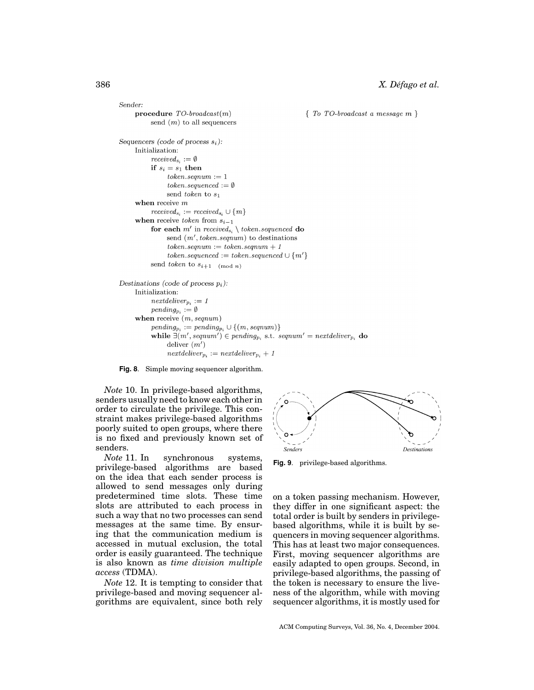```
Sender:
      procedure TO-broadcast(m)\{ To\ TO-broadcast\ a\ message\ m\ }send (m) to all sequencers
Sequencers (code of process s_i):
     Initialization:
           received_{s_i} := \emptysetif s_i = s_1 then
                 token. \textit{seqnum} := 1token.sequenced := \emptysetsend token to s_1when receive mreceived_{s_i} := received_{s_i} \cup \{m\}when receive token from s_{i-1}for each m' in received<sub>si</sub> \ token.sequenced do
                 send (m',\text{token}.\text{segment}) to destinations
                 token. \,seanum := token. \,seanum + 1token.sequenced := token.sequenced \cup \{m'\}send token to s_{i+1} (mod n)
Destinations (code of process p_i):
     Initialization:
           nextdeliver_{p_i} := 1pending_{p_i} := \emptysetwhen receive (m, \text{seqnum})pending_{p_i} := pending_{p_i} \cup \{(m, seqnum)\}\while \exists (m', \text{segment}) \in \text{pending}_{p_i} s.t. \text{segment} = \text{nextdeliver}_{p_i} do
                 deliver (m')nextdeliver_{p_i} := nextdeliver_{p_i} + 1
```


*Note* 10. In privilege-based algorithms, senders usually need to know each other in order to circulate the privilege. This constraint makes privilege-based algorithms poorly suited to open groups, where there is no fixed and previously known set of senders.

*Note* 11. In synchronous systems, privilege-based algorithms are based on the idea that each sender process is allowed to send messages only during predetermined time slots. These time slots are attributed to each process in such a way that no two processes can send messages at the same time. By ensuring that the communication medium is accessed in mutual exclusion, the total order is easily guaranteed. The technique is also known as *time division multiple access* (TDMA).

*Note* 12. It is tempting to consider that privilege-based and moving sequencer algorithms are equivalent, since both rely



**Fig. 9**. privilege-based algorithms.

on a token passing mechanism. However, they differ in one significant aspect: the total order is built by senders in privilegebased algorithms, while it is built by sequencers in moving sequencer algorithms. This has at least two major consequences. First, moving sequencer algorithms are easily adapted to open groups. Second, in privilege-based algorithms, the passing of the token is necessary to ensure the liveness of the algorithm, while with moving sequencer algorithms, it is mostly used for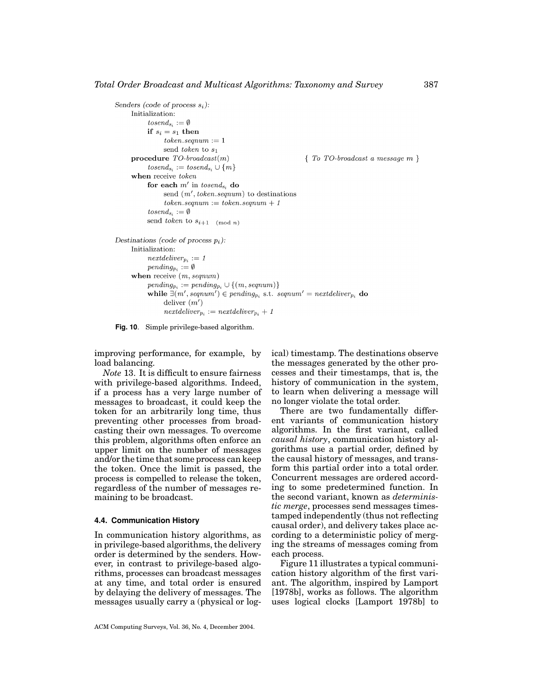```
Senders (code of process s_i):
      Initialization:
             tosend<sub>s<sub>i</sub></sub> := \emptysetif s_i = s_1 then
                   token. \textit{seqnum} := 1send token to s_1procedure TO-broadcast(m)\{ To TO-broadcast\ a\ message\ m\ }tosends_i := tosend_{s_i} \cup \{m\}when receive token
             for each m' in tosend<sub>si</sub> do
                   send (m',\text{token}.\text{seanum}) to destinations
                   token. \textit{seqnum} := token. \textit{seqnum} + 1tosend<sub>si</sub> := \emptysetsend token to s_{i+1} (mod n)
Destinations (code of process p_i):
      Initialization:
            nextdeliver_{p_i} := \emph{\textbf{1}}pending_{p_i} := \emptysetwhen receive (m, \text{seqnum})pending_{p_i} := pending_{p_i} \cup \{(m, seqnum)\}\while \exists (m', \text{sequum}') \in \text{pending}_{p_i} s.t. \text{sequum}' = \text{nextdeliver}_{p_i} do
                   deliver (m')nextdeliver_{p_i} := nextdeliver_{p_i} + 1
```
**Fig. 10**. Simple privilege-based algorithm.

improving performance, for example, by load balancing.

*Note* 13. It is difficult to ensure fairness with privilege-based algorithms. Indeed, if a process has a very large number of messages to broadcast, it could keep the token for an arbitrarily long time, thus preventing other processes from broadcasting their own messages. To overcome this problem, algorithms often enforce an upper limit on the number of messages and/or the time that some process can keep the token. Once the limit is passed, the process is compelled to release the token, regardless of the number of messages remaining to be broadcast.

### **4.4. Communication History**

In communication history algorithms, as in privilege-based algorithms, the delivery order is determined by the senders. However, in contrast to privilege-based algorithms, processes can broadcast messages at any time, and total order is ensured by delaying the delivery of messages. The messages usually carry a (physical or logical) timestamp. The destinations observe the messages generated by the other processes and their timestamps, that is, the history of communication in the system, to learn when delivering a message will no longer violate the total order.

There are two fundamentally different variants of communication history algorithms. In the first variant, called *causal history*, communication history algorithms use a partial order, defined by the causal history of messages, and transform this partial order into a total order. Concurrent messages are ordered according to some predetermined function. In the second variant, known as *deterministic merge*, processes send messages timestamped independently (thus not reflecting causal order), and delivery takes place according to a deterministic policy of merging the streams of messages coming from each process.

Figure 11 illustrates a typical communication history algorithm of the first variant. The algorithm, inspired by Lamport [1978b], works as follows. The algorithm uses logical clocks [Lamport 1978b] to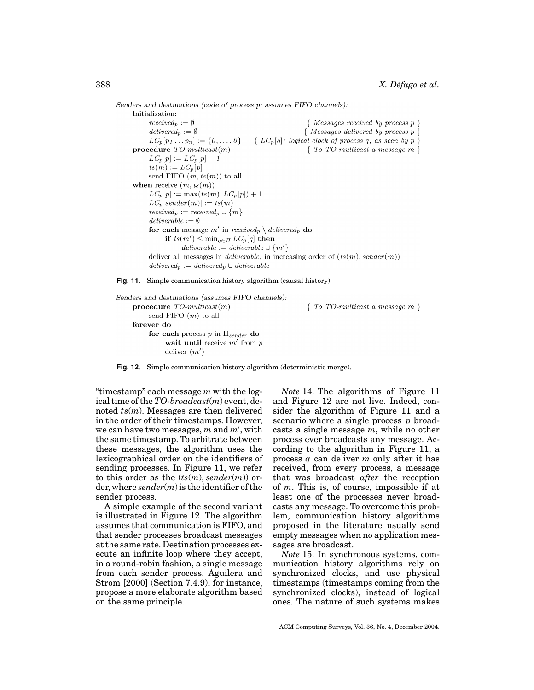Senders and destinations (code of process  $p$ ; assumes FIFO channels):

Initialization:  $received_p := \emptyset$  $\{Messages received by process p\}$  $delivered_p := \emptyset$  $\{Messages$  delivered by process p  $\}$  $LC_p[p_1 \dots p_n] := \{0, \dots, 0\}$  $\{ LC_p[q]: logical clock of process q, as seen by p \}$ procedure  $TO$ -multicast $(m)$ { To TO-multicast a message  $m$  }  $LC_p[p] := LC_p[p] + 1$  $ts(m) := LC_p[p]$ send FIFO  $(m, ts(m))$  to all when receive  $(m, ts(m))$  $LC_p[p] := \max(ts(m), LC_p[p]) + 1$  $LC_p[sender(m)] := ts(m)$  $received_p := received_p \cup \{m\}$  $deliverable := \emptyset$ for each message m' in received<sub>p</sub>  $\cdot$  delivered<sub>p</sub> do if  $ts(m') \leq \min_{q \in \Pi} LC_p[q]$  then  $\textit{deliverable} := \textit{deliverable} \cup \{m'\}$ deliver all messages in *deliverable*, in increasing order of  $(ts(m), sender(m))$  $delivered_p := delivered_p \cup deliverable$ 

# **Fig. 11**. Simple communication history algorithm (causal history).

```
Senders and destinations (assumes FIFO channels):
    procedure TO-multicast(m)\{ To TO-multicast\ a\ message\ m\ }send FIFO (m) to all
    forever do
         for each process p in \Pi_{sender} do
              wait until receive m' from pdeliver (m')
```
**Fig. 12**. Simple communication history algorithm (deterministic merge).

"timestamp" each message *m* with the logical time of the *TO-broadcast*(*m*) event, denoted *ts*(*m*). Messages are then delivered in the order of their timestamps. However, we can have two messages, *m* and *m* , with the same timestamp. To arbitrate between these messages, the algorithm uses the lexicographical order on the identifiers of sending processes. In Figure 11, we refer to this order as the  $(ts(m), sender(m))$  order, where *sender*(*m*) is the identifier of the sender process.

A simple example of the second variant is illustrated in Figure 12. The algorithm assumes that communication is FIFO, and that sender processes broadcast messages at the same rate. Destination processes execute an infinite loop where they accept, in a round-robin fashion, a single message from each sender process. Aguilera and Strom [2000] (Section 7.4.9), for instance, propose a more elaborate algorithm based on the same principle.

*Note* 14. The algorithms of Figure 11 and Figure 12 are not live. Indeed, consider the algorithm of Figure 11 and a scenario where a single process *p* broadcasts a single message *m*, while no other process ever broadcasts any message. According to the algorithm in Figure 11, a process *q* can deliver *m* only after it has received, from every process, a message that was broadcast *after* the reception of *m*. This is, of course, impossible if at least one of the processes never broadcasts any message. To overcome this problem, communication history algorithms proposed in the literature usually send empty messages when no application messages are broadcast.

*Note* 15. In synchronous systems, communication history algorithms rely on synchronized clocks, and use physical timestamps (timestamps coming from the synchronized clocks), instead of logical ones. The nature of such systems makes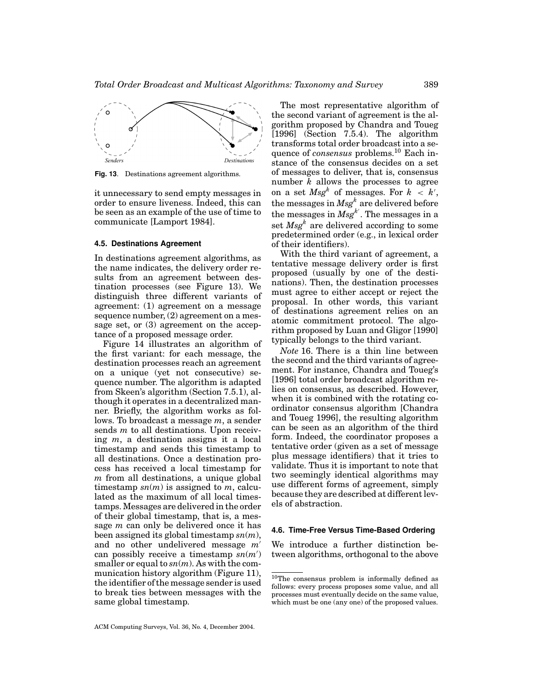

**Fig. 13**. Destinations agreement algorithms.

it unnecessary to send empty messages in order to ensure liveness. Indeed, this can be seen as an example of the use of time to communicate [Lamport 1984].

### **4.5. Destinations Agreement**

In destinations agreement algorithms, as the name indicates, the delivery order results from an agreement between destination processes (see Figure 13). We distinguish three different variants of agreement: (1) agreement on a message sequence number, (2) agreement on a message set, or (3) agreement on the acceptance of a proposed message order.

Figure 14 illustrates an algorithm of the first variant: for each message, the destination processes reach an agreement on a unique (yet not consecutive) sequence number. The algorithm is adapted from Skeen's algorithm (Section 7.5.1), although it operates in a decentralized manner. Briefly, the algorithm works as follows. To broadcast a message *m*, a sender sends *m* to all destinations. Upon receiving *m*, a destination assigns it a local timestamp and sends this timestamp to all destinations. Once a destination process has received a local timestamp for *m* from all destinations, a unique global timestamp  $sn(m)$  is assigned to *m*, calculated as the maximum of all local timestamps. Messages are delivered in the order of their global timestamp, that is, a message *m* can only be delivered once it has been assigned its global timestamp *sn*(*m*), and no other undelivered message *m* can possibly receive a timestamp *sn*(*m* ) smaller or equal to *sn*(*m*). As with the communication history algorithm (Figure 11), the identifier of the message sender is used to break ties between messages with the same global timestamp.

The most representative algorithm of the second variant of agreement is the algorithm proposed by Chandra and Toueg [1996] (Section 7.5.4). The algorithm transforms total order broadcast into a sequence of *consensus* problems.<sup>10</sup> Each instance of the consensus decides on a set of messages to deliver, that is, consensus number *k* allows the processes to agree on a set  $Msg^k$  of messages. For  $k < k'$ , the messages in *Msgk* are delivered before the messages in *Msgk* . The messages in a set *Msgk* are delivered according to some predetermined order (e.g., in lexical order of their identifiers).

With the third variant of agreement, a tentative message delivery order is first proposed (usually by one of the destinations). Then, the destination processes must agree to either accept or reject the proposal. In other words, this variant of destinations agreement relies on an atomic commitment protocol. The algorithm proposed by Luan and Gligor [1990] typically belongs to the third variant.

*Note* 16. There is a thin line between the second and the third variants of agreement. For instance, Chandra and Toueg's [1996] total order broadcast algorithm relies on consensus, as described. However, when it is combined with the rotating coordinator consensus algorithm [Chandra and Toueg 1996], the resulting algorithm can be seen as an algorithm of the third form. Indeed, the coordinator proposes a tentative order (given as a set of message plus message identifiers) that it tries to validate. Thus it is important to note that two seemingly identical algorithms may use different forms of agreement, simply because they are described at different levels of abstraction.

# **4.6. Time-Free Versus Time-Based Ordering**

We introduce a further distinction between algorithms, orthogonal to the above

<sup>10</sup>The consensus problem is informally defined as follows: every process proposes some value, and all processes must eventually decide on the same value, which must be one (any one) of the proposed values.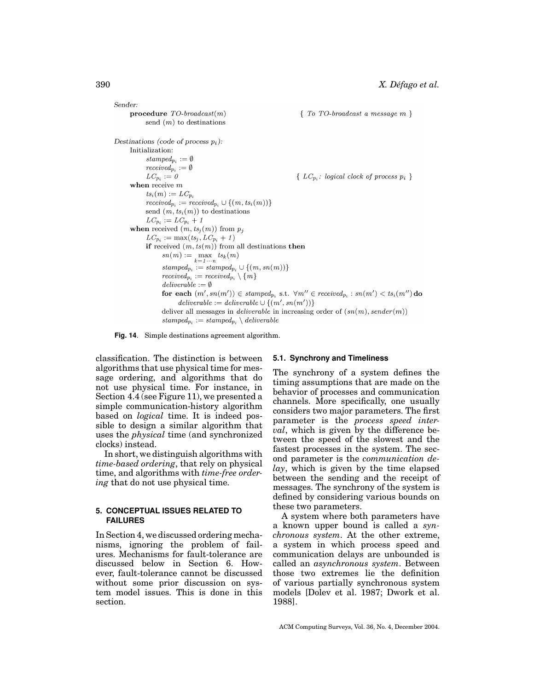```
Sender:
      procedure TO-broadcast(m)\{ To TO-broadcast\ a\ message\ m\ }send (m) to destinations
Destinations (code of process p_i):
      Initialization:
            stamped<sub>p<sub>i</sub></sub> := \emptysetreceived_{p_i} := \emptysetLC_{p_i} := 0{ LC_{p_i}: logical clock of process p_i }
      when receive mts_i(m) := LC_{p_i}received_{p_i} := received_{p_i} \cup \{(m, ts_i(m))\}send (m, ts<sub>i</sub>(m)) to destinations
            LC_{p_i} := LC_{p_i} + 1when received (m, ts_j(m)) from p_jLC_{p_i} := \max(ts_j, LC_{p_i} + 1)if received (m, ts(m)) from all destinations then
                   sn(m) := \max_{k=1 \cdots n} ts_k(m)\mathit{stamped}_{p_i} := \mathit{stamped}_{p_i} \cup \{(m, \mathit{sn}(m))\}received_{p_i} := received_{p_i} \setminus \{m\}deliverable := \emptysetfor each (m', sn(m')) \in stamped_{p_i} s.t. \forall m'' \in received_{p_i} : sn(m') < ts_i(m'') do
                         \label{eq:rel} \textit{deliverable} := \textit{deliverable} \cup \{(m', \textit{sn}(m'))\}deliver all messages in deliverable in increasing order of (sn(m), sender(m))stamped_{p_i} := stamped_{p_i} \setminus deliverable
```
**Fig. 14**. Simple destinations agreement algorithm.

classification. The distinction is between algorithms that use physical time for message ordering, and algorithms that do not use physical time. For instance, in Section 4.4 (see Figure 11), we presented a simple communication-history algorithm based on *logical* time. It is indeed possible to design a similar algorithm that uses the *physical* time (and synchronized clocks) instead.

In short, we distinguish algorithms with *time-based ordering*, that rely on physical time, and algorithms with *time-free ordering* that do not use physical time.

# **5. CONCEPTUAL ISSUES RELATED TO FAILURES**

In Section 4, we discussed ordering mechanisms, ignoring the problem of failures. Mechanisms for fault-tolerance are discussed below in Section 6. However, fault-tolerance cannot be discussed without some prior discussion on system model issues. This is done in this section.

#### **5.1. Synchrony and Timeliness**

The synchrony of a system defines the timing assumptions that are made on the behavior of processes and communication channels. More specifically, one usually considers two major parameters. The first parameter is the *process speed interval*, which is given by the difference between the speed of the slowest and the fastest processes in the system. The second parameter is the *communication delay*, which is given by the time elapsed between the sending and the receipt of messages. The synchrony of the system is defined by considering various bounds on these two parameters.

A system where both parameters have a known upper bound is called a *synchronous system*. At the other extreme, a system in which process speed and communication delays are unbounded is called an *asynchronous system*. Between those two extremes lie the definition of various partially synchronous system models [Dolev et al. 1987; Dwork et al. 1988].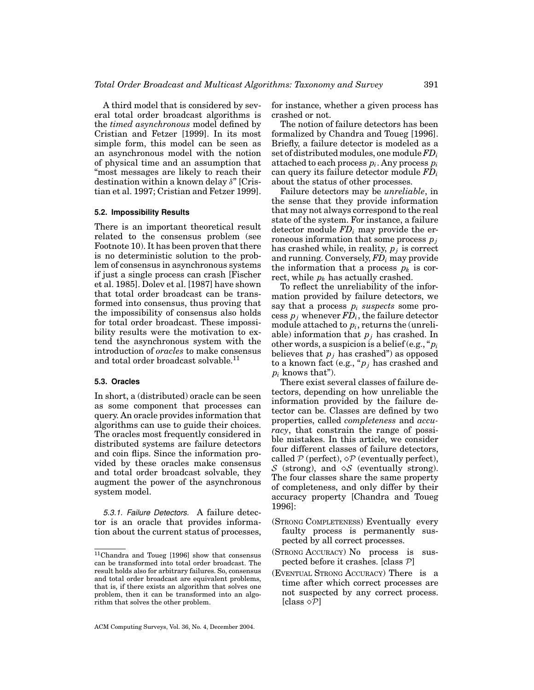A third model that is considered by several total order broadcast algorithms is the *timed asynchronous* model defined by Cristian and Fetzer [1999]. In its most simple form, this model can be seen as an asynchronous model with the notion of physical time and an assumption that "most messages are likely to reach their destination within a known delay δ" [Cristian et al. 1997; Cristian and Fetzer 1999].

# **5.2. Impossibility Results**

There is an important theoretical result related to the consensus problem (see Footnote 10). It has been proven that there is no deterministic solution to the problem of consensus in asynchronous systems if just a single process can crash [Fischer et al. 1985]. Dolev et al. [1987] have shown that total order broadcast can be transformed into consensus, thus proving that the impossibility of consensus also holds for total order broadcast. These impossibility results were the motivation to extend the asynchronous system with the introduction of *oracles* to make consensus and total order broadcast solvable.<sup>11</sup>

#### **5.3. Oracles**

In short, a (distributed) oracle can be seen as some component that processes can query. An oracle provides information that algorithms can use to guide their choices. The oracles most frequently considered in distributed systems are failure detectors and coin flips. Since the information provided by these oracles make consensus and total order broadcast solvable, they augment the power of the asynchronous system model.

*5.3.1. Failure Detectors.* A failure detector is an oracle that provides information about the current status of processes,

for instance, whether a given process has crashed or not.

The notion of failure detectors has been formalized by Chandra and Toueg [1996]. Briefly, a failure detector is modeled as a set of distributed modules, one module *FDi* attached to each process *pi*. Any process *pi* can query its failure detector module *FDi* about the status of other processes.

Failure detectors may be *unreliable*, in the sense that they provide information that may not always correspond to the real state of the system. For instance, a failure detector module *FDi* may provide the erroneous information that some process  $p_i$ has crashed while, in reality, *pj* is correct and running. Conversely, *FDi* may provide the information that a process  $p_k$  is correct, while  $p_k$  has actually crashed.

To reflect the unreliability of the information provided by failure detectors, we say that a process *pi suspects* some process  $p_j$  whenever  $F\overline{D}_i$ , the failure detector module attached to *pi*, returns the (unreliable) information that *pj* has crashed. In other words, a suspicion is a belief (e.g., "*pi* believes that *pj* has crashed") as opposed to a known fact (e.g., "*pj* has crashed and  $p_i$  knows that").

There exist several classes of failure detectors, depending on how unreliable the information provided by the failure detector can be. Classes are defined by two properties, called *completeness* and *accuracy*, that constrain the range of possible mistakes. In this article, we consider four different classes of failure detectors, called  $P$  (perfect),  $\Diamond P$  (eventually perfect), S (strong), and  $\Diamond S$  (eventually strong). The four classes share the same property of completeness, and only differ by their accuracy property [Chandra and Toueg 1996]:

- (STRONG COMPLETENESS) Eventually every faulty process is permanently suspected by all correct processes.
- (STRONG ACCURACY) No process is suspected before it crashes. [class P]
- (EVENTUAL STRONG ACCURACY) There is a time after which correct processes are not suspected by any correct process. [class  $\Diamond P$ ]

<sup>11</sup>Chandra and Toueg [1996] show that consensus can be transformed into total order broadcast. The result holds also for arbitrary failures. So, consensus and total order broadcast are equivalent problems, that is, if there exists an algorithm that solves one problem, then it can be transformed into an algorithm that solves the other problem.

ACM Computing Surveys, Vol. 36, No. 4, December 2004.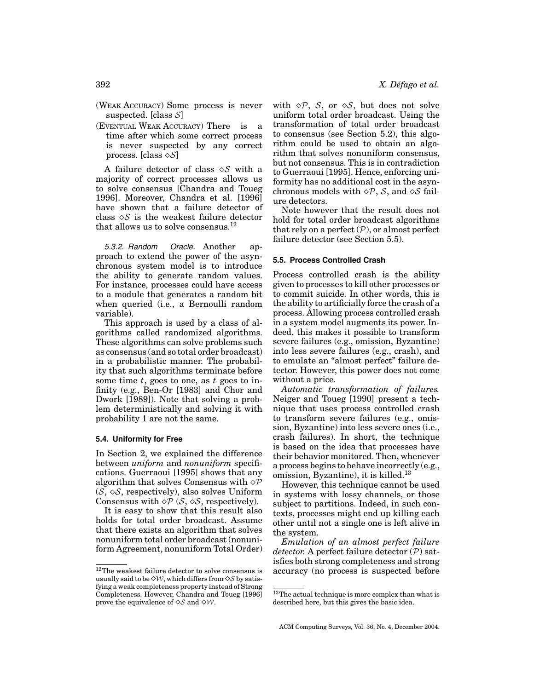- (WEAK ACCURACY) Some process is never suspected. [class  $S$ ]
- (EVENTUAL WEAK ACCURACY) There is a time after which some correct process is never suspected by any correct process. [class  $\Diamond S$ ]

A failure detector of class  $\Diamond S$  with a majority of correct processes allows us to solve consensus [Chandra and Toueg 1996]. Moreover, Chandra et al. [1996] have shown that a failure detector of class  $\Diamond S$  is the weakest failure detector that allows us to solve consensus.<sup>12</sup>

*5.3.2. Random Oracle.* Another approach to extend the power of the asynchronous system model is to introduce the ability to generate random values. For instance, processes could have access to a module that generates a random bit when queried (i.e., a Bernoulli random variable).

This approach is used by a class of algorithms called randomized algorithms. These algorithms can solve problems such as consensus (and so total order broadcast) in a probabilistic manner. The probability that such algorithms terminate before some time *t*, goes to one, as *t* goes to infinity (e.g., Ben-Or [1983] and Chor and Dwork [1989]). Note that solving a problem deterministically and solving it with probability 1 are not the same.

#### **5.4. Uniformity for Free**

In Section 2, we explained the difference between *uniform* and *nonuniform* specifications. Guerraoui [1995] shows that any algorithm that solves Consensus with  $\Diamond P$  $(S, \diamond S,$  respectively), also solves Uniform Consensus with  $\Diamond \mathcal{P}(\mathcal{S}, \Diamond \mathcal{S}, \mathsf{respectively}).$ 

It is easy to show that this result also holds for total order broadcast. Assume that there exists an algorithm that solves nonuniform total order broadcast (nonuniform Agreement, nonuniform Total Order) with  $\Diamond P$ , S, or  $\Diamond S$ , but does not solve uniform total order broadcast. Using the transformation of total order broadcast to consensus (see Section 5.2), this algorithm could be used to obtain an algorithm that solves nonuniform consensus, but not consensus. This is in contradiction to Guerraoui [1995]. Hence, enforcing uniformity has no additional cost in the asynchronous models with  $\Diamond P$ , S, and  $\Diamond S$  failure detectors.

Note however that the result does not hold for total order broadcast algorithms that rely on a perfect  $(\mathcal{P})$ , or almost perfect failure detector (see Section 5.5).

### **5.5. Process Controlled Crash**

Process controlled crash is the ability given to processes to kill other processes or to commit suicide. In other words, this is the ability to artificially force the crash of a process. Allowing process controlled crash in a system model augments its power. Indeed, this makes it possible to transform severe failures (e.g., omission, Byzantine) into less severe failures (e.g., crash), and to emulate an "almost perfect" failure detector. However, this power does not come without a price.

*Automatic transformation of failures.* Neiger and Toueg [1990] present a technique that uses process controlled crash to transform severe failures (e.g., omission, Byzantine) into less severe ones (i.e., crash failures). In short, the technique is based on the idea that processes have their behavior monitored. Then, whenever a process begins to behave incorrectly (e.g., omission, Byzantine), it is killed.<sup>13</sup>

However, this technique cannot be used in systems with lossy channels, or those subject to partitions. Indeed, in such contexts, processes might end up killing each other until not a single one is left alive in the system.

*Emulation of an almost perfect failure detector.* A perfect failure detector  $(\mathcal{P})$  satisfies both strong completeness and strong accuracy (no process is suspected before

<sup>12</sup>The weakest failure detector to solve consensus is usually said to be  $\Diamond W$ , which differs from  $\Diamond S$  by satisfying a weak completeness property instead of Strong Completeness. However, Chandra and Toueg [1996] prove the equivalence of  $\Diamond S$  and  $\Diamond W$ .

<sup>13</sup>The actual technique is more complex than what is described here, but this gives the basic idea.

ACM Computing Surveys, Vol. 36, No. 4, December 2004.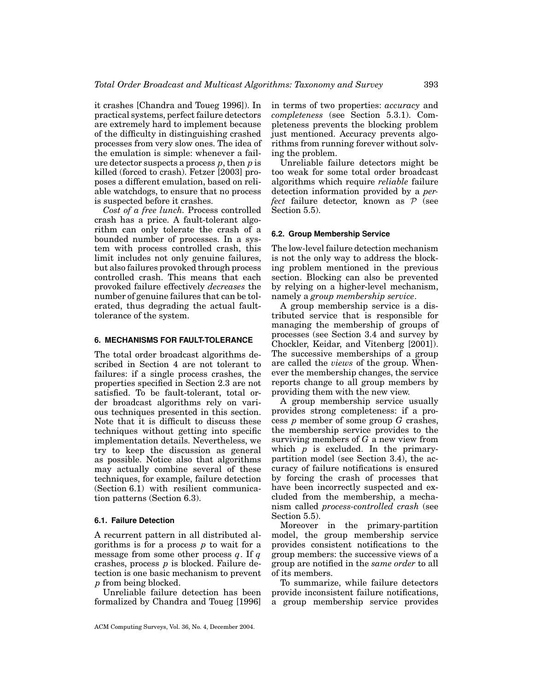it crashes [Chandra and Toueg 1996]). In practical systems, perfect failure detectors are extremely hard to implement because of the difficulty in distinguishing crashed processes from very slow ones. The idea of the emulation is simple: whenever a failure detector suspects a process  $p$ , then  $p$  is killed (forced to crash). Fetzer [2003] proposes a different emulation, based on reliable watchdogs, to ensure that no process is suspected before it crashes.

*Cost of a free lunch.* Process controlled crash has a price. A fault-tolerant algorithm can only tolerate the crash of a bounded number of processes. In a system with process controlled crash, this limit includes not only genuine failures, but also failures provoked through process controlled crash. This means that each provoked failure effectively *decreases* the number of genuine failures that can be tolerated, thus degrading the actual faulttolerance of the system.

# **6. MECHANISMS FOR FAULT-TOLERANCE**

The total order broadcast algorithms described in Section 4 are not tolerant to failures: if a single process crashes, the properties specified in Section 2.3 are not satisfied. To be fault-tolerant, total order broadcast algorithms rely on various techniques presented in this section. Note that it is difficult to discuss these techniques without getting into specific implementation details. Nevertheless, we try to keep the discussion as general as possible. Notice also that algorithms may actually combine several of these techniques, for example, failure detection (Section 6.1) with resilient communication patterns (Section 6.3).

### **6.1. Failure Detection**

A recurrent pattern in all distributed algorithms is for a process *p* to wait for a message from some other process *q*. If *q* crashes, process *p* is blocked. Failure detection is one basic mechanism to prevent *p* from being blocked.

Unreliable failure detection has been formalized by Chandra and Toueg [1996]

in terms of two properties: *accuracy* and *completeness* (see Section 5.3.1). Completeness prevents the blocking problem just mentioned. Accuracy prevents algorithms from running forever without solving the problem.

Unreliable failure detectors might be too weak for some total order broadcast algorithms which require *reliable* failure detection information provided by a *perfect* failure detector, known as P (see Section 5.5).

### **6.2. Group Membership Service**

The low-level failure detection mechanism is not the only way to address the blocking problem mentioned in the previous section. Blocking can also be prevented by relying on a higher-level mechanism, namely a *group membership service*.

A group membership service is a distributed service that is responsible for managing the membership of groups of processes (see Section 3.4 and survey by Chockler, Keidar, and Vitenberg [2001]). The successive memberships of a group are called the *views* of the group. Whenever the membership changes, the service reports change to all group members by providing them with the new view.

A group membership service usually provides strong completeness: if a process *p* member of some group *G* crashes, the membership service provides to the surviving members of *G* a new view from which *p* is excluded. In the primarypartition model (see Section 3.4), the accuracy of failure notifications is ensured by forcing the crash of processes that have been incorrectly suspected and excluded from the membership, a mechanism called *process-controlled crash* (see Section 5.5).

Moreover in the primary-partition model, the group membership service provides consistent notifications to the group members: the successive views of a group are notified in the *same order* to all of its members.

To summarize, while failure detectors provide inconsistent failure notifications, a group membership service provides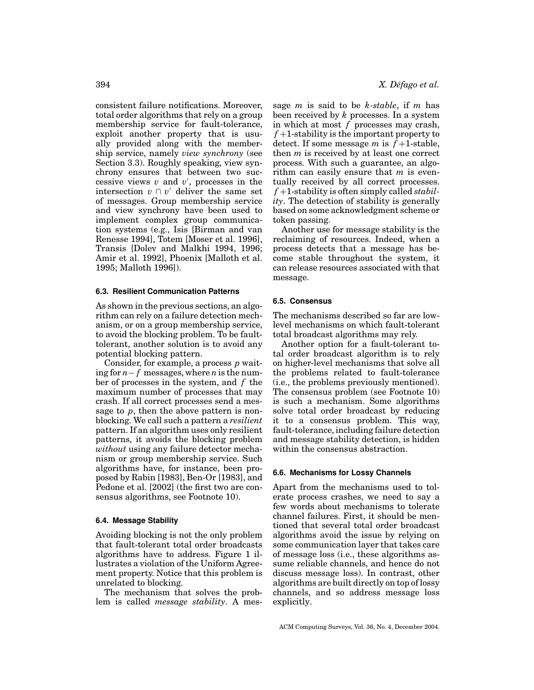consistent failure notifications. Moreover, total order algorithms that rely on a group membership service for fault-tolerance, exploit another property that is usually provided along with the membership service, namely *view synchrony* (see Section 3.3). Roughly speaking, view synchrony ensures that between two successive views *v* and *v* , processes in the intersection  $v \cap v'$  deliver the same set of messages. Group membership service and view synchrony have been used to implement complex group communica-

tion systems (e.g., Isis [Birman and van Renesse 1994], Totem [Moser et al. 1996], Transis [Dolev and Malkhi 1994, 1996; Amir et al. 1992], Phoenix [Malloth et al. 1995; Malloth 1996]).

# **6.3. Resilient Communication Patterns**

As shown in the previous sections, an algorithm can rely on a failure detection mechanism, or on a group membership service, to avoid the blocking problem. To be faulttolerant, another solution is to avoid any potential blocking pattern.

Consider, for example, a process *p* waiting for *n*− *f* messages, where *n* is the number of processes in the system, and *f* the maximum number of processes that may crash. If all correct processes send a message to *p*, then the above pattern is nonblocking. We call such a pattern a *resilient* pattern. If an algorithm uses only resilient patterns, it avoids the blocking problem *without* using any failure detector mechanism or group membership service. Such algorithms have, for instance, been proposed by Rabin [1983], Ben-Or [1983], and Pedone et al. [2002] (the first two are consensus algorithms, see Footnote 10).

# **6.4. Message Stability**

Avoiding blocking is not the only problem that fault-tolerant total order broadcasts algorithms have to address. Figure 1 illustrates a violation of the Uniform Agreement property. Notice that this problem is unrelated to blocking.

The mechanism that solves the problem is called *message stability*. A message *m* is said to be *k-stable*, if *m* has been received by *k* processes. In a system in which at most *f* processes may crash, *f* +1-stability is the important property to detect. If some message *m* is *f* +1-stable, then *m* is received by at least one correct process. With such a guarantee, an algorithm can easily ensure that *m* is eventually received by all correct processes. *f* +1-stability is often simply called *stability*. The detection of stability is generally based on some acknowledgment scheme or token passing.

Another use for message stability is the reclaiming of resources. Indeed, when a process detects that a message has become stable throughout the system, it can release resources associated with that message.

# **6.5. Consensus**

The mechanisms described so far are lowlevel mechanisms on which fault-tolerant total broadcast algorithms may rely.

Another option for a fault-tolerant total order broadcast algorithm is to rely on higher-level mechanisms that solve all the problems related to fault-tolerance (i.e., the problems previously mentioned). The consensus problem (see Footnote 10) is such a mechanism. Some algorithms solve total order broadcast by reducing it to a consensus problem. This way, fault-tolerance, including failure detection and message stability detection, is hidden within the consensus abstraction.

## **6.6. Mechanisms for Lossy Channels**

Apart from the mechanisms used to tolerate process crashes, we need to say a few words about mechanisms to tolerate channel failures. First, it should be mentioned that several total order broadcast algorithms avoid the issue by relying on some communication layer that takes care of message loss (i.e., these algorithms assume reliable channels, and hence do not discuss message loss). In contrast, other algorithms are built directly on top of lossy channels, and so address message loss explicitly.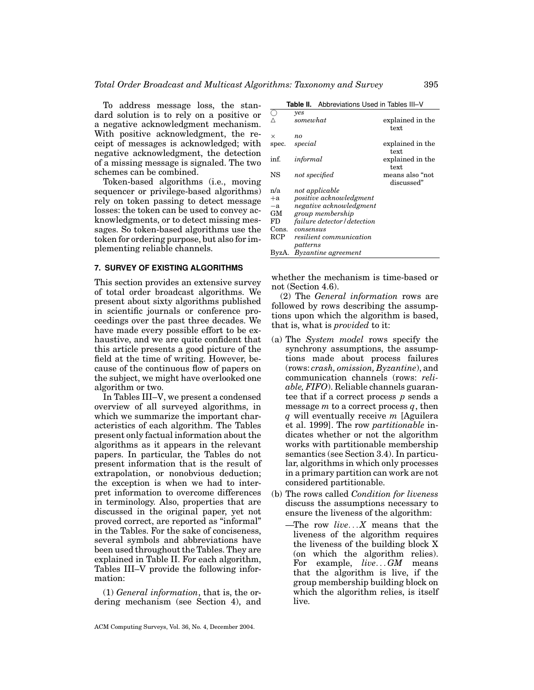To address message loss, the standard solution is to rely on a positive or a negative acknowledgment mechanism. With positive acknowledgment, the receipt of messages is acknowledged; with negative acknowledgment, the detection of a missing message is signaled. The two schemes can be combined.

Token-based algorithms (i.e., moving sequencer or privilege-based algorithms) rely on token passing to detect message losses: the token can be used to convey acknowledgments, or to detect missing messages. So token-based algorithms use the token for ordering purpose, but also for implementing reliable channels.

# **7. SURVEY OF EXISTING ALGORITHMS**

This section provides an extensive survey of total order broadcast algorithms. We present about sixty algorithms published in scientific journals or conference proceedings over the past three decades. We have made every possible effort to be exhaustive, and we are quite confident that this article presents a good picture of the field at the time of writing. However, because of the continuous flow of papers on the subject, we might have overlooked one algorithm or two.

In Tables III–V, we present a condensed overview of all surveyed algorithms, in which we summarize the important characteristics of each algorithm. The Tables present only factual information about the algorithms as it appears in the relevant papers. In particular, the Tables do not present information that is the result of extrapolation, or nonobvious deduction; the exception is when we had to interpret information to overcome differences in terminology. Also, properties that are discussed in the original paper, yet not proved correct, are reported as "informal" in the Tables. For the sake of conciseness, several symbols and abbreviations have been used throughout the Tables. They are explained in Table II. For each algorithm, Tables III–V provide the following information:

(1) *General information*, that is, the ordering mechanism (see Section 4), and

|            | <b>Table II.</b> Abbreviations Used in Tables III-V |                               |
|------------|-----------------------------------------------------|-------------------------------|
|            | yes<br>somewhat                                     | explained in the<br>text      |
| $\times$   | no<br>spec. special                                 | explained in the<br>text      |
| inf.       | informal                                            | explained in the<br>text      |
| NS         | not specified                                       | means also "not<br>discussed" |
| n/a        | not applicable                                      |                               |
| $+a$       | <i>positive acknowledgment</i>                      |                               |
| $-a$       | negative acknowledgment                             |                               |
| GM         | group membership                                    |                               |
| FD.        | failure detector/detection                          |                               |
| Cons.      | consensus                                           |                               |
| <b>RCP</b> | <i>resilient communication</i>                      |                               |
|            | patterns                                            |                               |
| ByzA.      | <i>Byzantine agreement</i>                          |                               |

whether the mechanism is time-based or not (Section 4.6).

(2) The *General information* rows are followed by rows describing the assumptions upon which the algorithm is based, that is, what is *provided* to it:

- (a) The *System model* rows specify the synchrony assumptions, the assumptions made about process failures (rows: *crash, omission, Byzantine*), and communication channels (rows: *reliable, FIFO*). Reliable channels guarantee that if a correct process *p* sends a message *m* to a correct process *q*, then *q* will eventually receive *m* [Aguilera et al. 1999]. The row *partitionable* indicates whether or not the algorithm works with partitionable membership semantics (see Section 3.4). In particular, algorithms in which only processes in a primary partition can work are not considered partitionable.
- (b) The rows called *Condition for liveness* discuss the assumptions necessary to ensure the liveness of the algorithm:
	- —The row *live*... *X* means that the liveness of the algorithm requires the liveness of the building block X (on which the algorithm relies). For example, *live*... *GM* means that the algorithm is live, if the group membership building block on which the algorithm relies, is itself live.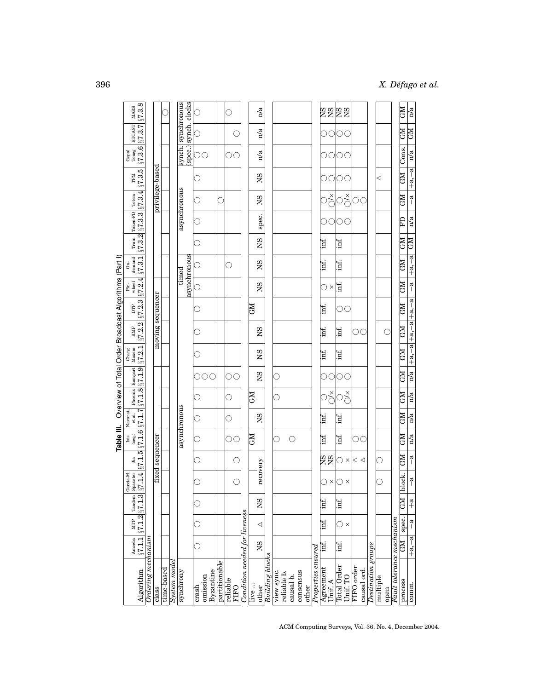| Ordering mechanism<br>Algorithm | §7.1.1<br>Amoeba              | $\S7.1.2$ $\S7.1.3$<br><b>MTP</b> | Tandem        | 1.4 <br>Garcia-M.<br>Spauster | ${\rm Jia}$                                             | Table III.<br>$\begin{array}{c} \text{Isis} \\ \text{seq.} \end{array}$ | Navarat.<br>$_{\rm et \; al.}$ | Phoenix Rampart<br>$\S7.1.5$ $\S7.1.6$ $\S7.1.7$ $\S7.1.8$ $\S7.1.9$ |            | §7.2.1<br>Chang<br>Maxem. | §7.2.2<br>RMP                  | §7.2.3<br>DTP | Overview of Total Order Broadcast Algorithms (Part I)<br>57.2.4<br>wheel<br>Pin- | §7.3.1<br>demand<br>å | §7.3.2<br>Train         | Token-FD<br>§7.3.3 | \$7.3.4<br>$\operatorname{\mathsf{Tot}}$ em | $\S 7.3.5$<br>IMAL | \$7.3.6<br>$_{\rm{Gueg}}^{\rm{Gpal}}$ | <b>RTCAST</b><br>87.3.7 | 87.3.8<br><b>MARS</b>      |
|---------------------------------|-------------------------------|-----------------------------------|---------------|-------------------------------|---------------------------------------------------------|-------------------------------------------------------------------------|--------------------------------|----------------------------------------------------------------------|------------|---------------------------|--------------------------------|---------------|----------------------------------------------------------------------------------|-----------------------|-------------------------|--------------------|---------------------------------------------|--------------------|---------------------------------------|-------------------------|----------------------------|
|                                 |                               |                                   |               |                               | fixed sequencer                                         |                                                                         |                                |                                                                      |            |                           | moving sequencer               |               |                                                                                  |                       |                         |                    |                                             | privilege-based    |                                       |                         |                            |
|                                 |                               |                                   |               |                               |                                                         |                                                                         |                                |                                                                      |            |                           |                                |               |                                                                                  |                       |                         |                    |                                             |                    |                                       |                         |                            |
| System model                    |                               |                                   |               |                               |                                                         |                                                                         |                                |                                                                      |            |                           |                                |               |                                                                                  |                       |                         |                    |                                             |                    |                                       |                         |                            |
|                                 |                               |                                   |               |                               |                                                         |                                                                         | asynchronous                   |                                                                      |            |                           |                                |               | timed                                                                            |                       |                         | asynchronous       |                                             |                    | synch. synchronous                    |                         |                            |
|                                 |                               |                                   |               |                               |                                                         |                                                                         |                                |                                                                      |            |                           |                                |               |                                                                                  | asynchronous          |                         |                    |                                             |                    |                                       | (spec.) synch. clocks   |                            |
|                                 | O                             |                                   | U             |                               | О                                                       | О                                                                       | О                              | D                                                                    | $\bigcirc$ |                           | Э                              | О             |                                                                                  |                       | О                       | 0                  | Э                                           | Э                  | Э                                     | О                       | Э                          |
|                                 |                               |                                   |               |                               |                                                         |                                                                         |                                |                                                                      |            |                           |                                |               |                                                                                  |                       |                         |                    |                                             |                    |                                       |                         |                            |
| partitionable                   |                               |                                   |               |                               |                                                         |                                                                         |                                |                                                                      |            |                           |                                |               |                                                                                  |                       |                         |                    | U.                                          |                    |                                       |                         |                            |
|                                 |                               |                                   |               | $\bigcirc$                    |                                                         | ОO                                                                      | O                              | O                                                                    | ОC         |                           |                                |               |                                                                                  | O                     |                         |                    |                                             |                    | ()                                    | О                       | О                          |
|                                 | Condition needed for liveness |                                   |               |                               |                                                         |                                                                         |                                |                                                                      |            |                           |                                |               |                                                                                  |                       |                         |                    |                                             |                    |                                       |                         |                            |
|                                 |                               |                                   |               |                               |                                                         | KĐ                                                                      |                                | ZЮ                                                                   |            |                           |                                | KP            |                                                                                  |                       |                         |                    |                                             |                    |                                       |                         |                            |
|                                 | 8N                            | ◁                                 | <b>SN</b>     | recovery                      |                                                         |                                                                         | <b>SN</b>                      |                                                                      | gN         | gN                        | <b>SN</b>                      |               | SN                                                                               | <b>SN</b>             | <b>SN</b>               | spec.              | <b>SN</b>                                   | <b>SN</b>          | n/a                                   | n/a                     | n/a                        |
| Building blocks                 |                               |                                   |               |                               |                                                         |                                                                         |                                |                                                                      |            |                           |                                |               |                                                                                  |                       |                         |                    |                                             |                    |                                       |                         |                            |
|                                 |                               |                                   |               |                               |                                                         | ∩                                                                       |                                | О                                                                    | O          |                           |                                |               |                                                                                  |                       |                         |                    |                                             |                    |                                       |                         |                            |
|                                 |                               |                                   |               |                               |                                                         | $\bigcirc$                                                              |                                |                                                                      |            |                           |                                |               |                                                                                  |                       |                         |                    |                                             |                    |                                       |                         |                            |
|                                 |                               |                                   |               |                               |                                                         |                                                                         |                                |                                                                      |            |                           |                                |               |                                                                                  |                       |                         |                    |                                             |                    |                                       |                         |                            |
|                                 | Properties ensured            |                                   |               |                               |                                                         |                                                                         |                                |                                                                      |            |                           |                                |               |                                                                                  |                       |                         |                    |                                             |                    |                                       |                         |                            |
|                                 | $\mathbb{H}$                  | $\mathbf{H}$                      | $\mathbf{H}$  | $\times$<br>U                 | 8X<br>SX                                                | $\mathbb{H}$                                                            | $\mathbb{H}$                   |                                                                      |            | $\mathbb{H}$              | $\mathbb{H}$                   | $\mathbf{H}$  | O<br>$\times$                                                                    | Ì                     | $\overline{\mathbf{H}}$ |                    |                                             |                    |                                       |                         | SX<br>SX                   |
| Total Order                     | $\mathbb{H}$                  | .)                                | $\mathbb{H}$  |                               | О×                                                      | .<br>art                                                                | inf.                           |                                                                      |            | inf.                      | $\mathbb{H}$                   | <u>) (</u>    | inf.                                                                             | Ħ.                    | ini.                    |                    |                                             |                    |                                       |                         | <b>S<br/>S<br/>N<br/>S</b> |
|                                 |                               | ×                                 |               | ×                             |                                                         |                                                                         |                                |                                                                      |            |                           |                                |               |                                                                                  |                       |                         |                    | ×                                           |                    |                                       |                         |                            |
| FIFO order                      |                               |                                   |               |                               | $\mathrel{\vartriangleleft} \mathrel{\vartriangleleft}$ | $\left(\cdot\right)$                                                    |                                |                                                                      |            |                           | OC                             |               |                                                                                  |                       |                         |                    |                                             |                    |                                       |                         |                            |
|                                 | Destination groups            |                                   |               |                               |                                                         |                                                                         |                                |                                                                      |            |                           |                                |               |                                                                                  |                       |                         |                    |                                             |                    |                                       |                         |                            |
|                                 |                               |                                   |               | O                             | O                                                       |                                                                         |                                |                                                                      |            |                           |                                |               |                                                                                  |                       |                         |                    |                                             | ◁                  |                                       |                         |                            |
|                                 | Fault tolerance mechanism     |                                   |               |                               |                                                         |                                                                         |                                |                                                                      |            |                           |                                |               |                                                                                  |                       |                         |                    |                                             |                    |                                       |                         |                            |
|                                 | š                             | spec.                             | 롢             | block.                        | <b>NEO</b>                                              | <b>KP</b>                                                               | <b>NP</b>                      | <b>NP</b>                                                            | <b>NP</b>  | <b>KP</b>                 | <b>NP</b>                      | <b>CM</b>     | <b>NP</b>                                                                        | <b>NP</b>             | <b>NP</b>               | Œ                  | <b>NP</b>                                   | <b>NP</b>          | Cons.                                 | CМ                      | ZЮ                         |
|                                 | $+a,-a$                       | $\frac{a}{1}$                     | $\frac{a}{+}$ | $\overline{a}$                | $\frac{a}{1}$                                           | n/a                                                                     | n/a                            | n/a                                                                  | n/a        |                           | $+a$ , $-a$ $+a$ , $-a$ , $-a$ |               | $\frac{a}{1}$                                                                    | $+a,-a$               | <b>CM</b>               | n/a                | $-\frac{a}{a}$                              | $+a,-a$            | n/a                                   | <b>NEO</b>              | n/a                        |

ACM Computing Surveys, Vol. 36, No. 4, December 2004.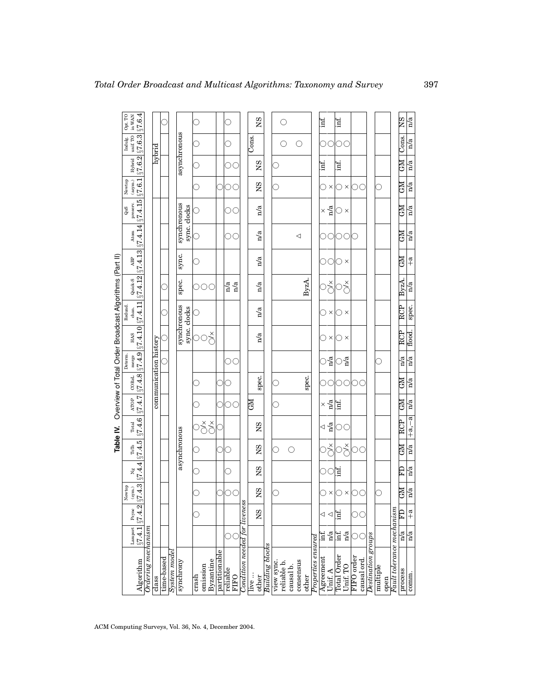|                                                        | \$7.6.4<br>in WAN<br>Opt. TO                                                                                                                                           |                    |                       |            |              |                             | О                 |                             |               | Э                |                               | gN            |                 |           | ∩                        |                 |       |                    | Ħ                    | $\mathbf{H}$ |          |            |             |                    |          |      |                           | SN         | $\mathbf{a}^{\prime}$   |
|--------------------------------------------------------|------------------------------------------------------------------------------------------------------------------------------------------------------------------------|--------------------|-----------------------|------------|--------------|-----------------------------|-------------------|-----------------------------|---------------|------------------|-------------------------------|---------------|-----------------|-----------|--------------------------|-----------------|-------|--------------------|----------------------|--------------|----------|------------|-------------|--------------------|----------|------|---------------------------|------------|-------------------------|
|                                                        | 87.6.3<br>unif.TO<br>Indulg                                                                                                                                            |                    |                       |            |              |                             | ◡                 |                             |               | ○                |                               | Cons.         |                 |           | O                        | О               |       |                    |                      |              |          |            |             |                    |          |      |                           | Cons.      | n/a                     |
|                                                        | \$7.6.2<br>Hybrid                                                                                                                                                      |                    | hybrid                |            |              | asynchronous                |                   |                             |               |                  |                               |               |                 |           |                          |                 |       |                    |                      |              |          |            |             |                    |          |      |                           |            |                         |
|                                                        |                                                                                                                                                                        |                    |                       |            |              |                             | 0                 |                             |               |                  |                               | 8N            |                 |           |                          |                 |       |                    | щ.                   | $\mathbf{H}$ |          |            |             |                    |          |      |                           | KĐ         | $\mathbf{n}/\mathbf{a}$ |
|                                                        | 57.6.1<br>Newtop<br>$\left( \text{asym.}\right)$                                                                                                                       |                    |                       |            |              |                             | O                 |                             |               |                  |                               | gN            |                 |           |                          |                 |       |                    | $\times$             | $\cdot$ )    | $\times$ | .)         |             |                    | О        |      |                           | ŠЯ         | n/a                     |
|                                                        | \$7.4.15<br>preserv.<br>QoS                                                                                                                                            |                    |                       |            |              | synchronous<br>sync. clocks |                   |                             |               |                  |                               | na            |                 |           |                          |                 |       |                    | n/a<br>×             |              |          |            |             |                    |          |      |                           | ZБ         | n/a                     |
|                                                        |                                                                                                                                                                        |                    |                       |            |              |                             | Э                 |                             |               |                  |                               | n/a           |                 |           |                          | $\triangleleft$ |       |                    |                      |              |          |            |             |                    |          |      |                           | KĐ         | n/a                     |
|                                                        |                                                                                                                                                                        |                    |                       |            |              | sync.                       | 0                 |                             |               |                  |                               | n/a           |                 |           |                          |                 |       |                    |                      |              |          |            |             |                    |          |      |                           | ZЕ         | $\frac{a}{b}$           |
|                                                        | $\begin{array}{ c c }\n\hline\n\text{Quots} & \text{ABP} & \text{Atom} \\ \hline\n\text{ST.4.12} & \text{ST.4.13} & \text{ST.4.14}\n\end{array}$                       |                    |                       |            |              | spec.                       |                   |                             |               | n/a<br>n/a       |                               | n/a           |                 |           |                          |                 | ByzA. |                    |                      |              |          |            |             |                    |          |      |                           | ByzA.      | n/a                     |
| Overview of Total Order Broadcast Algorithms (Part II) | merge $\left  \begin{array}{cc} \text{HAS} \\ \text{S7.4.9} \end{array} \right  \left  \begin{array}{cc} \text{cnan} \\ \text{S7.4.11} \end{array} \right $<br>Redund. |                    |                       |            |              | synchronous<br>sync. clocks |                   |                             |               |                  |                               | n/a           |                 |           |                          |                 |       |                    | $\times$             |              | $\times$ |            |             |                    |          |      |                           | <b>RCP</b> | spec.                   |
|                                                        |                                                                                                                                                                        |                    |                       |            |              |                             |                   | $\stackrel{\times}{\frown}$ |               |                  |                               | na            |                 |           |                          |                 |       |                    | $\times$             |              | $\times$ |            |             |                    |          |      |                           | RCP        | flood.                  |
|                                                        | Determ.                                                                                                                                                                |                    | communication history |            |              |                             |                   |                             |               |                  |                               |               |                 |           |                          |                 |       |                    | n/a                  |              | n/a      |            |             |                    | . .      |      |                           | n/a        | $\mathbf{a}^{\prime}$   |
|                                                        | 8.4.8<br>$_{\rm COReLU}$                                                                                                                                               |                    |                       |            |              |                             | Э                 |                             |               |                  |                               | spec.         |                 | 0         |                          |                 | spec. |                    |                      |              |          |            |             |                    |          |      |                           | MĐ         | $\mathbf{n}/\mathbf{a}$ |
|                                                        | \$7.4.7<br>ATOP                                                                                                                                                        |                    |                       |            |              |                             |                   |                             |               |                  |                               | КĐ            |                 |           |                          |                 |       |                    | n/a<br>×             | Ħ            |          |            |             |                    |          |      |                           | M          | n/a                     |
|                                                        | 87.4.6<br>Total                                                                                                                                                        |                    |                       |            |              |                             | ≸                 | $\breve{\ge}$               |               |                  |                               | gN            |                 |           |                          |                 |       |                    | n/a<br>◁             |              |          |            |             |                    |          |      |                           | RCP        | $+a, -a$                |
| Table IV.                                              | §7.4.5<br>$_{\rm ToTo}$                                                                                                                                                |                    |                       |            |              | asynchronous                |                   |                             |               |                  |                               | 8N            |                 | U         | O                        |                 |       |                    |                      |              | X        |            |             |                    |          |      |                           | KĐ         | n/a                     |
|                                                        | 87.4.4<br>$\mathbf{X}^{\mathsf{g}}$                                                                                                                                    |                    |                       |            |              |                             | 0                 |                             |               |                  |                               | SX            |                 |           |                          |                 |       |                    |                      | Ē            |          |            |             |                    |          |      |                           | EE         | n/a                     |
|                                                        | \$7.4.3<br>Newtop<br>$\left( \operatorname{sym.}\right)$                                                                                                               |                    |                       |            |              |                             |                   |                             |               |                  |                               | SN            |                 |           |                          |                 |       |                    | $\times$             | ⊃            | $\times$ |            |             |                    | O        |      |                           | <b>KPO</b> | n/a                     |
|                                                        | \$7.4.2<br>Psync                                                                                                                                                       |                    |                       |            |              |                             |                   |                             |               |                  |                               | gN            |                 |           |                          |                 |       |                    | ◁<br>◁               | Ħ            |          | )          |             |                    |          |      |                           | ₽          | $+a$                    |
|                                                        | \$7.4.1 <br>Lamport                                                                                                                                                    |                    |                       |            |              |                             |                   |                             |               |                  |                               |               |                 |           |                          |                 |       |                    | n/a<br>Ħ             | Ħ            | n/a      |            |             |                    |          |      |                           | n/a        | n/a                     |
|                                                        | Algorithm                                                                                                                                                              | Ordering mechanism | class                 | time-based | System model | synchrony                   | omission<br>crash | Byzantine                   | partitionable | reliable<br>FIFO | condition needed for liveness | live<br>other | Building blocks | view sync | reliable b.<br>causal b. | consensus       | other | Properties ensured | Agreement<br>Unif. A | Total Order  | Unif. TO | FIFO order | causal ord. | Destination groups | multiple | open | Fault tolerance mechanism | process    | comm.                   |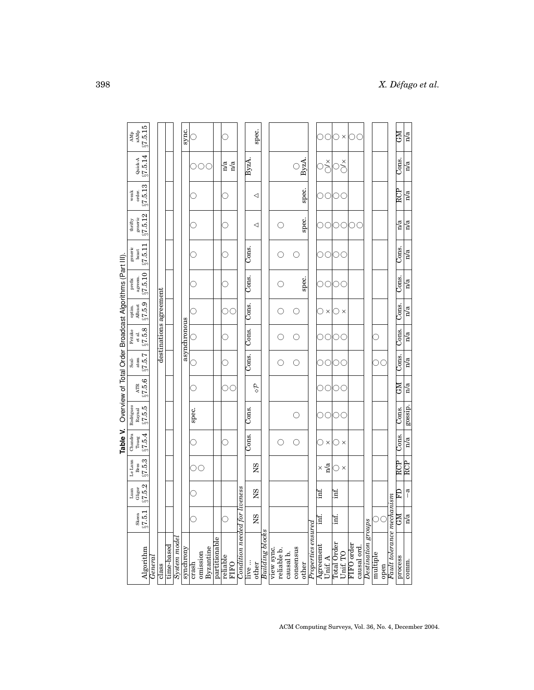|                                                         | §7.5.15<br>xAMp<br>AMp                |         |                        |            |              | sync.        |                                                 |                       |               | O                |                      | spec.                    |                 |                          |           |                    |                             |                      | $\times$<br>0                         |                                        |                  |                           | ZЯ      | n/a     |
|---------------------------------------------------------|---------------------------------------|---------|------------------------|------------|--------------|--------------|-------------------------------------------------|-----------------------|---------------|------------------|----------------------|--------------------------|-----------------|--------------------------|-----------|--------------------|-----------------------------|----------------------|---------------------------------------|----------------------------------------|------------------|---------------------------|---------|---------|
|                                                         | §7.5.14<br>Quick-A                    |         |                        |            |              |              |                                                 |                       |               | n/a<br>n/a       |                      | ByzA                     |                 |                          |           | ByzA               |                             | $\times$             |                                       |                                        |                  |                           | Cons.   | n/a     |
|                                                         | §7.5.13<br>order.<br>weak             |         |                        |            |              |              |                                                 |                       |               | .)               |                      | ◁                        |                 |                          |           | spec.              |                             |                      |                                       |                                        |                  |                           | RCP     | n/a     |
|                                                         | §7.5.12<br>generic<br>thrifty         |         |                        |            |              |              |                                                 |                       |               | 0                |                      | ◁                        |                 | O                        |           | spec.              |                             |                      |                                       |                                        |                  |                           | n/a     | n/a     |
|                                                         | §7.5.11<br>generic<br>bcast           |         |                        |            |              |              |                                                 |                       |               | O                |                      | Cons                     |                 | ∩                        |           | ∩                  |                             |                      |                                       |                                        |                  |                           | Cons.   | n/a     |
| Overview of Total Order Broadcast Algorithms (Part III) | §7.5.10<br>agreem.<br>$_{\rm prefix}$ |         |                        |            |              |              |                                                 |                       |               |                  |                      | Cons                     |                 |                          |           | spec.              |                             |                      |                                       |                                        |                  |                           | Cons.   | n/a     |
|                                                         | $87.5.9$<br>optim.<br>ABcast          |         | destinations agreement |            |              |              |                                                 |                       |               |                  |                      | Cons.                    |                 | ∩                        |           | 0                  |                             | $\times$             | $\times$                              |                                        |                  |                           | Cons.   | n/a     |
|                                                         | 87.5.8<br>Fritzke<br>et al.           |         |                        |            |              | asynchronous |                                                 |                       |               | 0                |                      | Cons.                    |                 | 0                        |           | O                  |                             |                      |                                       |                                        | ◡                |                           | Cons.   | n/a     |
|                                                         | $\S7.5.7$<br>Scal-<br>atom            |         |                        |            |              |              | $^{(+)}$                                        |                       |               | ∩                |                      | Cons.                    |                 | ∩                        |           | ∩                  |                             |                      |                                       |                                        | D                |                           | Cons.   | n/a     |
|                                                         | 87.5.6<br>ATR                         |         |                        |            |              |              |                                                 |                       |               | ОC               |                      | $\mathcal{L}^{\diamond}$ |                 |                          |           |                    |                             |                      |                                       |                                        |                  |                           | КĐ      | n/a     |
|                                                         | Rodrigues<br>87.5.5<br>Raynal         |         |                        |            |              |              | spec.                                           |                       |               |                  |                      | $_{\rm Cons}$            |                 |                          |           | О                  |                             |                      |                                       |                                        |                  |                           | Cons.   | gossip. |
| Table V.                                                | Chandra<br>87.5.4<br>Toueg            |         |                        |            |              |              | Э                                               |                       |               | О                |                      | Cons.                    |                 | $\bigcirc$               |           | $\bigcirc$         |                             | О<br>$\times$        | $\times$<br>()                        |                                        |                  |                           | Cons.   | n/a     |
|                                                         | §7.5.3<br>Le Lann<br><b>Bres</b>      |         |                        |            |              |              | $\left( \begin{array}{c} 1 \end{array} \right)$ |                       |               |                  |                      | <b>SN</b>                |                 |                          |           |                    |                             | n/a<br>×             | $\times$                              |                                        |                  |                           | RCP     | RCP     |
|                                                         | $\S7.5.2$<br>Gligor<br>Luan           |         |                        |            |              |              |                                                 |                       |               |                  | liveness             | 8N                       |                 |                          |           |                    |                             | Ĕ                    | .<br>Е                                |                                        |                  |                           | E       | $^{-a}$ |
|                                                         | \$7.5.1<br>Skeen                      |         |                        |            |              |              |                                                 |                       |               |                  |                      | gN                       |                 |                          |           |                    |                             | Ĕ                    | р.<br>Н                               |                                        |                  |                           | ΚĐ      | n/a     |
|                                                         | Algorithm                             | General | class                  | time-based | System modei | synchrony    | crash                                           | Byzantine<br>omission | partitionable | reliable<br>FIFO | Condition needed for | live<br>other            | Building blocks | view sync<br>reliable b. | causal b. | consensus<br>other | $\emph{Properties ensured}$ | Agreement<br>Unif. A | Total Order<br>Unif. TO<br>FIFO order | $\frac{1}{\text{C}{\it{estination}}}\$ | multiple<br>open | Fault tolerance mechanism | process | comm.   |

ACM Computing Surveys, Vol. 36, No. 4, December 2004.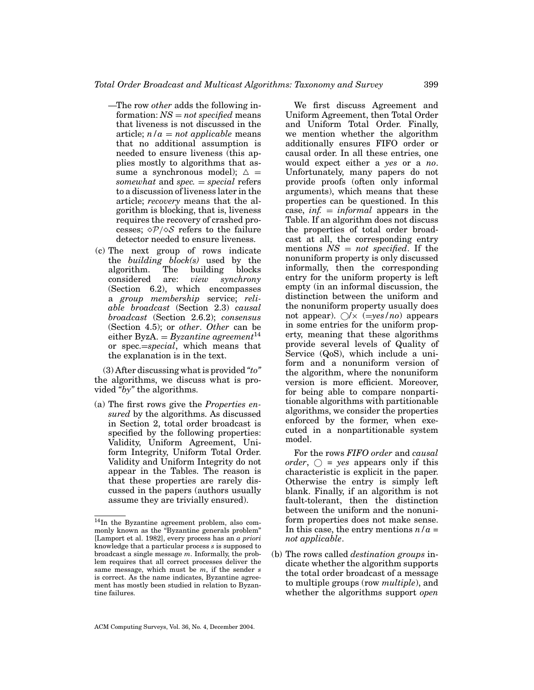- —The row *other* adds the following information:  $NS = not specified$  means that liveness is not discussed in the article;  $n/a = not$  *applicable* means that no additional assumption is needed to ensure liveness (this applies mostly to algorithms that assume a synchronous model);  $\Delta$  = *somewhat* and *spec.* = *special* refers to a discussion of liveness later in the article; *recovery* means that the algorithm is blocking, that is, liveness requires the recovery of crashed processes;  $\Diamond P/\Diamond S$  refers to the failure detector needed to ensure liveness.
- (c) The next group of rows indicate the *building block(s)* used by the algorithm. The building blocks considered are: *view synchrony* (Section 6.2), which encompasses a *group membership* service; *reliable broadcast* (Section 2.3) *causal broadcast* (Section 2.6.2); *consensus* (Section 4.5); or *other*. *Other* can be either ByzA.  $=$  *Byzantine agreement*<sup>14</sup> or spec.=*special*, which means that the explanation is in the text.

(3) After discussing what is provided *"to"* the algorithms, we discuss what is provided *"by"* the algorithms.

(a) The first rows give the *Properties ensured* by the algorithms. As discussed in Section 2, total order broadcast is specified by the following properties: Validity, Uniform Agreement, Uniform Integrity, Uniform Total Order. Validity and Uniform Integrity do not appear in the Tables. The reason is that these properties are rarely discussed in the papers (authors usually assume they are trivially ensured).

We first discuss Agreement and Uniform Agreement, then Total Order and Uniform Total Order. Finally, we mention whether the algorithm additionally ensures FIFO order or causal order. In all these entries, one would expect either a *yes* or a *no*. Unfortunately, many papers do not provide proofs (often only informal arguments), which means that these properties can be questioned. In this case, *inf.* = *informal* appears in the Table. If an algorithm does not discuss the properties of total order broadcast at all, the corresponding entry mentions *NS* = *not specified*. If the nonuniform property is only discussed informally, then the corresponding entry for the uniform property is left empty (in an informal discussion, the distinction between the uniform and the nonuniform property usually does not appear).  $\bigcirc / \times \big( = \frac{\text{yes}}{\text{no}} \big)$  appears in some entries for the uniform property, meaning that these algorithms provide several levels of Quality of Service (QoS), which include a uniform and a nonuniform version of the algorithm, where the nonuniform version is more efficient. Moreover, for being able to compare nonpartitionable algorithms with partitionable algorithms, we consider the properties enforced by the former, when executed in a nonpartitionable system model.

For the rows *FIFO order* and *causal order*,  $\bigcirc$  = *yes* appears only if this characteristic is explicit in the paper. Otherwise the entry is simply left blank. Finally, if an algorithm is not fault-tolerant, then the distinction between the uniform and the nonuniform properties does not make sense. In this case, the entry mentions *n/a = not applicable*.

(b) The rows called *destination groups* indicate whether the algorithm supports the total order broadcast of a message to multiple groups (row *multiple*), and whether the algorithms support *open*

<sup>14</sup>In the Byzantine agreement problem, also commonly known as the "Byzantine generals problem" [Lamport et al. 1982], every process has an *a priori* knowledge that a particular process *s* is supposed to broadcast a single message *m*. Informally, the problem requires that all correct processes deliver the same message, which must be *m*, if the sender *s* is correct. As the name indicates, Byzantine agreement has mostly been studied in relation to Byzantine failures.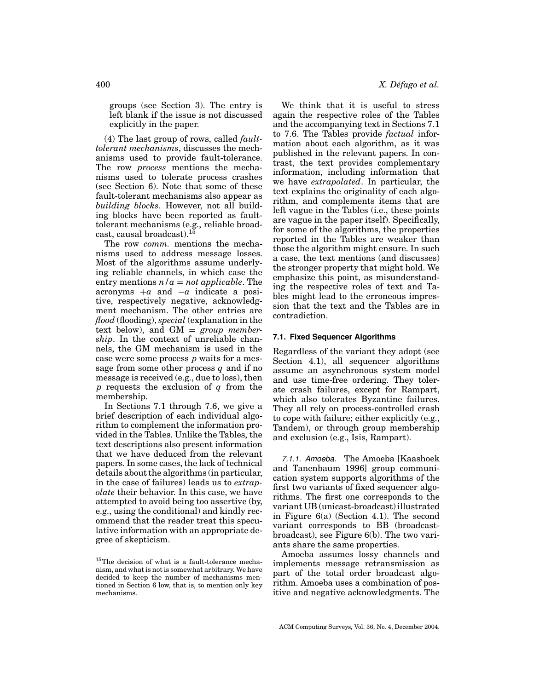groups (see Section 3). The entry is left blank if the issue is not discussed explicitly in the paper.

(4) The last group of rows, called *faulttolerant mechanisms*, discusses the mechanisms used to provide fault-tolerance. The row *process* mentions the mechanisms used to tolerate process crashes (see Section 6). Note that some of these fault-tolerant mechanisms also appear as *building blocks*. However, not all building blocks have been reported as faulttolerant mechanisms (e.g., reliable broad- $\rm {cast, causal~ broadcast).}^{15}$ 

The row *comm.* mentions the mechanisms used to address message losses. Most of the algorithms assume underlying reliable channels, in which case the entry mentions  $n/a = not$  *applicable*. The acronyms +*a* and −*a* indicate a positive, respectively negative, acknowledgment mechanism. The other entries are *flood* (flooding), *special* (explanation in the text below), and GM = *group membership*. In the context of unreliable channels, the GM mechanism is used in the case were some process *p* waits for a message from some other process *q* and if no message is received (e.g., due to loss), then *p* requests the exclusion of *q* from the membership.

In Sections 7.1 through 7.6, we give a brief description of each individual algorithm to complement the information provided in the Tables. Unlike the Tables, the text descriptions also present information that we have deduced from the relevant papers. In some cases, the lack of technical details about the algorithms (in particular, in the case of failures) leads us to *extrapolate* their behavior. In this case, we have attempted to avoid being too assertive (by, e.g., using the conditional) and kindly recommend that the reader treat this speculative information with an appropriate degree of skepticism.

We think that it is useful to stress again the respective roles of the Tables and the accompanying text in Sections 7.1 to 7.6. The Tables provide *factual* information about each algorithm, as it was published in the relevant papers. In contrast, the text provides complementary information, including information that we have *extrapolated*. In particular, the text explains the originality of each algorithm, and complements items that are left vague in the Tables (i.e., these points are vague in the paper itself). Specifically, for some of the algorithms, the properties reported in the Tables are weaker than those the algorithm might ensure. In such a case, the text mentions (and discusses) the stronger property that might hold. We emphasize this point, as misunderstanding the respective roles of text and Tables might lead to the erroneous impression that the text and the Tables are in contradiction.

### **7.1. Fixed Sequencer Algorithms**

Regardless of the variant they adopt (see Section 4.1), all sequencer algorithms assume an asynchronous system model and use time-free ordering. They tolerate crash failures, except for Rampart, which also tolerates Byzantine failures. They all rely on process-controlled crash to cope with failure; either explicitly (e.g., Tandem), or through group membership and exclusion (e.g., Isis, Rampart).

*7.1.1. Amoeba.* The Amoeba [Kaashoek and Tanenbaum 1996] group communication system supports algorithms of the first two variants of fixed sequencer algorithms. The first one corresponds to the variant UB (unicast-broadcast) illustrated in Figure 6(a) (Section 4.1). The second variant corresponds to BB (broadcastbroadcast), see Figure 6(b). The two variants share the same properties.

Amoeba assumes lossy channels and implements message retransmission as part of the total order broadcast algorithm. Amoeba uses a combination of positive and negative acknowledgments. The

<sup>15</sup>The decision of what is a fault-tolerance mechanism, and what is not is somewhat arbitrary. We have decided to keep the number of mechanisms mentioned in Section 6 low, that is, to mention only key mechanisms.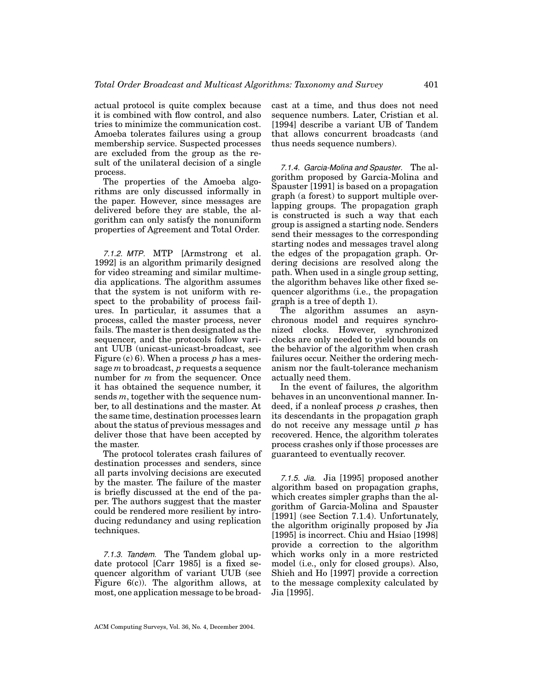actual protocol is quite complex because it is combined with flow control, and also tries to minimize the communication cost. Amoeba tolerates failures using a group membership service. Suspected processes are excluded from the group as the result of the unilateral decision of a single process.

The properties of the Amoeba algorithms are only discussed informally in the paper. However, since messages are delivered before they are stable, the algorithm can only satisfy the nonuniform properties of Agreement and Total Order.

*7.1.2. MTP.* MTP [Armstrong et al. 1992] is an algorithm primarily designed for video streaming and similar multimedia applications. The algorithm assumes that the system is not uniform with respect to the probability of process failures. In particular, it assumes that a process, called the master process, never fails. The master is then designated as the sequencer, and the protocols follow variant UUB (unicast-unicast-broadcast, see Figure (c) 6). When a process *p* has a message *m* to broadcast, *p* requests a sequence number for *m* from the sequencer. Once it has obtained the sequence number, it sends *m*, together with the sequence number, to all destinations and the master. At the same time, destination processes learn about the status of previous messages and deliver those that have been accepted by the master.

The protocol tolerates crash failures of destination processes and senders, since all parts involving decisions are executed by the master. The failure of the master is briefly discussed at the end of the paper. The authors suggest that the master could be rendered more resilient by introducing redundancy and using replication techniques.

*7.1.3. Tandem.* The Tandem global update protocol [Carr 1985] is a fixed sequencer algorithm of variant UUB (see Figure  $6(c)$ ). The algorithm allows, at most, one application message to be broadcast at a time, and thus does not need sequence numbers. Later, Cristian et al. [1994] describe a variant UB of Tandem that allows concurrent broadcasts (and thus needs sequence numbers).

*7.1.4. Garcia-Molina and Spauster.* The algorithm proposed by Garcia-Molina and Spauster [1991] is based on a propagation graph (a forest) to support multiple overlapping groups. The propagation graph is constructed is such a way that each group is assigned a starting node. Senders send their messages to the corresponding starting nodes and messages travel along the edges of the propagation graph. Ordering decisions are resolved along the path. When used in a single group setting, the algorithm behaves like other fixed sequencer algorithms (i.e., the propagation graph is a tree of depth 1).

The algorithm assumes an asynchronous model and requires synchronized clocks. However, synchronized clocks are only needed to yield bounds on the behavior of the algorithm when crash failures occur. Neither the ordering mechanism nor the fault-tolerance mechanism actually need them.

In the event of failures, the algorithm behaves in an unconventional manner. Indeed, if a nonleaf process *p* crashes, then its descendants in the propagation graph do not receive any message until *p* has recovered. Hence, the algorithm tolerates process crashes only if those processes are guaranteed to eventually recover.

*7.1.5. Jia.* Jia [1995] proposed another algorithm based on propagation graphs, which creates simpler graphs than the algorithm of Garcia-Molina and Spauster [1991] (see Section 7.1.4). Unfortunately, the algorithm originally proposed by Jia [1995] is incorrect. Chiu and Hsiao [1998] provide a correction to the algorithm which works only in a more restricted model (i.e., only for closed groups). Also, Shieh and Ho [1997] provide a correction to the message complexity calculated by Jia [1995].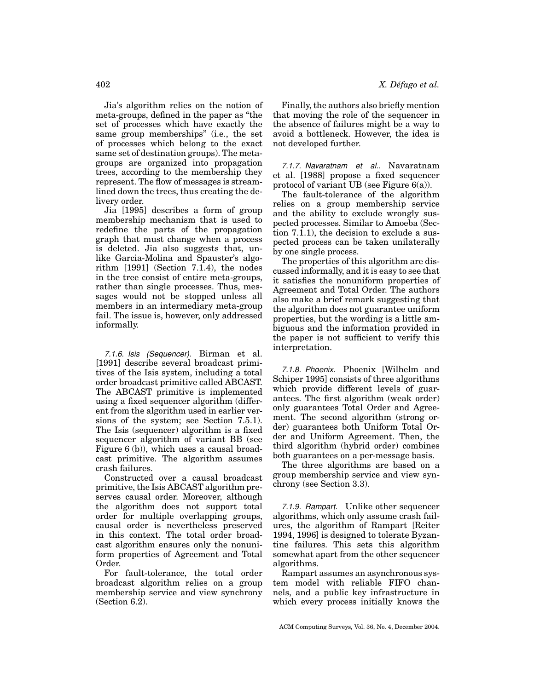Jia's algorithm relies on the notion of meta-groups, defined in the paper as "the set of processes which have exactly the same group memberships" (i.e., the set of processes which belong to the exact same set of destination groups). The metagroups are organized into propagation trees, according to the membership they represent. The flow of messages is streamlined down the trees, thus creating the delivery order.

Jia [1995] describes a form of group membership mechanism that is used to redefine the parts of the propagation graph that must change when a process is deleted. Jia also suggests that, unlike Garcia-Molina and Spauster's algorithm  $[1991]$  (Section 7.1.4), the nodes in the tree consist of entire meta-groups, rather than single processes. Thus, messages would not be stopped unless all members in an intermediary meta-group fail. The issue is, however, only addressed informally.

*7.1.6. Isis (Sequencer).* Birman et al. [1991] describe several broadcast primitives of the Isis system, including a total order broadcast primitive called ABCAST. The ABCAST primitive is implemented using a fixed sequencer algorithm (different from the algorithm used in earlier versions of the system; see Section 7.5.1). The Isis (sequencer) algorithm is a fixed sequencer algorithm of variant BB (see Figure 6 (b)), which uses a causal broadcast primitive. The algorithm assumes crash failures.

Constructed over a causal broadcast primitive, the Isis ABCAST algorithm preserves causal order. Moreover, although the algorithm does not support total order for multiple overlapping groups, causal order is nevertheless preserved in this context. The total order broadcast algorithm ensures only the nonuniform properties of Agreement and Total Order.

For fault-tolerance, the total order broadcast algorithm relies on a group membership service and view synchrony (Section 6.2).

Finally, the authors also briefly mention that moving the role of the sequencer in the absence of failures might be a way to avoid a bottleneck. However, the idea is not developed further.

*7.1.7. Navaratnam et al..* Navaratnam et al. [1988] propose a fixed sequencer protocol of variant UB (see Figure 6(a)).

The fault-tolerance of the algorithm relies on a group membership service and the ability to exclude wrongly suspected processes. Similar to Amoeba (Section 7.1.1), the decision to exclude a suspected process can be taken unilaterally by one single process.

The properties of this algorithm are discussed informally, and it is easy to see that it satisfies the nonuniform properties of Agreement and Total Order. The authors also make a brief remark suggesting that the algorithm does not guarantee uniform properties, but the wording is a little ambiguous and the information provided in the paper is not sufficient to verify this interpretation.

*7.1.8. Phoenix.* Phoenix [Wilhelm and Schiper 1995] consists of three algorithms which provide different levels of guarantees. The first algorithm (weak order) only guarantees Total Order and Agreement. The second algorithm (strong order) guarantees both Uniform Total Order and Uniform Agreement. Then, the third algorithm (hybrid order) combines both guarantees on a per-message basis.

The three algorithms are based on a group membership service and view synchrony (see Section 3.3).

*7.1.9. Rampart.* Unlike other sequencer algorithms, which only assume crash failures, the algorithm of Rampart [Reiter 1994, 1996] is designed to tolerate Byzantine failures. This sets this algorithm somewhat apart from the other sequencer algorithms.

Rampart assumes an asynchronous system model with reliable FIFO channels, and a public key infrastructure in which every process initially knows the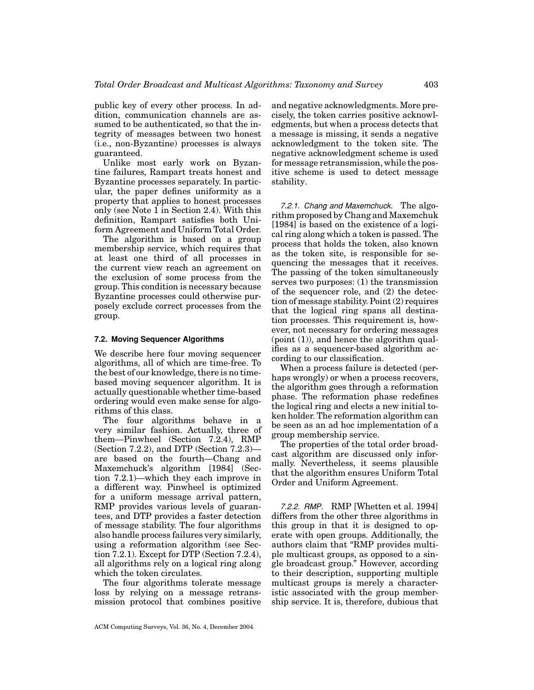public key of every other process. In addition, communication channels are assumed to be authenticated, so that the integrity of messages between two honest (i.e., non-Byzantine) processes is always guaranteed.

Unlike most early work on Byzantine failures, Rampart treats honest and Byzantine processes separately. In particular, the paper defines uniformity as a property that applies to honest processes only (see Note 1 in Section 2.4). With this definition, Rampart satisfies both Uniform Agreement and Uniform Total Order.

The algorithm is based on a group membership service, which requires that at least one third of all processes in the current view reach an agreement on the exclusion of some process from the group. This condition is necessary because Byzantine processes could otherwise purposely exclude correct processes from the group.

### **7.2. Moving Sequencer Algorithms**

We describe here four moving sequencer algorithms, all of which are time-free. To the best of our knowledge, there is no timebased moving sequencer algorithm. It is actually questionable whether time-based ordering would even make sense for algorithms of this class.

The four algorithms behave in a very similar fashion. Actually, three of them—Pinwheel (Section 7.2.4), RMP (Section 7.2.2), and DTP (Section 7.2.3) are based on the fourth—Chang and Maxemchuck's algorithm [1984] (Section 7.2.1)—which they each improve in a different way. Pinwheel is optimized for a uniform message arrival pattern, RMP provides various levels of guarantees, and DTP provides a faster detection of message stability. The four algorithms also handle process failures very similarly, using a reformation algorithm (see Section 7.2.1). Except for DTP (Section 7.2.4), all algorithms rely on a logical ring along which the token circulates.

The four algorithms tolerate message loss by relying on a message retransmission protocol that combines positive

and negative acknowledgments. More precisely, the token carries positive acknowledgments, but when a process detects that a message is missing, it sends a negative acknowledgment to the token site. The negative acknowledgment scheme is used for message retransmission, while the positive scheme is used to detect message stability.

*7.2.1. Chang and Maxemchuck.* The algorithm proposed by Chang and Maxemchuk [1984] is based on the existence of a logical ring along which a token is passed. The process that holds the token, also known as the token site, is responsible for sequencing the messages that it receives. The passing of the token simultaneously serves two purposes: (1) the transmission of the sequencer role, and (2) the detection of message stability. Point (2) requires that the logical ring spans all destination processes. This requirement is, however, not necessary for ordering messages (point (1)), and hence the algorithm qualifies as a sequencer-based algorithm according to our classification.

When a process failure is detected (perhaps wrongly) or when a process recovers, the algorithm goes through a reformation phase. The reformation phase redefines the logical ring and elects a new initial token holder. The reformation algorithm can be seen as an ad hoc implementation of a group membership service.

The properties of the total order broadcast algorithm are discussed only informally. Nevertheless, it seems plausible that the algorithm ensures Uniform Total Order and Uniform Agreement.

*7.2.2. RMP.* RMP [Whetten et al. 1994] differs from the other three algorithms in this group in that it is designed to operate with open groups. Additionally, the authors claim that "RMP provides multiple multicast groups, as opposed to a single broadcast group." However, according to their description, supporting multiple multicast groups is merely a characteristic associated with the group membership service. It is, therefore, dubious that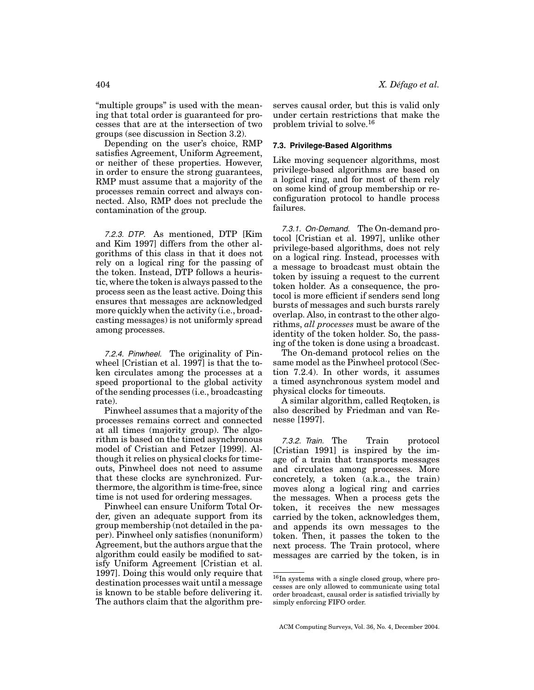"multiple groups" is used with the meaning that total order is guaranteed for processes that are at the intersection of two groups (see discussion in Section 3.2).

Depending on the user's choice, RMP satisfies Agreement, Uniform Agreement, or neither of these properties. However, in order to ensure the strong guarantees, RMP must assume that a majority of the processes remain correct and always connected. Also, RMP does not preclude the contamination of the group.

*7.2.3. DTP.* As mentioned, DTP [Kim and Kim 1997] differs from the other algorithms of this class in that it does not rely on a logical ring for the passing of the token. Instead, DTP follows a heuristic, where the token is always passed to the process seen as the least active. Doing this ensures that messages are acknowledged more quickly when the activity (i.e., broadcasting messages) is not uniformly spread among processes.

*7.2.4. Pinwheel.* The originality of Pinwheel [Cristian et al. 1997] is that the token circulates among the processes at a speed proportional to the global activity of the sending processes (i.e., broadcasting rate).

Pinwheel assumes that a majority of the processes remains correct and connected at all times (majority group). The algorithm is based on the timed asynchronous model of Cristian and Fetzer [1999]. Although it relies on physical clocks for timeouts, Pinwheel does not need to assume that these clocks are synchronized. Furthermore, the algorithm is time-free, since time is not used for ordering messages.

Pinwheel can ensure Uniform Total Order, given an adequate support from its group membership (not detailed in the paper). Pinwheel only satisfies (nonuniform) Agreement, but the authors argue that the algorithm could easily be modified to satisfy Uniform Agreement [Cristian et al. 1997]. Doing this would only require that destination processes wait until a message is known to be stable before delivering it. The authors claim that the algorithm preserves causal order, but this is valid only under certain restrictions that make the problem trivial to solve.<sup>16</sup>

# **7.3. Privilege-Based Algorithms**

Like moving sequencer algorithms, most privilege-based algorithms are based on a logical ring, and for most of them rely on some kind of group membership or reconfiguration protocol to handle process failures.

*7.3.1. On-Demand.* The On-demand protocol [Cristian et al. 1997], unlike other privilege-based algorithms, does not rely on a logical ring. Instead, processes with a message to broadcast must obtain the token by issuing a request to the current token holder. As a consequence, the protocol is more efficient if senders send long bursts of messages and such bursts rarely overlap. Also, in contrast to the other algorithms, *all processes* must be aware of the identity of the token holder. So, the passing of the token is done using a broadcast.

The On-demand protocol relies on the same model as the Pinwheel protocol (Section 7.2.4). In other words, it assumes a timed asynchronous system model and physical clocks for timeouts.

A similar algorithm, called Reqtoken, is also described by Friedman and van Renesse [1997].

*7.3.2. Train.* The Train protocol [Cristian 1991] is inspired by the image of a train that transports messages and circulates among processes. More concretely, a token (a.k.a., the train) moves along a logical ring and carries the messages. When a process gets the token, it receives the new messages carried by the token, acknowledges them, and appends its own messages to the token. Then, it passes the token to the next process. The Train protocol, where messages are carried by the token, is in

 $^{16}$ In systems with a single closed group, where processes are only allowed to communicate using total order broadcast, causal order is satisfied trivially by simply enforcing FIFO order.

ACM Computing Surveys, Vol. 36, No. 4, December 2004.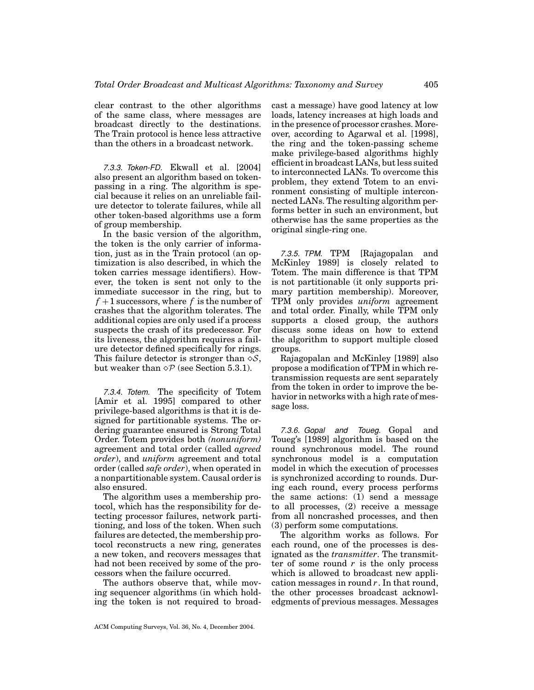clear contrast to the other algorithms of the same class, where messages are broadcast directly to the destinations. The Train protocol is hence less attractive than the others in a broadcast network.

*7.3.3. Token-FD.* Ekwall et al. [2004] also present an algorithm based on tokenpassing in a ring. The algorithm is special because it relies on an unreliable failure detector to tolerate failures, while all other token-based algorithms use a form of group membership.

In the basic version of the algorithm, the token is the only carrier of information, just as in the Train protocol (an optimization is also described, in which the token carries message identifiers). However, the token is sent not only to the immediate successor in the ring, but to  $f + 1$  successors, where  $f$  is the number of crashes that the algorithm tolerates. The additional copies are only used if a process suspects the crash of its predecessor. For its liveness, the algorithm requires a failure detector defined specifically for rings. This failure detector is stronger than  $\Diamond S$ , but weaker than  $\Diamond \mathcal{P}$  (see Section 5.3.1).

*7.3.4. Totem.* The specificity of Totem [Amir et al. 1995] compared to other privilege-based algorithms is that it is designed for partitionable systems. The ordering guarantee ensured is Strong Total Order. Totem provides both *(nonuniform)* agreement and total order (called *agreed order*), and *uniform* agreement and total order (called *safe order*), when operated in a nonpartitionable system. Causal order is also ensured.

The algorithm uses a membership protocol, which has the responsibility for detecting processor failures, network partitioning, and loss of the token. When such failures are detected, the membership protocol reconstructs a new ring, generates a new token, and recovers messages that had not been received by some of the processors when the failure occurred.

The authors observe that, while moving sequencer algorithms (in which holding the token is not required to broad-

cast a message) have good latency at low loads, latency increases at high loads and in the presence of processor crashes. Moreover, according to Agarwal et al. [1998], the ring and the token-passing scheme make privilege-based algorithms highly efficient in broadcast LANs, but less suited to interconnected LANs. To overcome this problem, they extend Totem to an environment consisting of multiple interconnected LANs. The resulting algorithm performs better in such an environment, but otherwise has the same properties as the original single-ring one.

*7.3.5. TPM.* TPM [Rajagopalan and McKinley 1989] is closely related to Totem. The main difference is that TPM is not partitionable (it only supports primary partition membership). Moreover, TPM only provides *uniform* agreement and total order. Finally, while TPM only supports a closed group, the authors discuss some ideas on how to extend the algorithm to support multiple closed groups.

Rajagopalan and McKinley [1989] also propose a modification of TPM in which retransmission requests are sent separately from the token in order to improve the behavior in networks with a high rate of message loss.

*7.3.6. Gopal and Toueg.* Gopal and Toueg's [1989] algorithm is based on the round synchronous model. The round synchronous model is a computation model in which the execution of processes is synchronized according to rounds. During each round, every process performs the same actions: (1) send a message to all processes, (2) receive a message from all noncrashed processes, and then (3) perform some computations.

The algorithm works as follows. For each round, one of the processes is designated as the *transmitter*. The transmitter of some round *r* is the only process which is allowed to broadcast new application messages in round *r*. In that round, the other processes broadcast acknowledgments of previous messages. Messages

ACM Computing Surveys, Vol. 36, No. 4, December 2004.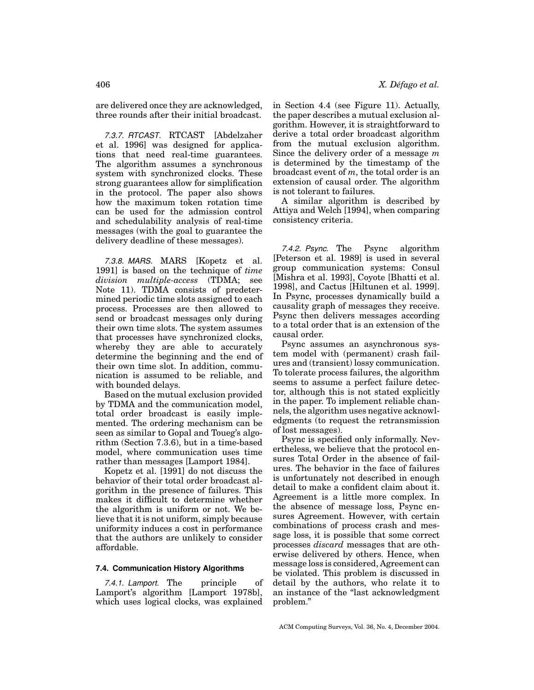are delivered once they are acknowledged, three rounds after their initial broadcast.

*7.3.7. RTCAST.* RTCAST [Abdelzaher et al. 1996] was designed for applications that need real-time guarantees. The algorithm assumes a synchronous system with synchronized clocks. These strong guarantees allow for simplification in the protocol. The paper also shows how the maximum token rotation time can be used for the admission control and schedulability analysis of real-time messages (with the goal to guarantee the delivery deadline of these messages).

*7.3.8. MARS.* MARS [Kopetz et al. 1991] is based on the technique of *time division multiple-access* (TDMA; see Note 11). TDMA consists of predetermined periodic time slots assigned to each process. Processes are then allowed to send or broadcast messages only during their own time slots. The system assumes that processes have synchronized clocks, whereby they are able to accurately determine the beginning and the end of their own time slot. In addition, communication is assumed to be reliable, and with bounded delays.

Based on the mutual exclusion provided by TDMA and the communication model, total order broadcast is easily implemented. The ordering mechanism can be seen as similar to Gopal and Toueg's algorithm (Section 7.3.6), but in a time-based model, where communication uses time rather than messages [Lamport 1984].

Kopetz et al. [1991] do not discuss the behavior of their total order broadcast algorithm in the presence of failures. This makes it difficult to determine whether the algorithm is uniform or not. We believe that it is not uniform, simply because uniformity induces a cost in performance that the authors are unlikely to consider affordable.

# **7.4. Communication History Algorithms**

*7.4.1. Lamport.* The principle of Lamport's algorithm [Lamport 1978b], which uses logical clocks, was explained in Section 4.4 (see Figure 11). Actually, the paper describes a mutual exclusion algorithm. However, it is straightforward to derive a total order broadcast algorithm from the mutual exclusion algorithm. Since the delivery order of a message *m* is determined by the timestamp of the broadcast event of *m*, the total order is an extension of causal order. The algorithm is not tolerant to failures.

A similar algorithm is described by Attiya and Welch [1994], when comparing consistency criteria.

*7.4.2. Psync.* The Psync algorithm [Peterson et al. 1989] is used in several group communication systems: Consul [Mishra et al. 1993], Coyote [Bhatti et al. 1998], and Cactus [Hiltunen et al. 1999]. In Psync, processes dynamically build a causality graph of messages they receive. Psync then delivers messages according to a total order that is an extension of the causal order.

Psync assumes an asynchronous system model with (permanent) crash failures and (transient) lossy communication. To tolerate process failures, the algorithm seems to assume a perfect failure detector, although this is not stated explicitly in the paper. To implement reliable channels, the algorithm uses negative acknowledgments (to request the retransmission of lost messages).

Psync is specified only informally. Nevertheless, we believe that the protocol ensures Total Order in the absence of failures. The behavior in the face of failures is unfortunately not described in enough detail to make a confident claim about it. Agreement is a little more complex. In the absence of message loss, Psync ensures Agreement. However, with certain combinations of process crash and message loss, it is possible that some correct processes *discard* messages that are otherwise delivered by others. Hence, when message loss is considered, Agreement can be violated. This problem is discussed in detail by the authors, who relate it to an instance of the "last acknowledgment problem."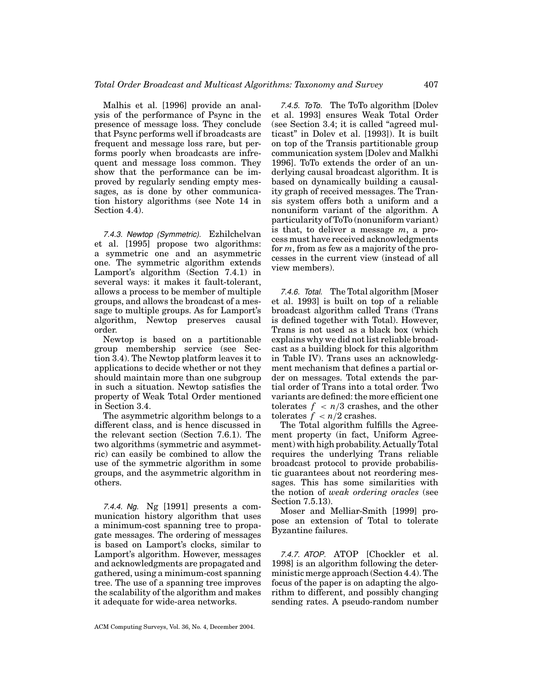Malhis et al. [1996] provide an analysis of the performance of Psync in the presence of message loss. They conclude that Psync performs well if broadcasts are frequent and message loss rare, but performs poorly when broadcasts are infrequent and message loss common. They show that the performance can be improved by regularly sending empty messages, as is done by other communication history algorithms (see Note 14 in Section 4.4).

*7.4.3. Newtop (Symmetric).* Ezhilchelvan et al. [1995] propose two algorithms: a symmetric one and an asymmetric one. The symmetric algorithm extends Lamport's algorithm (Section 7.4.1) in several ways: it makes it fault-tolerant, allows a process to be member of multiple groups, and allows the broadcast of a message to multiple groups. As for Lamport's algorithm, Newtop preserves causal order.

Newtop is based on a partitionable group membership service (see Section 3.4). The Newtop platform leaves it to applications to decide whether or not they should maintain more than one subgroup in such a situation. Newtop satisfies the property of Weak Total Order mentioned in Section 3.4.

The asymmetric algorithm belongs to a different class, and is hence discussed in the relevant section (Section 7.6.1). The two algorithms (symmetric and asymmetric) can easily be combined to allow the use of the symmetric algorithm in some groups, and the asymmetric algorithm in others.

*7.4.4. Ng.* Ng [1991] presents a communication history algorithm that uses a minimum-cost spanning tree to propagate messages. The ordering of messages is based on Lamport's clocks, similar to Lamport's algorithm. However, messages and acknowledgments are propagated and gathered, using a minimum-cost spanning tree. The use of a spanning tree improves the scalability of the algorithm and makes it adequate for wide-area networks.

*7.4.5. ToTo.* The ToTo algorithm [Dolev et al. 1993] ensures Weak Total Order (see Section 3.4; it is called "agreed multicast" in Dolev et al. [1993]). It is built on top of the Transis partitionable group communication system [Dolev and Malkhi 1996]. ToTo extends the order of an underlying causal broadcast algorithm. It is based on dynamically building a causality graph of received messages. The Transis system offers both a uniform and a nonuniform variant of the algorithm. A particularity of ToTo (nonuniform variant) is that, to deliver a message *m*, a process must have received acknowledgments for *m*, from as few as a majority of the processes in the current view (instead of all view members).

*7.4.6. Total.* The Total algorithm [Moser et al. 1993] is built on top of a reliable broadcast algorithm called Trans (Trans is defined together with Total). However, Trans is not used as a black box (which explains why we did not list reliable broadcast as a building block for this algorithm in Table IV). Trans uses an acknowledgment mechanism that defines a partial order on messages. Total extends the partial order of Trans into a total order. Two variants are defined: the more efficient one tolerates  $f < n/3$  crashes, and the other tolerates  $f < n/2$  crashes.

The Total algorithm fulfills the Agreement property (in fact, Uniform Agreement) with high probability. Actually Total requires the underlying Trans reliable broadcast protocol to provide probabilistic guarantees about not reordering messages. This has some similarities with the notion of *weak ordering oracles* (see Section 7.5.13).

Moser and Melliar-Smith [1999] propose an extension of Total to tolerate Byzantine failures.

*7.4.7. ATOP.* ATOP [Chockler et al. 1998] is an algorithm following the deterministic merge approach (Section 4.4). The focus of the paper is on adapting the algorithm to different, and possibly changing sending rates. A pseudo-random number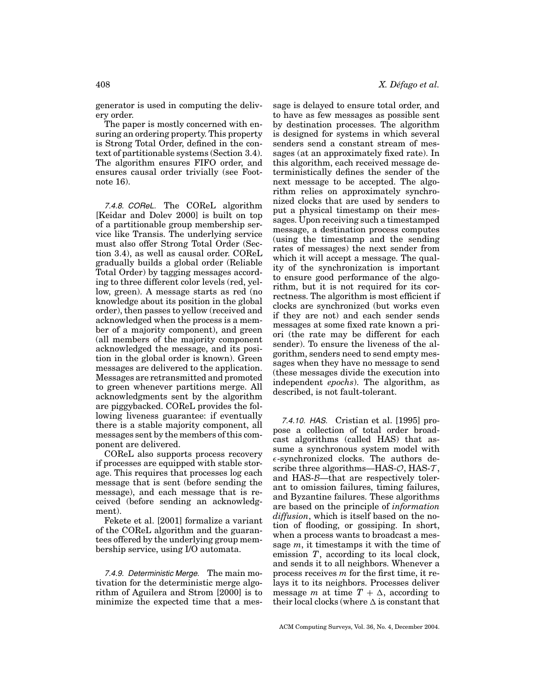generator is used in computing the delivery order.

The paper is mostly concerned with ensuring an ordering property. This property is Strong Total Order, defined in the context of partitionable systems (Section 3.4). The algorithm ensures FIFO order, and ensures causal order trivially (see Footnote 16).

*7.4.8. COReL.* The COReL algorithm [Keidar and Dolev 2000] is built on top of a partitionable group membership service like Transis. The underlying service must also offer Strong Total Order (Section 3.4), as well as causal order. COReL gradually builds a global order (Reliable Total Order) by tagging messages according to three different color levels (red, yellow, green). A message starts as red (no knowledge about its position in the global order), then passes to yellow (received and acknowledged when the process is a member of a majority component), and green (all members of the majority component acknowledged the message, and its position in the global order is known). Green messages are delivered to the application. Messages are retransmitted and promoted to green whenever partitions merge. All acknowledgments sent by the algorithm are piggybacked. COReL provides the following liveness guarantee: if eventually there is a stable majority component, all messages sent by the members of this component are delivered.

COReL also supports process recovery if processes are equipped with stable storage. This requires that processes log each message that is sent (before sending the message), and each message that is received (before sending an acknowledgment).

Fekete et al. [2001] formalize a variant of the COReL algorithm and the guarantees offered by the underlying group membership service, using I/O automata.

*7.4.9. Deterministic Merge.* The main motivation for the deterministic merge algorithm of Aguilera and Strom [2000] is to minimize the expected time that a message is delayed to ensure total order, and to have as few messages as possible sent by destination processes. The algorithm is designed for systems in which several senders send a constant stream of messages (at an approximately fixed rate). In this algorithm, each received message deterministically defines the sender of the next message to be accepted. The algorithm relies on approximately synchronized clocks that are used by senders to put a physical timestamp on their messages. Upon receiving such a timestamped message, a destination process computes (using the timestamp and the sending rates of messages) the next sender from which it will accept a message. The quality of the synchronization is important to ensure good performance of the algorithm, but it is not required for its correctness. The algorithm is most efficient if clocks are synchronized (but works even if they are not) and each sender sends messages at some fixed rate known a priori (the rate may be different for each sender). To ensure the liveness of the algorithm, senders need to send empty messages when they have no message to send (these messages divide the execution into independent *epochs*). The algorithm, as described, is not fault-tolerant.

*7.4.10. HAS.* Cristian et al. [1995] propose a collection of total order broadcast algorithms (called HAS) that assume a synchronous system model with  $\epsilon$ -synchronized clocks. The authors describe three algorithms—HAS- $\mathcal{O}$ , HAS- $\mathcal{T}$ , and HAS- $\beta$ —that are respectively tolerant to omission failures, timing failures, and Byzantine failures. These algorithms are based on the principle of *information diffusion*, which is itself based on the notion of flooding, or gossiping. In short, when a process wants to broadcast a message *m*, it timestamps it with the time of emission *T*, according to its local clock, and sends it to all neighbors. Whenever a process receives *m* for the first time, it relays it to its neighbors. Processes deliver message *m* at time  $T + \Delta$ , according to their local clocks (where  $\Delta$  is constant that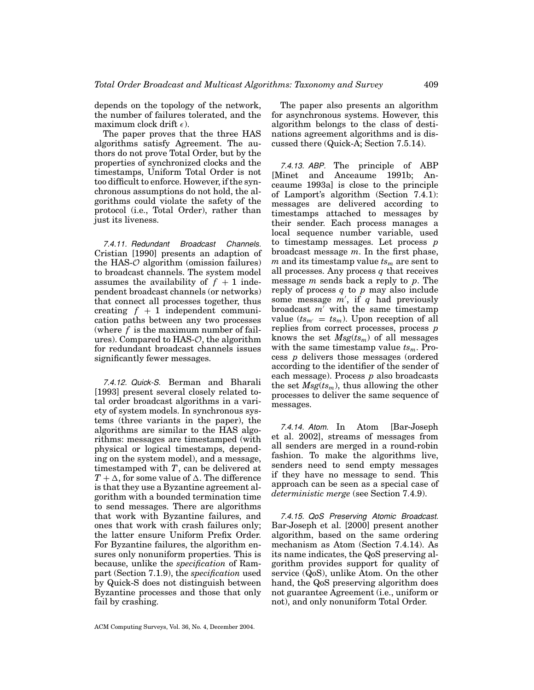depends on the topology of the network, the number of failures tolerated, and the maximum clock drift  $\epsilon$ ).

The paper proves that the three HAS algorithms satisfy Agreement. The authors do not prove Total Order, but by the properties of synchronized clocks and the timestamps, Uniform Total Order is not too difficult to enforce. However, if the synchronous assumptions do not hold, the algorithms could violate the safety of the protocol (i.e., Total Order), rather than just its liveness.

*7.4.11. Redundant Broadcast Channels.* Cristian [1990] presents an adaption of the HAS- $\mathcal O$  algorithm (omission failures) to broadcast channels. The system model assumes the availability of  $f + 1$  independent broadcast channels (or networks) that connect all processes together, thus creating  $f + 1$  independent communication paths between any two processes (where *f* is the maximum number of failures). Compared to HAS-O, the algorithm for redundant broadcast channels issues significantly fewer messages.

*7.4.12. Quick-S.* Berman and Bharali [1993] present several closely related total order broadcast algorithms in a variety of system models. In synchronous systems (three variants in the paper), the algorithms are similar to the HAS algorithms: messages are timestamped (with physical or logical timestamps, depending on the system model), and a message, timestamped with *T*, can be delivered at  $T + \Delta$ , for some value of  $\Delta$ . The difference is that they use a Byzantine agreement algorithm with a bounded termination time to send messages. There are algorithms that work with Byzantine failures, and ones that work with crash failures only; the latter ensure Uniform Prefix Order. For Byzantine failures, the algorithm ensures only nonuniform properties. This is because, unlike the *specification* of Rampart (Section 7.1.9), the *specification* used by Quick-S does not distinguish between Byzantine processes and those that only fail by crashing.

The paper also presents an algorithm for asynchronous systems. However, this algorithm belongs to the class of destinations agreement algorithms and is discussed there (Quick-A; Section 7.5.14).

*7.4.13. ABP.* The principle of ABP Anceaume 1991b; Anceaume 1993a] is close to the principle of Lamport's algorithm (Section 7.4.1): messages are delivered according to timestamps attached to messages by their sender. Each process manages a local sequence number variable, used to timestamp messages. Let process *p* broadcast message *m*. In the first phase, *m* and its timestamp value  $ts_m$  are sent to all processes. Any process *q* that receives message *m* sends back a reply to *p*. The reply of process *q* to *p* may also include some message  $m'$ , if q had previously broadcast  $m'$  with the same timestamp value  $(ts_{m'} = ts_m)$ . Upon reception of all replies from correct processes, process *p* knows the set  $Msg(t_{m})$  of all messages with the same timestamp value  $ts_m$ . Process *p* delivers those messages (ordered according to the identifier of the sender of each message). Process *p* also broadcasts the set  $Msg(ts_m)$ , thus allowing the other processes to deliver the same sequence of messages.

*7.4.14. Atom.* In Atom [Bar-Joseph et al. 2002], streams of messages from all senders are merged in a round-robin fashion. To make the algorithms live, senders need to send empty messages if they have no message to send. This approach can be seen as a special case of *deterministic merge* (see Section 7.4.9).

*7.4.15. QoS Preserving Atomic Broadcast.* Bar-Joseph et al. [2000] present another algorithm, based on the same ordering mechanism as Atom (Section 7.4.14). As its name indicates, the QoS preserving algorithm provides support for quality of service (QoS), unlike Atom. On the other hand, the QoS preserving algorithm does not guarantee Agreement (i.e., uniform or not), and only nonuniform Total Order.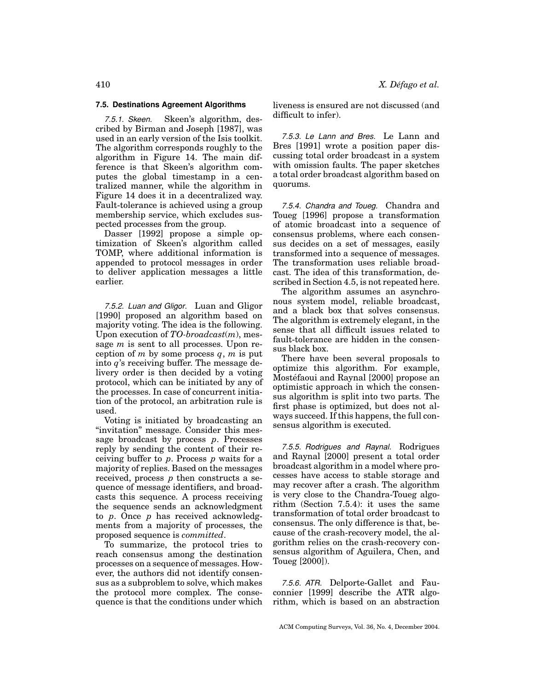### **7.5. Destinations Agreement Algorithms**

*7.5.1. Skeen.* Skeen's algorithm, described by Birman and Joseph [1987], was used in an early version of the Isis toolkit. The algorithm corresponds roughly to the algorithm in Figure 14. The main difference is that Skeen's algorithm computes the global timestamp in a centralized manner, while the algorithm in Figure 14 does it in a decentralized way. Fault-tolerance is achieved using a group membership service, which excludes suspected processes from the group.

Dasser [1992] propose a simple optimization of Skeen's algorithm called TOMP, where additional information is appended to protocol messages in order to deliver application messages a little earlier.

*7.5.2. Luan and Gligor.* Luan and Gligor [1990] proposed an algorithm based on majority voting. The idea is the following. Upon execution of *TO-broadcast*(*m*), message *m* is sent to all processes. Upon reception of *m* by some process *q*, *m* is put into *q*'s receiving buffer. The message delivery order is then decided by a voting protocol, which can be initiated by any of the processes. In case of concurrent initiation of the protocol, an arbitration rule is used.

Voting is initiated by broadcasting an "invitation" message. Consider this message broadcast by process *p*. Processes reply by sending the content of their receiving buffer to *p*. Process *p* waits for a majority of replies. Based on the messages received, process *p* then constructs a sequence of message identifiers, and broadcasts this sequence. A process receiving the sequence sends an acknowledgment to *p*. Once *p* has received acknowledgments from a majority of processes, the proposed sequence is *committed*.

To summarize, the protocol tries to reach consensus among the destination processes on a sequence of messages. However, the authors did not identify consensus as a subproblem to solve, which makes the protocol more complex. The consequence is that the conditions under which liveness is ensured are not discussed (and difficult to infer).

*7.5.3. Le Lann and Bres.* Le Lann and Bres [1991] wrote a position paper discussing total order broadcast in a system with omission faults. The paper sketches a total order broadcast algorithm based on quorums.

*7.5.4. Chandra and Toueg.* Chandra and Toueg [1996] propose a transformation of atomic broadcast into a sequence of consensus problems, where each consensus decides on a set of messages, easily transformed into a sequence of messages. The transformation uses reliable broadcast. The idea of this transformation, described in Section 4.5, is not repeated here.

The algorithm assumes an asynchronous system model, reliable broadcast, and a black box that solves consensus. The algorithm is extremely elegant, in the sense that all difficult issues related to fault-tolerance are hidden in the consensus black box.

There have been several proposals to optimize this algorithm. For example, Mostefaoui and Raynal [2000] propose an ´ optimistic approach in which the consensus algorithm is split into two parts. The first phase is optimized, but does not always succeed. If this happens, the full consensus algorithm is executed.

*7.5.5. Rodrigues and Raynal.* Rodrigues and Raynal [2000] present a total order broadcast algorithm in a model where processes have access to stable storage and may recover after a crash. The algorithm is very close to the Chandra-Toueg algorithm (Section 7.5.4): it uses the same transformation of total order broadcast to consensus. The only difference is that, because of the crash-recovery model, the algorithm relies on the crash-recovery consensus algorithm of Aguilera, Chen, and Toueg [2000]).

*7.5.6. ATR.* Delporte-Gallet and Fauconnier [1999] describe the ATR algorithm, which is based on an abstraction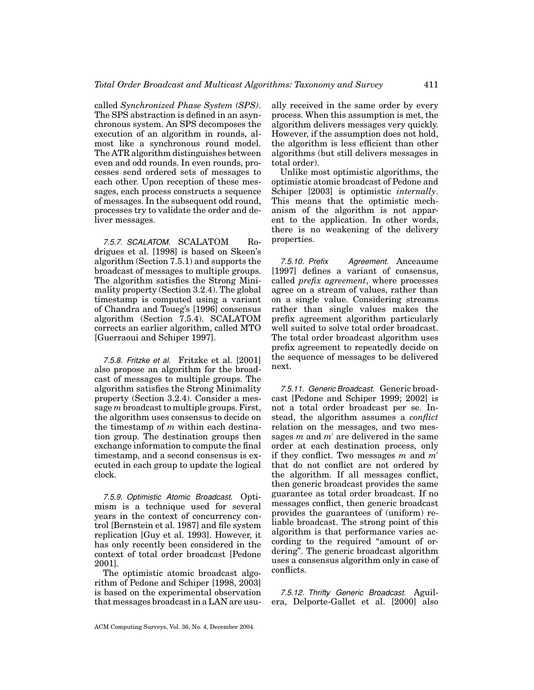called *Synchronized Phase System (SPS)*. The SPS abstraction is defined in an asynchronous system. An SPS decomposes the execution of an algorithm in rounds, almost like a synchronous round model. The ATR algorithm distinguishes between even and odd rounds. In even rounds, processes send ordered sets of messages to each other. Upon reception of these messages, each process constructs a sequence of messages. In the subsequent odd round, processes try to validate the order and deliver messages.

*7.5.7. SCALATOM.* SCALATOM Rodrigues et al. [1998] is based on Skeen's algorithm (Section 7.5.1) and supports the broadcast of messages to multiple groups. The algorithm satisfies the Strong Minimality property (Section 3.2.4). The global timestamp is computed using a variant of Chandra and Toueg's [1996] consensus algorithm (Section 7.5.4). SCALATOM corrects an earlier algorithm, called MTO [Guerraoui and Schiper 1997].

*7.5.8. Fritzke et al.* Fritzke et al. [2001] also propose an algorithm for the broadcast of messages to multiple groups. The algorithm satisfies the Strong Minimality property (Section 3.2.4). Consider a message *m* broadcast to multiple groups. First, the algorithm uses consensus to decide on the timestamp of *m* within each destination group. The destination groups then exchange information to compute the final timestamp, and a second consensus is executed in each group to update the logical clock.

*7.5.9. Optimistic Atomic Broadcast.* Optimism is a technique used for several years in the context of concurrency control [Bernstein et al. 1987] and file system replication [Guy et al. 1993]. However, it has only recently been considered in the context of total order broadcast [Pedone 2001].

The optimistic atomic broadcast algorithm of Pedone and Schiper [1998, 2003] is based on the experimental observation that messages broadcast in a LAN are usu-

ally received in the same order by every process. When this assumption is met, the algorithm delivers messages very quickly. However, if the assumption does not hold, the algorithm is less efficient than other algorithms (but still delivers messages in total order).

Unlike most optimistic algorithms, the optimistic atomic broadcast of Pedone and Schiper [2003] is optimistic *internally*. This means that the optimistic mechanism of the algorithm is not apparent to the application. In other words, there is no weakening of the delivery properties.

*7.5.10. Prefix Agreement.* Anceaume [1997] defines a variant of consensus, called *prefix agreement*, where processes agree on a stream of values, rather than on a single value. Considering streams rather than single values makes the prefix agreement algorithm particularly well suited to solve total order broadcast. The total order broadcast algorithm uses prefix agreement to repeatedly decide on the sequence of messages to be delivered next.

*7.5.11. Generic Broadcast.* Generic broadcast [Pedone and Schiper 1999; 2002] is not a total order broadcast per se. Instead, the algorithm assumes a *conflict* relation on the messages, and two messages  $m$  and  $m'$  are delivered in the same order at each destination process, only if they conflict. Two messages *m* and *m* that do not conflict are not ordered by the algorithm. If all messages conflict, then generic broadcast provides the same guarantee as total order broadcast. If no messages conflict, then generic broadcast provides the guarantees of (uniform) reliable broadcast. The strong point of this algorithm is that performance varies according to the required "amount of ordering". The generic broadcast algorithm uses a consensus algorithm only in case of conflicts.

*7.5.12. Thrifty Generic Broadcast.* Aguilera, Delporte-Gallet et al. [2000] also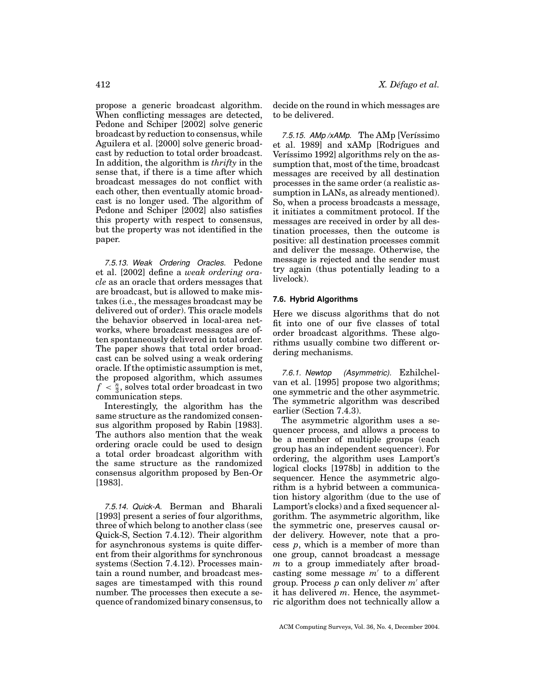propose a generic broadcast algorithm. When conflicting messages are detected, Pedone and Schiper [2002] solve generic broadcast by reduction to consensus, while Aguilera et al. [2000] solve generic broadcast by reduction to total order broadcast. In addition, the algorithm is *thrifty* in the sense that, if there is a time after which broadcast messages do not conflict with each other, then eventually atomic broadcast is no longer used. The algorithm of Pedone and Schiper [2002] also satisfies this property with respect to consensus, but the property was not identified in the paper.

*7.5.13. Weak Ordering Oracles.* Pedone et al. [2002] define a *weak ordering oracle* as an oracle that orders messages that are broadcast, but is allowed to make mistakes (i.e., the messages broadcast may be delivered out of order). This oracle models the behavior observed in local-area networks, where broadcast messages are often spontaneously delivered in total order. The paper shows that total order broadcast can be solved using a weak ordering oracle. If the optimistic assumption is met, the proposed algorithm, which assumes  $f<\frac{n}{3}$ , solves total order broadcast in two communication steps.

Interestingly, the algorithm has the same structure as the randomized consensus algorithm proposed by Rabin [1983]. The authors also mention that the weak ordering oracle could be used to design a total order broadcast algorithm with the same structure as the randomized consensus algorithm proposed by Ben-Or [1983].

*7.5.14. Quick-A.* Berman and Bharali [1993] present a series of four algorithms, three of which belong to another class (see Quick-S, Section 7.4.12). Their algorithm for asynchronous systems is quite different from their algorithms for synchronous systems (Section 7.4.12). Processes maintain a round number, and broadcast messages are timestamped with this round number. The processes then execute a sequence of randomized binary consensus, to

412 **X.** Défago et al.

decide on the round in which messages are to be delivered.

*7.5.15. AMp /xAMp.* The AMp [Verissimo] et al. 1989] and xAMp [Rodrigues and Veríssimo 1992] algorithms rely on the assumption that, most of the time, broadcast messages are received by all destination processes in the same order (a realistic assumption in LANs, as already mentioned). So, when a process broadcasts a message, it initiates a commitment protocol. If the messages are received in order by all destination processes, then the outcome is positive: all destination processes commit and deliver the message. Otherwise, the message is rejected and the sender must try again (thus potentially leading to a livelock).

# **7.6. Hybrid Algorithms**

Here we discuss algorithms that do not fit into one of our five classes of total order broadcast algorithms. These algorithms usually combine two different ordering mechanisms.

*7.6.1. Newtop (Asymmetric).* Ezhilchelvan et al. [1995] propose two algorithms; one symmetric and the other asymmetric. The symmetric algorithm was described earlier (Section 7.4.3).

The asymmetric algorithm uses a sequencer process, and allows a process to be a member of multiple groups (each group has an independent sequencer). For ordering, the algorithm uses Lamport's logical clocks [1978b] in addition to the sequencer. Hence the asymmetric algorithm is a hybrid between a communication history algorithm (due to the use of Lamport's clocks) and a fixed sequencer algorithm. The asymmetric algorithm, like the symmetric one, preserves causal order delivery. However, note that a process *p*, which is a member of more than one group, cannot broadcast a message *m* to a group immediately after broadcasting some message  $m'$  to a different group. Process *p* can only deliver *m* after it has delivered *m*. Hence, the asymmetric algorithm does not technically allow a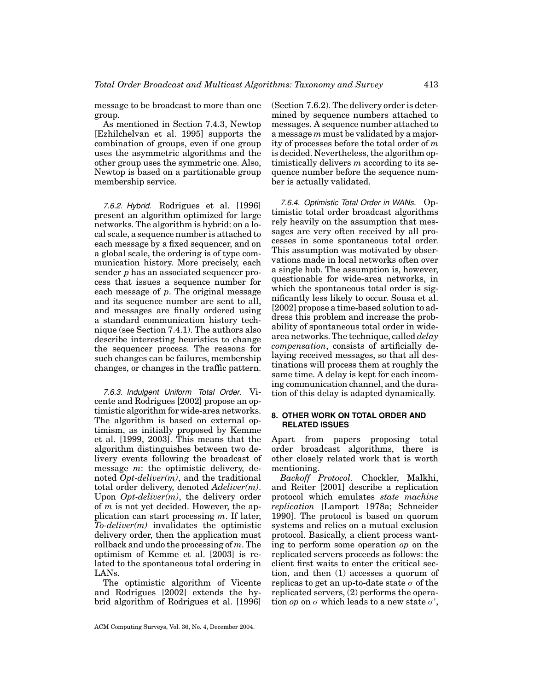message to be broadcast to more than one group.

As mentioned in Section 7.4.3, Newtop [Ezhilchelvan et al. 1995] supports the combination of groups, even if one group uses the asymmetric algorithms and the other group uses the symmetric one. Also, Newtop is based on a partitionable group membership service.

*7.6.2. Hybrid.* Rodrigues et al. [1996] present an algorithm optimized for large networks. The algorithm is hybrid: on a local scale, a sequence number is attached to each message by a fixed sequencer, and on a global scale, the ordering is of type communication history. More precisely, each sender *p* has an associated sequencer process that issues a sequence number for each message of *p*. The original message and its sequence number are sent to all, and messages are finally ordered using a standard communication history technique (see Section 7.4.1). The authors also describe interesting heuristics to change the sequencer process. The reasons for such changes can be failures, membership changes, or changes in the traffic pattern.

*7.6.3. Indulgent Uniform Total Order.* Vicente and Rodrigues [2002] propose an optimistic algorithm for wide-area networks. The algorithm is based on external optimism, as initially proposed by Kemme et al. [1999, 2003]. This means that the algorithm distinguishes between two delivery events following the broadcast of message *m*: the optimistic delivery, denoted *Opt-deliver(m)*, and the traditional total order delivery, denoted *Adeliver(m)*. Upon *Opt-deliver(m)*, the delivery order of *m* is not yet decided. However, the application can start processing *m*. If later, *To-deliver(m)* invalidates the optimistic delivery order, then the application must rollback and undo the processing of *m*. The optimism of Kemme et al. [2003] is related to the spontaneous total ordering in LANs.

The optimistic algorithm of Vicente and Rodrigues [2002] extends the hybrid algorithm of Rodrigues et al. [1996]

ACM Computing Surveys, Vol. 36, No. 4, December 2004.

(Section 7.6.2). The delivery order is determined by sequence numbers attached to messages. A sequence number attached to a message *m* must be validated by a majority of processes before the total order of *m* is decided. Nevertheless, the algorithm optimistically delivers *m* according to its sequence number before the sequence number is actually validated.

*7.6.4. Optimistic Total Order in WANs.* Optimistic total order broadcast algorithms rely heavily on the assumption that messages are very often received by all processes in some spontaneous total order. This assumption was motivated by observations made in local networks often over a single hub. The assumption is, however, questionable for wide-area networks, in which the spontaneous total order is significantly less likely to occur. Sousa et al. [2002] propose a time-based solution to address this problem and increase the probability of spontaneous total order in widearea networks. The technique, called *delay compensation*, consists of artificially delaying received messages, so that all destinations will process them at roughly the same time. A delay is kept for each incoming communication channel, and the duration of this delay is adapted dynamically.

# **8. OTHER WORK ON TOTAL ORDER AND RELATED ISSUES**

Apart from papers proposing total order broadcast algorithms, there is other closely related work that is worth mentioning.

*Backoff Protocol.* Chockler, Malkhi, and Reiter [2001] describe a replication protocol which emulates *state machine replication* [Lamport 1978a; Schneider 1990]. The protocol is based on quorum systems and relies on a mutual exclusion protocol. Basically, a client process wanting to perform some operation *op* on the replicated servers proceeds as follows: the client first waits to enter the critical section, and then (1) accesses a quorum of replicas to get an up-to-date state  $\sigma$  of the replicated servers, (2) performs the operation *op* on  $\sigma$  which leads to a new state  $\sigma'$ ,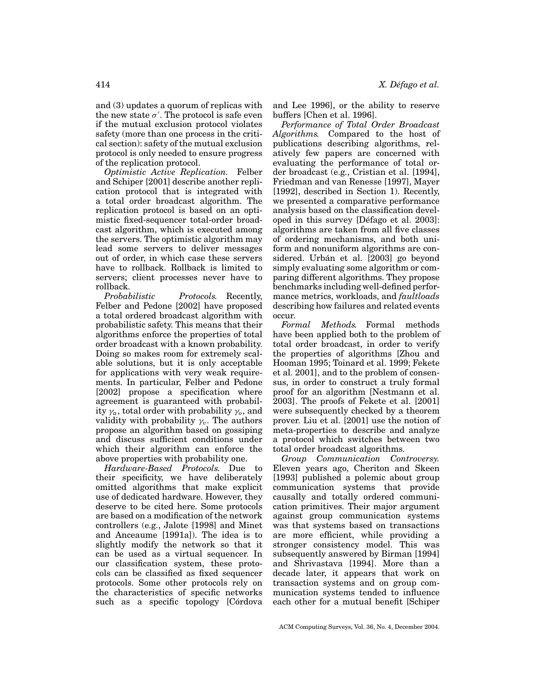and (3) updates a quorum of replicas with the new state  $\sigma'$ . The protocol is safe even if the mutual exclusion protocol violates safety (more than one process in the critical section): safety of the mutual exclusion protocol is only needed to ensure progress of the replication protocol.

*Optimistic Active Replication.* Felber and Schiper [2001] describe another replication protocol that is integrated with a total order broadcast algorithm. The replication protocol is based on an optimistic fixed-sequencer total-order broadcast algorithm, which is executed among the servers. The optimistic algorithm may lead some servers to deliver messages out of order, in which case these servers have to rollback. Rollback is limited to servers; client processes never have to rollback.

*Probabilistic Protocols.* Recently, Felber and Pedone [2002] have proposed a total ordered broadcast algorithm with probabilistic safety. This means that their algorithms enforce the properties of total order broadcast with a known probability. Doing so makes room for extremely scalable solutions, but it is only acceptable for applications with very weak requirements. In particular, Felber and Pedone [2002] propose a specification where agreement is guaranteed with probability  $\gamma_a$ , total order with probability  $\gamma_a$ , and validity with probability  $\gamma_v$ . The authors propose an algorithm based on gossiping and discuss sufficient conditions under which their algorithm can enforce the above properties with probability one.

*Hardware-Based Protocols.* Due to their specificity, we have deliberately omitted algorithms that make explicit use of dedicated hardware. However, they deserve to be cited here. Some protocols are based on a modification of the network controllers (e.g., Jalote [1998] and Minet and Anceaume [1991a]). The idea is to slightly modify the network so that it can be used as a virtual sequencer. In our classification system, these protocols can be classified as fixed sequencer protocols. Some other protocols rely on the characteristics of specific networks such as a specific topology [Córdova]

and Lee 1996], or the ability to reserve buffers [Chen et al. 1996].

*Performance of Total Order Broadcast Algorithms.* Compared to the host of publications describing algorithms, relatively few papers are concerned with evaluating the performance of total order broadcast (e.g., Cristian et al. [1994], Friedman and van Renesse [1997], Mayer [1992], described in Section 1). Recently, we presented a comparative performance analysis based on the classification developed in this survey [Défago et al. 2003]: algorithms are taken from all five classes of ordering mechanisms, and both uniform and nonuniform algorithms are considered. Urbán et al. [2003] go beyond simply evaluating some algorithm or comparing different algorithms. They propose benchmarks including well-defined performance metrics, workloads, and *faultloads* describing how failures and related events occur.

*Formal Methods.* Formal methods have been applied both to the problem of total order broadcast, in order to verify the properties of algorithms [Zhou and Hooman 1995; Toinard et al. 1999; Fekete et al. 2001], and to the problem of consensus, in order to construct a truly formal proof for an algorithm [Nestmann et al. 2003]. The proofs of Fekete et al. [2001] were subsequently checked by a theorem prover. Liu et al. [2001] use the notion of meta-properties to describe and analyze a protocol which switches between two total order broadcast algorithms.

*Group Communication Controversy.* Eleven years ago, Cheriton and Skeen [1993] published a polemic about group communication systems that provide causally and totally ordered communication primitives. Their major argument against group communication systems was that systems based on transactions are more efficient, while providing a stronger consistency model. This was subsequently answered by Birman [1994] and Shrivastava [1994]. More than a decade later, it appears that work on transaction systems and on group communication systems tended to influence each other for a mutual benefit [Schiper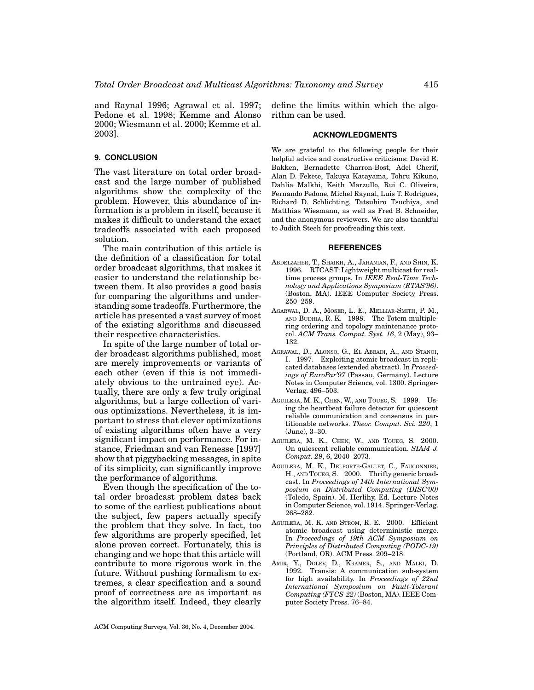and Raynal 1996; Agrawal et al. 1997; Pedone et al. 1998; Kemme and Alonso 2000; Wiesmann et al. 2000; Kemme et al. 2003].

# **9. CONCLUSION**

The vast literature on total order broadcast and the large number of published algorithms show the complexity of the problem. However, this abundance of information is a problem in itself, because it makes it difficult to understand the exact tradeoffs associated with each proposed solution.

The main contribution of this article is the definition of a classification for total order broadcast algorithms, that makes it easier to understand the relationship between them. It also provides a good basis for comparing the algorithms and understanding some tradeoffs. Furthermore, the article has presented a vast survey of most of the existing algorithms and discussed their respective characteristics.

In spite of the large number of total order broadcast algorithms published, most are merely improvements or variants of each other (even if this is not immediately obvious to the untrained eye). Actually, there are only a few truly original algorithms, but a large collection of various optimizations. Nevertheless, it is important to stress that clever optimizations of existing algorithms often have a very significant impact on performance. For instance, Friedman and van Renesse [1997] show that piggybacking messages, in spite of its simplicity, can significantly improve the performance of algorithms.

Even though the specification of the total order broadcast problem dates back to some of the earliest publications about the subject, few papers actually specify the problem that they solve. In fact, too few algorithms are properly specified, let alone proven correct. Fortunately, this is changing and we hope that this article will contribute to more rigorous work in the future. Without pushing formalism to extremes, a clear specification and a sound proof of correctness are as important as the algorithm itself. Indeed, they clearly

define the limits within which the algorithm can be used.

## **ACKNOWLEDGMENTS**

We are grateful to the following people for their helpful advice and constructive criticisms: David E. Bakken, Bernadette Charron-Bost, Adel Cherif, Alan D. Fekete, Takuya Katayama, Tohru Kikuno, Dahlia Malkhi, Keith Marzullo, Rui C. Oliveira, Fernando Pedone, Michel Raynal, Luis T. Rodrigues, Richard D. Schlichting, Tatsuhiro Tsuchiya, and Matthias Wiesmann, as well as Fred B. Schneider, and the anonymous reviewers. We are also thankful to Judith Steeh for proofreading this text.

#### **REFERENCES**

- ABDELZAHER, T., SHAIKH, A., JAHANIAN, F., AND SHIN, K. 1996. RTCAST: Lightweight multicast for realtime process groups. In *IEEE Real-Time Technology and Applications Symposium (RTAS'96)*. (Boston, MA). IEEE Computer Society Press. 250–259.
- AGARWAL, D. A., MOSER, L. E., MELLIAR-SMITH, P. M., AND BUDHIA, R. K. 1998. The Totem multiplering ordering and topology maintenance protocol. *ACM Trans. Comput. Syst. 16*, 2 (May), 93– 132.
- AGRAWAL, D., ALONSO, G., EL ABBADI, A., AND STANOI, I. 1997. Exploiting atomic broadcast in replicated databases (extended abstract). In *Proceedings of EuroPar'97* (Passau, Germany). Lecture Notes in Computer Science, vol. 1300. Springer-Verlag. 496–503.
- AGUILERA, M. K., CHEN, W., AND TOUEG, S. 1999. Using the heartbeat failure detector for quiescent reliable communication and consensus in partitionable networks. *Theor. Comput. Sci. 220*, 1 (June), 3–30.
- AGUILERA, M. K., CHEN, W., AND TOUEG, S. 2000. On quiescent reliable communication. *SIAM J. Comput. 29*, 6, 2040–2073.
- AGUILERA, M. K., DELPORTE-GALLET, C., FAUCONNIER, H., AND TOUEG, S. 2000. Thrifty generic broadcast. In *Proceedings of 14th International Symposium on Distributed Computing (DISC'00)* (Toledo, Spain). M. Herlihy, Ed. Lecture Notes in Computer Science, vol. 1914. Springer-Verlag. 268–282.
- AGUILERA, M. K. AND STROM, R. E. 2000. Efficient atomic broadcast using deterministic merge. In *Proceedings of 19th ACM Symposium on Principles of Distributed Computing (PODC-19)* (Portland, OR). ACM Press. 209–218.
- AMIR, Y., DOLEV, D., KRAMER, S., AND MALKI, D. 1992. Transis: A communication sub-system for high availability. In *Proceedings of 22nd International Symposium on Fault-Tolerant Computing (FTCS-22)* (Boston, MA). IEEE Computer Society Press. 76–84.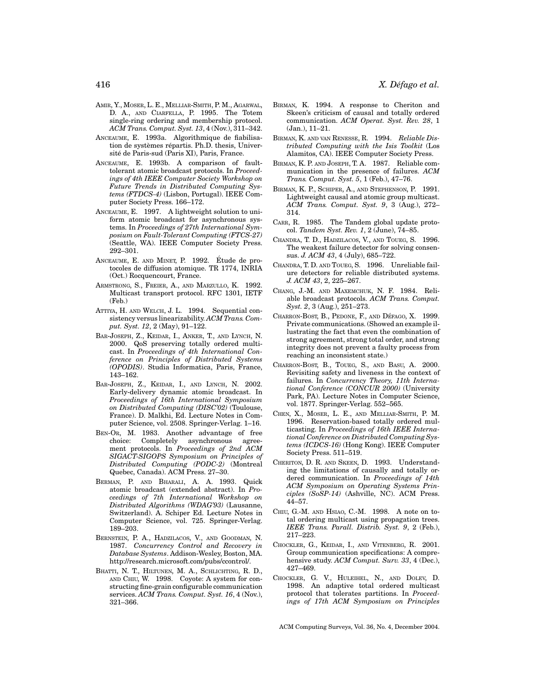- AMIR, Y., MOSER, L. E., MELLIAR-SMITH, P. M., AGARWAL, D. A., AND CIARFELLA, P. 1995. The Totem single-ring ordering and membership protocol. *ACM Trans. Comput. Syst. 13*, 4 (Nov.), 311–342.
- ANCEAUME, E. 1993a. Algorithmique de fiabilisation de systèmes répartis. Ph.D. thesis, Université de Paris-sud (Paris XI), Paris, France.
- ANCEAUME, E. 1993b. A comparison of faulttolerant atomic broadcast protocols. In *Proceedings of 4th IEEE Computer Society Workshop on Future Trends in Distributed Computing Systems (FTDCS-4)* (Lisbon, Portugal). IEEE Computer Society Press. 166–172.
- ANCEAUME, E. 1997. A lightweight solution to uniform atomic broadcast for asynchronous systems. In *Proceedings of 27th International Symposium on Fault-Tolerant Computing (FTCS-27)* (Seattle, WA). IEEE Computer Society Press. 292–301.
- ANCEAUME, E. AND MINET, P. 1992. Étude de protocoles de diffusion atomique. TR 1774, INRIA (Oct.) Rocquencourt, France.
- ARMSTRONG, S., FREIER, A., AND MARZULLO, K. 1992. Multicast transport protocol. RFC 1301, IETF (Feb.)
- ATTIYA, H. AND WELCH, J. L. 1994. Sequential consistency versus linearizability. *ACM Trans. Comput. Syst. 12*, 2 (May), 91–122.
- BAR-JOSEPH, Z., KEIDAR, I., ANKER, T., AND LYNCH, N. 2000. QoS preserving totally ordered multicast. In *Proceedings of 4th International Conference on Principles of Distributed Systems (OPODIS)*. Studia Informatica, Paris, France, 143–162.
- BAR-JOSEPH, Z., KEIDAR, I., AND LYNCH, N. 2002. Early-delivery dynamic atomic broadcast. In *Proceedings of 16th International Symposium on Distributed Computing (DISC'02)* (Toulouse, France). D. Malkhi, Ed. Lecture Notes in Computer Science, vol. 2508. Springer-Verlag. 1–16.
- BEN-OR, M. 1983. Another advantage of free choice: Completely asynchronous agreement protocols. In *Proceedings of 2nd ACM SIGACT-SIGOPS Symposium on Principles of Distributed Computing (PODC-2)* (Montreal Quebec, Canada). ACM Press. 27–30.
- BERMAN, P. AND BHARALI, A. A. 1993. Quick atomic broadcast (extended abstract). In *Proceedings of 7th International Workshop on Distributed Algorithms (WDAG'93)* (Lausanne, Switzerland). A. Schiper Ed. Lecture Notes in Computer Science, vol. 725. Springer-Verlag. 189–203.
- BERNSTEIN, P. A., HADZILACOS, V., AND GOODMAN, N. 1987. *Concurrency Control and Recovery in Database Systems*. Addison-Wesley, Boston, MA. http://research.microsoft.com/pubs/ccontrol/.
- BHATTI, N. T., HILTUNEN, M. A., SCHLICHTING, R. D., AND CHIU, W. 1998. Coyote: A system for constructing fine-grain configurable communication services. *ACM Trans. Comput. Syst. 16*, 4 (Nov.), 321–366.
- BIRMAN, K. 1994. A response to Cheriton and Skeen's criticism of causal and totally ordered communication. *ACM Operat. Syst. Rev. 28*, 1 (Jan.), 11–21.
- BIRMAN, K. AND VAN RENESSE, R. 1994. *Reliable Distributed Computing with the Isis Toolkit* (Los Alamitos, CA). IEEE Computer Society Press.
- BIRMAN, K. P. AND JOSEPH, T. A. 1987. Reliable communication in the presence of failures. *ACM Trans. Comput. Syst. 5*,1(Feb.), 47–76.
- BIRMAN, K. P., SCHIPER, A., AND STEPHENSON, P. 1991. Lightweight causal and atomic group multicast. *ACM Trans. Comput. Syst. 9*, 3 (Aug.), 272– 314.
- CARR, R. 1985. The Tandem global update protocol. *Tandem Syst. Rev. 1*,2(June), 74–85.
- CHANDRA, T. D., HADZILACOS, V., AND TOUEG, S. 1996. The weakest failure detector for solving consensus. *J. ACM 43*,4(July), 685–722.
- CHANDRA, T. D. AND TOUEG, S. 1996. Unreliable failure detectors for reliable distributed systems. *J. ACM 43*, 2, 225–267.
- CHANG, J.-M. AND MAXEMCHUK, N. F. 1984. Reliable broadcast protocols. *ACM Trans. Comput. Syst. 2*, 3 (Aug.), 251–273.
- CHARRON-BOST, B., PEDONE, F., AND DÉFAGO, X. 1999. Private communications. (Showed an example illustrating the fact that even the combination of strong agreement, strong total order, and strong integrity does not prevent a faulty process from reaching an inconsistent state.)
- CHARRON-BOST, B., TOUEG, S., AND BASU, A. 2000. Revisiting safety and liveness in the context of failures. In *Concurrency Theory, 11th International Conference (CONCUR 2000)* (University Park, PA). Lecture Notes in Computer Science, vol. 1877. Springer-Verlag. 552–565.
- CHEN, X., MOSER, L. E., AND MELLIAR-SMITH, P. M. 1996. Reservation-based totally ordered multicasting. In *Proceedings of 16th IEEE International Conference on Distributed Computing Systems (ICDCS-16)* (Hong Kong). IEEE Computer Society Press. 511–519.
- CHERITON, D. R. AND SKEEN, D. 1993. Understanding the limitations of causally and totally ordered communication. In *Proceedings of 14th ACM Symposium on Operating Systems Principles (SoSP-14)* (Ashville, NC). ACM Press. 44–57.
- CHIU, G.-M. AND HSIAO, C.-M. 1998. A note on total ordering multicast using propagation trees. *IEEE Trans. Parall. Distrib. Syst. 9*, 2 (Feb.), 217–223.
- CHOCKLER, G., KEIDAR, I., AND VITENBERG, R. 2001. Group communication specifications: A comprehensive study. *ACM Comput. Surv. 33*, 4 (Dec.), 427–469.
- CHOCKLER, G. V., HULEIHEL, N., AND DOLEV, D. 1998. An adaptive total ordered multicast protocol that tolerates partitions. In *Proceedings of 17th ACM Symposium on Principles*

ACM Computing Surveys, Vol. 36, No. 4, December 2004.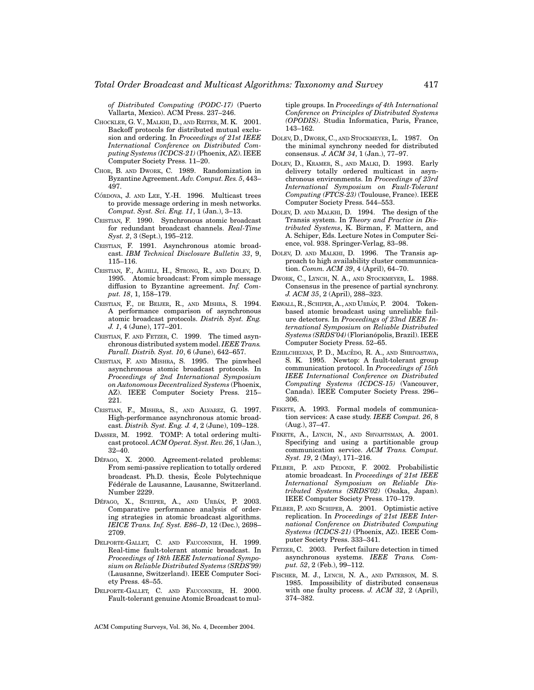*of Distributed Computing (PODC-17)* (Puerto Vallarta, Mexico). ACM Press. 237–246.

- CHOCKLER, G. V., MALKHI, D., AND REITER, M. K. 2001. Backoff protocols for distributed mutual exclusion and ordering. In *Proceedings of 21st IEEE International Conference on Distributed Computing Systems (ICDCS-21)* (Phoenix, AZ). IEEE Computer Society Press. 11–20.
- CHOR, B. AND DWORK, C. 1989. Randomization in Byzantine Agreement. *Adv. Comput. Res. 5*, 443– 497.
- CÓRDOVA, J. AND LEE, Y.-H. 1996. Multicast trees to provide message ordering in mesh networks. *Comput. Syst. Sci. Eng. 11*,1(Jan.), 3–13.
- CRISTIAN, F. 1990. Synchronous atomic broadcast for redundant broadcast channels. *Real-Time Syst. 2*, 3 (Sept.), 195–212.
- CRISTIAN, F. 1991. Asynchronous atomic broadcast. *IBM Technical Disclosure Bulletin 33*, 9, 115–116.
- CRISTIAN, F., AGHILI, H., STRONG, R., AND DOLEV, D. 1995. Atomic broadcast: From simple message diffusion to Byzantine agreement. *Inf. Comput. 18*, 1, 158–179.
- CRISTIAN, F., DE BEIJER, R., AND MISHRA, S. 1994. A performance comparison of asynchronous atomic broadcast protocols. *Distrib. Syst. Eng. J. 1*,4(June), 177–201.
- CRISTIAN, F. AND FETZER, C. 1999. The timed asynchronous distributed system model. *IEEE Trans. Parall. Distrib. Syst. 10*,6(June), 642–657.
- CRISTIAN, F. AND MISHRA, S. 1995. The pinwheel asynchronous atomic broadcast protocols. In *Proceedings of 2nd International Symposium on Autonomous Decentralized Systems* (Phoenix, AZ). IEEE Computer Society Press. 215– 221.
- CRISTIAN, F., MISHRA, S., AND ALVAREZ, G. 1997. High-performance asynchronous atomic broadcast. *Distrib. Syst. Eng. J. 4*,2(June), 109–128.
- DASSER, M. 1992. TOMP: A total ordering multicast protocol. *ACM Operat. Syst. Rev. 26*, 1 (Jan.), 32–40.
- DÉFAGO, X. 2000. Agreement-related problems: From semi-passive replication to totally ordered broadcast. Ph.D. thesis, Ecole Polytechnique ´ Fédérale de Lausanne, Lausanne, Switzerland. Number 2229.
- DÉFAGO, X., SCHIPER, A., AND URBÁN, P. 2003. Comparative performance analysis of ordering strategies in atomic broadcast algorithms. *IEICE Trans. Inf. Syst. E86–D*, 12 (Dec.), 2698– 2709.
- DELPORTE-GALLET, C. AND FAUCONNIER, H. 1999. Real-time fault-tolerant atomic broadcast. In *Proceedings of 18th IEEE International Symposium on Reliable Distributed Systems (SRDS'99)* (Lausanne, Switzerland). IEEE Computer Society Press. 48–55.
- DELPORTE-GALLET, C. AND FAUCONNIER, H. 2000. Fault-tolerant genuine Atomic Broadcast to mul-

ACM Computing Surveys, Vol. 36, No. 4, December 2004.

tiple groups. In *Proceedings of 4th International Conference on Principles of Distributed Systems (OPODIS)*. Studia Informatica, Paris, France, 143–162.

- DOLEV, D., DWORK, C., AND STOCKMEYER, L. 1987. On the minimal synchrony needed for distributed consensus. *J. ACM 34*,1(Jan.), 77–97.
- DOLEV, D., KRAMER, S., AND MALKI, D. 1993. Early delivery totally ordered multicast in asynchronous environments. In *Proceedings of 23rd International Symposium on Fault-Tolerant Computing (FTCS-23)* (Toulouse, France). IEEE Computer Society Press. 544–553.
- DOLEV, D. AND MALKHI, D. 1994. The design of the Transis system. In *Theory and Practice in Distributed Systems*, K. Birman, F. Mattern, and A. Schiper, Eds. Lecture Notes in Computer Science, vol. 938. Springer-Verlag, 83–98.
- DOLEV, D. AND MALKHI, D. 1996. The Transis approach to high availability cluster communnication. *Comm. ACM 39*, 4 (April), 64–70.
- DWORK, C., LYNCH, N. A., AND STOCKMEYER, L. 1988. Consensus in the presence of partial synchrony. *J. ACM 35*, 2 (April), 288–323.
- EKWALL, R., SCHIPER, A., AND URBÁN, P. 2004. Tokenbased atomic broadcast using unreliable failure detectors. In *Proceedings of 23nd IEEE International Symposium on Reliable Distributed*  $Systems (SRDS'04)$  (Florianópolis, Brazil). IEEE Computer Society Press. 52–65.
- EZHILCHELVAN, P. D., MACÊDO, R. A., AND SHRIVASTAVA, S. K. 1995. Newtop: A fault-tolerant group communication protocol. In *Proceedings of 15th IEEE International Conference on Distributed Computing Systems (ICDCS-15)* (Vancouver, Canada). IEEE Computer Society Press. 296– 306.
- FEKETE, A. 1993. Formal models of communication services: A case study. *IEEE Comput. 26*, 8 (Aug.), 37–47.
- FEKETE, A., LYNCH, N., AND SHVARTSMAN, A. 2001. Specifying and using a partitionable group communication service. *ACM Trans. Comput. Syst. 19*, 2 (May), 171–216.
- FELBER, P. AND PEDONE, F. 2002. Probabilistic atomic broadcast. In *Proceedings of 21st IEEE International Symposium on Reliable Distributed Systems (SRDS'02)* (Osaka, Japan). IEEE Computer Society Press. 170–179.
- FELBER, P. AND SCHIPER, A. 2001. Optimistic active replication. In *Proceedings of 21st IEEE International Conference on Distributed Computing Systems (ICDCS-21)* (Phoenix, AZ). IEEE Computer Society Press. 333–341.
- FETZER, C. 2003. Perfect failure detection in timed asynchronous systems. *IEEE Trans. Comput. 52*,2(Feb.), 99–112.
- FISCHER, M. J., LYNCH, N. A., AND PATERSON, M. S. 1985. Impossibility of distributed consensus with one faulty process. *J. ACM 32*, 2 (April), 374–382.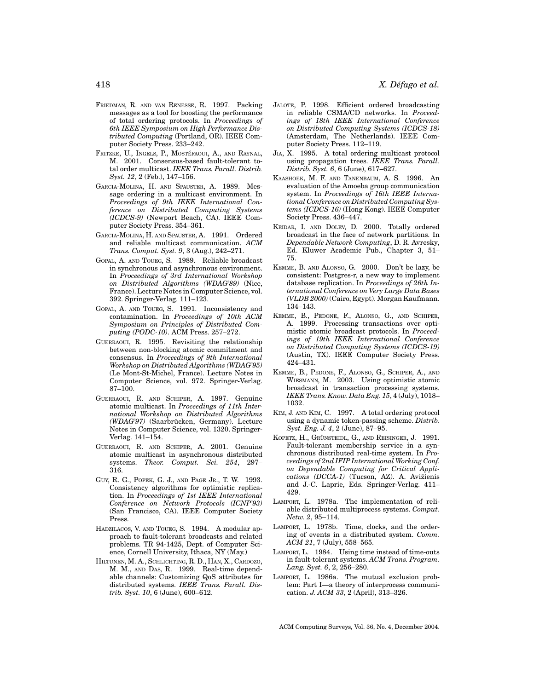- FRIEDMAN, R. AND VAN RENESSE, R. 1997. Packing messages as a tool for boosting the performance of total ordering protocols. In *Proceedings of 6th IEEE Symposium on High Performance Distributed Computing* (Portland, OR). IEEE Computer Society Press. 233–242.
- FRITZKE, U., INGELS, P., MOSTÉFAOUI, A., AND RAYNAL, M. 2001. Consensus-based fault-tolerant total order multicast. *IEEE Trans. Parall. Distrib. Syst. 12*,2(Feb.), 147–156.
- GARCIA-MOLINA, H. AND SPAUSTER, A. 1989. Message ordering in a multicast environment. In *Proceedings of 9th IEEE International Conference on Distributed Computing Systems (ICDCS-9)* (Newport Beach, CA). IEEE Computer Society Press. 354–361.
- GARCIA-MOLINA, H. AND SPAUSTER, A. 1991. Ordered and reliable multicast communication. *ACM Trans. Comput. Syst. 9*, 3 (Aug.), 242–271.
- GOPAL, A. AND TOUEG, S. 1989. Reliable broadcast in synchronous and asynchronous environment. In *Proceedings of 3rd International Workshop on Distributed Algorithms (WDAG'89)* (Nice, France). Lecture Notes in Computer Science, vol. 392. Springer-Verlag. 111–123.
- GOPAL, A. AND TOUEG, S. 1991. Inconsistency and contamination. In *Proceedings of 10th ACM Symposium on Principles of Distributed Computing (PODC-10)*. ACM Press. 257–272.
- GUERRAOUI, R. 1995. Revisiting the relationship between non-blocking atomic commitment and consensus. In *Proceedings of 9th International Workshop on Distributed Algorithms (WDAG'95)* (Le Mont-St-Michel, France). Lecture Notes in Computer Science, vol. 972. Springer-Verlag. 87–100.
- GUERRAOUI, R. AND SCHIPER, A. 1997. Genuine atomic multicast. In *Proceedings of 11th International Workshop on Distributed Algorithms (WDAG'97)* (Saarbrücken, Germany). Lecture Notes in Computer Science, vol. 1320. Springer-Verlag. 141–154.
- GUERRAOUI, R. AND SCHIPER, A. 2001. Genuine atomic multicast in asynchronous distributed systems. *Theor. Comput. Sci. 254*, 297– 316.
- GUY, R. G., POPEK, G. J., AND PAGE JR., T. W. 1993. Consistency algorithms for optimistic replication. In *Proceedings of 1st IEEE International Conference on Network Protocols (ICNP'93)* (San Francisco, CA). IEEE Computer Society Press.
- HADZILACOS, V. AND TOUEG, S. 1994. A modular approach to fault-tolerant broadcasts and related problems. TR 94-1425, Dept. of Computer Science, Cornell University, Ithaca, NY (May.)
- HILTUNEN, M. A., SCHLICHTING, R. D., HAN, X., CARDOZO, M. M., AND DAS, R. 1999. Real-time dependable channels: Customizing QoS attributes for distributed systems. *IEEE Trans. Parall. Distrib. Syst. 10*,6(June), 600–612.
- JALOTE, P. 1998. Efficient ordered broadcasting in reliable CSMA/CD networks. In *Proceedings of 18th IEEE International Conference on Distributed Computing Systems (ICDCS-18)* (Amsterdam, The Netherlands). IEEE Computer Society Press. 112–119.
- JIA, X. 1995. A total ordering multicast protocol using propagation trees. *IEEE Trans. Parall. Distrib. Syst. 6*,6(June), 617–627.
- KAASHOEK, M. F. AND TANENBAUM, A. S. 1996. An evaluation of the Amoeba group communication system. In *Proceedings of 16th IEEE International Conference on Distributed Computing Systems (ICDCS-16)* (Hong Kong). IEEE Computer Society Press. 436–447.
- KEIDAR, I. AND DOLEV, D. 2000. Totally ordered broadcast in the face of network partitions. In *Dependable Network Computing*, D. R. Avresky, Ed. Kluwer Academic Pub., Chapter 3, 51– 75.
- KEMME, B. AND ALONSO, G. 2000. Don't be lazy, be consistent: Postgres-r, a new way to implement database replication. In *Proceedings of 26th International Conference on Very Large Data Bases (VLDB 2000)* (Cairo, Egypt). Morgan Kaufmann. 134–143.
- KEMME, B., PEDONE, F., ALONSO, G., AND SCHIPER, A. 1999. Processing transactions over optimistic atomic broadcast protocols. In *Proceedings of 19th IEEE International Conference on Distributed Computing Systems (ICDCS-19)* (Austin, TX). IEEE Computer Society Press. 424–431.
- KEMME, B., PEDONE, F., ALONSO, G., SCHIPER, A., AND WIESMANN, M. 2003. Using optimistic atomic broadcast in transaction processing systems. *IEEE Trans. Know. Data Eng. 15*, 4 (July), 1018– 1032.
- KIM, J. AND KIM, C. 1997. A total ordering protocol using a dynamic token-passing scheme. *Distrib. Syst. Eng. J. 4*,2(June), 87–95.
- KOPETZ, H., GRÜNSTEIDL, G., AND REISINGER, J. 1991. Fault-tolerant membership service in a synchronous distributed real-time system. In *Proceedings of 2nd IFIP International Working Conf. on Dependable Computing for Critical Appli* $cations (DCCA-1)$  (Tucson, AZ). A. Avizienis and J.-C. Laprie, Eds. Springer-Verlag. 411– 429.
- LAMPORT, L. 1978a. The implementation of reliable distributed multiprocess systems. *Comput. Netw. 2*, 95–114.
- LAMPORT, L. 1978b. Time, clocks, and the ordering of events in a distributed system. *Comm. ACM 21*,7(July), 558–565.
- LAMPORT, L. 1984. Using time instead of time-outs in fault-tolerant systems. *ACM Trans. Program. Lang. Syst. 6*, 2, 256–280.
- LAMPORT, L. 1986a. The mutual exclusion problem: Part I—a theory of interprocess communication. *J. ACM 33*, 2 (April), 313–326.

ACM Computing Surveys, Vol. 36, No. 4, December 2004.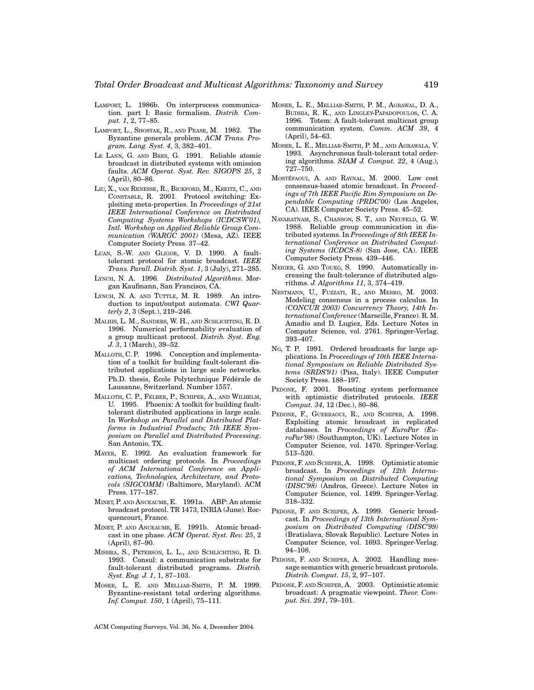- LAMPORT, L. 1986b. On interprocess communication. part I: Basic formalism. *Distrib. Comput. 1*, 2, 77–85.
- LAMPORT, L., SHOSTAK, R., AND PEASE, M. 1982. The Byzantine generals problem. *ACM Trans. Program. Lang. Syst. 4*, 3, 382–401.
- LE LANN, G. AND BRES, G. 1991. Reliable atomic broadcast in distributed systems with omission faults. *ACM Operat. Syst. Rev. SIGOPS 25*, 2 (April), 80–86.
- LIU, X., VAN RENESSE, R., BICKFORD, M., KREITZ, C., AND CONSTABLE, R. 2001. Protocol switching: Exploiting meta-properties. In *Proceedings of 21st IEEE International Conference on Distributed Computing Systems Workshops (ICDCSW'01), Intl. Workshop on Applied Reliable Group Communication (WARGC 2001)* (Mesa, AZ). IEEE Computer Society Press. 37–42.
- LUAN, S.-W. AND GLIGOR, V. D. 1990. A faulttolerant protocol for atomic broadcast. *IEEE Trans. Parall. Distrib. Syst. 1*,3(July), 271–285.
- LYNCH, N. A. 1996. *Distributed Algorithms*. Morgan Kaufmann, San Francisco, CA.
- LYNCH, N. A. AND TUTTLE, M. R. 1989. An introduction to input/output automata. *CWI Quarterly 2*, 3 (Sept.), 219–246.
- MALHIS, L. M., SANDERS, W. H., AND SCHLICHTING, R. D. 1996. Numerical performability evaluation of a group multicast protocol. *Distrib. Syst. Eng. J. 3*, 1 (March), 39–52.
- MALLOTH, C. P. 1996. Conception and implementation of a toolkit for building fault-tolerant distributed applications in large scale networks. Ph.D. thesis, École Polytechnique Fédérale de Lausanne, Switzerland. Number 1557.
- MALLOTH, C. P., FELBER, P., SCHIPER, A., AND WILHELM, U. 1995. Phoenix: A toolkit for building faulttolerant distributed applications in large scale. In *Workshop on Parallel and Distributed Platforms in Industrial Products; 7th IEEE Symposium on Parallel and Distributed Processing*. San Antonio, TX.
- MAYER, E. 1992. An evaluation framework for multicast ordering protocols. In *Proceedings of ACM International Conference on Applications, Technologies, Architecture, and Protocols (SIGCOMM)* (Baltimore, Maryland). ACM Press. 177–187.
- MINET, P. AND ANCEAUME, E. 1991a. ABP: An atomic broadcast protocol. TR 1473, INRIA (June). Rocquencourt, France.
- MINET, P. AND ANCEAUME, E. 1991b. Atomic broadcast in one phase. *ACM Operat. Syst. Rev. 25*, 2 (April), 87–90.
- MISHRA, S., PETERSON, L. L., AND SCHLICHTING, R. D. 1993. Consul: a communication substrate for fault-tolerant distributed programs. *Distrib. Syst. Eng. J. 1*, 1, 87–103.
- MOSER, L. E. AND MELLIAR-SMITH, P. M. 1999. Byzantine-resistant total ordering algorithms. *Inf. Comput. 150*, 1 (April), 75–111.
- ACM Computing Surveys, Vol. 36, No. 4, December 2004.
- MOSER, L. E., MELLIAR-SMITH, P. M., AGRAWAL, D. A., BUDHIA, R. K., AND LINGLEY-PAPADOPOULOS, C. A. 1996. Totem: A fault-tolerant multicast group communication system. *Comm. ACM 39*, 4 (April), 54–63.
- MOSER, L. E., MELLIAR-SMITH, P. M., AND AGRAWALA, V. 1993. Asynchronous fault-tolerant total ordering algorithms. *SIAM J. Comput. 22*, 4 (Aug.), 727–750.
- MOSTÉFAOUI, A. AND RAYNAL, M. 2000. Low cost consensus-based atomic broadcast. In *Proceedings of 7th IEEE Pacific Rim Symposium on Dependable Computing (PRDC'00)* (Los Angeles, CA). IEEE Computer Society Press. 45–52.
- NAVARATNAM, S., CHANSON, S. T., AND NEUFELD, G. W. 1988. Reliable group communication in distributed systems. In *Proceedings of 8th IEEE International Conference on Distributed Computing Systems (ICDCS-8)* (San Jose, CA). IEEE Computer Society Press. 439–446.
- NEIGER, G. AND TOUEG, S. 1990. Automatically increasing the fault-tolerance of distributed algorithms. *J. Algorithms 11*, 3, 374–419.
- NESTMANN, U., FUZZATI, R., AND MERRO, M. 2003. Modeling consensus in a process calculus. In *(CONCUR 2003) Concurrency Theory, 14th International Conference* (Marseille, France). R. M. Amadio and D. Lugiez, Eds. Lecture Notes in Computer Science, vol. 2761. Springer-Verlag. 393–407.
- NG, T. P. 1991. Ordered broadcasts for large applications. In *Proceedings of 10th IEEE International Symposium on Reliable Distributed Systems (SRDS'91)* (Pisa, Italy). IEEE Computer Society Press. 188–197.
- PEDONE, F. 2001. Boosting system performance with optimistic distributed protocols. *IEEE Comput. 34*, 12 (Dec.), 80–86.
- PEDONE, F., GUERRAOUI, R., AND SCHIPER, A. 1998. Exploiting atomic broadcast in replicated databases. In *Proceedings of EuroPar (EuroPar'98)* (Southampton, UK). Lecture Notes in Computer Science, vol. 1470. Springer-Verlag. 513–520.
- PEDONE, F. AND SCHIPER, A. 1998. Optimistic atomic broadcast. In *Proceedings of 12th International Symposium on Distributed Computing (DISC'98)* (Andros, Greece). Lecture Notes in Computer Science, vol. 1499. Springer-Verlag. 318–332.
- PEDONE, F. AND SCHIPER, A. 1999. Generic broadcast. In *Proceedings of 13th International Symposium on Distributed Computing (DISC'99)* (Bratislava, Slovak Republic). Lecture Notes in Computer Science, vol. 1693. Springer-Verlag. 94–108.
- PEDONE, F. AND SCHIPER, A. 2002. Handling message semantics with generic broadcast protocols. *Distrib. Comput. 15*, 2, 97–107.
- PEDONE, F. AND SCHIPER, A. 2003. Optimistic atomic broadcast: A pragmatic viewpoint. *Theor. Comput. Sci. 291*, 79–101.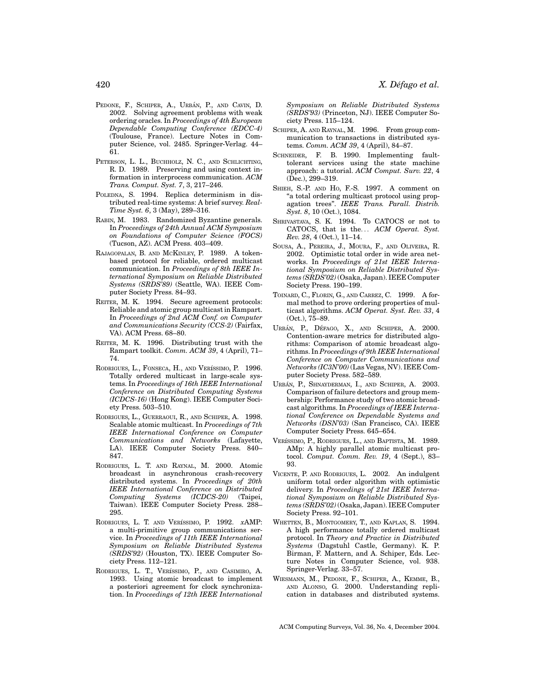- PEDONE, F., SCHIPER, A., URBÁN, P., AND CAVIN, D. 2002. Solving agreement problems with weak ordering oracles. In *Proceedings of 4th European Dependable Computing Conference (EDCC-4)* (Toulouse, France). Lecture Notes in Computer Science, vol. 2485. Springer-Verlag. 44– 61.
- PETERSON, L. L., BUCHHOLZ, N. C., AND SCHLICHTING, R. D. 1989. Preserving and using context information in interprocess communication. *ACM Trans. Comput. Syst. 7*, 3, 217–246.
- POLEDNA, S. 1994. Replica determinism in distributed real-time systems: A brief survey. *Real-Time Syst. 6*, 3 (May), 289–316.
- RABIN, M. 1983. Randomized Byzantine generals. In *Proceedings of 24th Annual ACM Symposium on Foundations of Computer Science (FOCS)* (Tucson, AZ). ACM Press. 403–409.
- RAJAGOPALAN, B. AND MCKINLEY, P. 1989. A tokenbased protocol for reliable, ordered multicast communication. In *Proceedings of 8th IEEE International Symposium on Reliable Distributed Systems (SRDS'89)* (Seattle, WA). IEEE Computer Society Press. 84–93.
- REITER, M. K. 1994. Secure agreement protocols: Reliable and atomic group multicast in Rampart. In *Proceedings of 2nd ACM Conf. on Computer and Communications Security (CCS-2)* (Fairfax, VA). ACM Press. 68–80.
- REITER, M. K. 1996. Distributing trust with the Rampart toolkit. *Comm. ACM 39*, 4 (April), 71– 74.
- RODRIGUES, L., FONSECA, H., AND VERÍSSIMO, P. 1996. Totally ordered multicast in large-scale systems. In *Proceedings of 16th IEEE International Conference on Distributed Computing Systems (ICDCS-16)* (Hong Kong). IEEE Computer Society Press. 503–510.
- RODRIGUES, L., GUERRAOUI, R., AND SCHIPER, A. 1998. Scalable atomic multicast. In *Proceedings of 7th IEEE International Conference on Computer Communications and Networks* (Lafayette, LA). IEEE Computer Society Press. 840– 847.
- RODRIGUES, L. T. AND RAYNAL, M. 2000. Atomic broadcast in asynchronous crash-recovery distributed systems. In *Proceedings of 20th IEEE International Conference on Distributed Computing Systems (ICDCS-20)* (Taipei, Taiwan). IEEE Computer Society Press. 288– 295.
- RODRIGUES, L. T. AND VERÍSSIMO, P. 1992. *x*AMP: a multi-primitive group communications service. In *Proceedings of 11th IEEE International Symposium on Reliable Distributed Systems (SRDS'92)* (Houston, TX). IEEE Computer Society Press. 112–121.
- RODRIGUES, L. T., VERÍSSIMO, P., AND CASIMIRO, A. 1993. Using atomic broadcast to implement a posteriori agreement for clock synchronization. In *Proceedings of 12th IEEE International*

*Symposium on Reliable Distributed Systems (SRDS'93)* (Princeton, NJ). IEEE Computer Society Press. 115–124.

- SCHIPER, A. AND RAYNAL, M. 1996. From group communication to transactions in distributed systems. *Comm. ACM 39*, 4 (April), 84–87.
- SCHNEIDER, F. B. 1990. Implementing faulttolerant services using the state machine approach: a tutorial. *ACM Comput. Surv. 22*, 4 (Dec.), 299–319.
- SHIEH, S.-P. AND HO, F.-S. 1997. A comment on "a total ordering multicast protocol using propagation trees". *IEEE Trans. Parall. Distrib. Syst. 8*, 10 (Oct.), 1084.
- SHRIVASTAVA, S. K. 1994. To CATOCS or not to CATOCS, that is the... *ACM Operat. Syst. Rev. 28*, 4 (Oct.), 11–14.
- SOUSA, A., PEREIRA, J., MOURA, F., AND OLIVEIRA, R. 2002. Optimistic total order in wide area networks. In *Proceedings of 21st IEEE International Symposium on Reliable Distributed Systems (SRDS'02)* (Osaka, Japan). IEEE Computer Society Press. 190–199.
- TOINARD, C., FLORIN, G., AND CARREZ, C. 1999. A formal method to prove ordering properties of multicast algorithms. *ACM Operat. Syst. Rev. 33*, 4 (Oct.), 75–89.
- URBÁN, P., DÉFAGO, X., AND SCHIPER, A. 2000. Contention-aware metrics for distributed algorithms: Comparison of atomic broadcast algorithms. In *Proceedings of 9th IEEE International Conference on Computer Communications and Networks (IC3N'00)* (Las Vegas, NV). IEEE Computer Society Press. 582–589.
- URBÁN, P., SHNAYDERMAN, I., AND SCHIPER, A. 2003. Comparison of failure detectors and group membership: Performance study of two atomic broadcast algorithms. In *Proceedings of IEEE International Conference on Dependable Systems and Networks (DSN'03)* (San Francisco, CA). IEEE Computer Society Press. 645–654.
- VERÍSSIMO, P., RODRIGUES, L., AND BAPTISTA, M. 1989. AMp: A highly parallel atomic multicast protocol. *Comput. Comm. Rev. 19*, 4 (Sept.), 83– 93.
- VICENTE, P. AND RODRIGUES, L. 2002. An indulgent uniform total order algorithm with optimistic delivery. In *Proceedings of 21st IEEE International Symposium on Reliable Distributed Systems (SRDS'02)* (Osaka, Japan). IEEE Computer Society Press. 92–101.
- WHETTEN, B., MONTGOMERY, T., AND KAPLAN, S. 1994. A high performance totally ordered multicast protocol. In *Theory and Practice in Distributed Systems* (Dagstuhl Castle, Germany). K. P. Birman, F. Mattern, and A. Schiper, Eds. Lecture Notes in Computer Science, vol. 938. Springer-Verlag. 33–57.
- WIESMANN, M., PEDONE, F., SCHIPER, A., KEMME, B., AND ALONSO, G. 2000. Understanding replication in databases and distributed systems.

ACM Computing Surveys, Vol. 36, No. 4, December 2004.